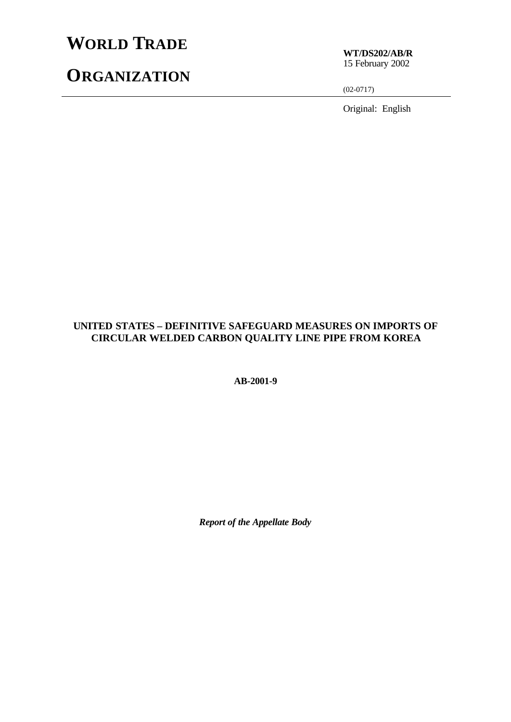# **WORLD TRADE**

# **ORGANIZATION**

**WT/DS202/AB/R** 15 February 2002

(02-0717)

Original: English

# **UNITED STATES – DEFINITIVE SAFEGUARD MEASURES ON IMPORTS OF CIRCULAR WELDED CARBON QUALITY LINE PIPE FROM KOREA**

**AB-2001-9**

*Report of the Appellate Body*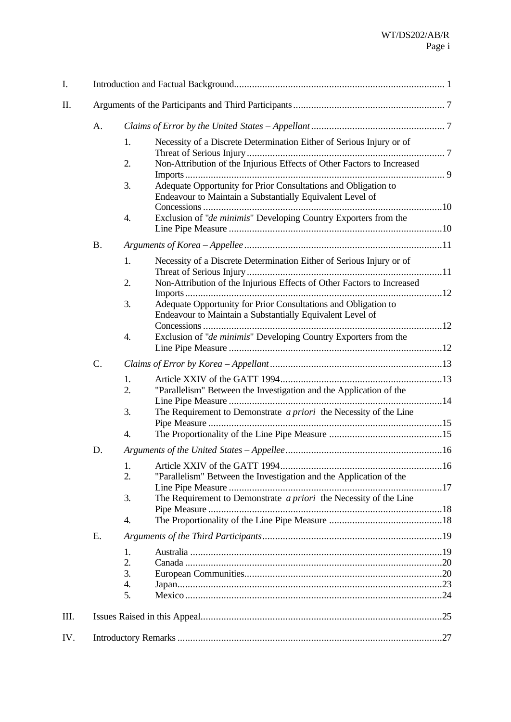| I.  |           |                                                                                                                                   |  |  |
|-----|-----------|-----------------------------------------------------------------------------------------------------------------------------------|--|--|
| II. |           |                                                                                                                                   |  |  |
|     | A.        |                                                                                                                                   |  |  |
|     |           | Necessity of a Discrete Determination Either of Serious Injury or of<br>1.                                                        |  |  |
|     |           | Non-Attribution of the Injurious Effects of Other Factors to Increased<br>2.                                                      |  |  |
|     |           | Adequate Opportunity for Prior Consultations and Obligation to<br>3.<br>Endeavour to Maintain a Substantially Equivalent Level of |  |  |
|     |           | Exclusion of "de minimis" Developing Country Exporters from the<br>4.                                                             |  |  |
|     | <b>B.</b> |                                                                                                                                   |  |  |
|     |           | Necessity of a Discrete Determination Either of Serious Injury or of<br>1.                                                        |  |  |
|     |           | Non-Attribution of the Injurious Effects of Other Factors to Increased<br>2.                                                      |  |  |
|     |           | Adequate Opportunity for Prior Consultations and Obligation to<br>3.<br>Endeavour to Maintain a Substantially Equivalent Level of |  |  |
|     |           | Exclusion of "de minimis" Developing Country Exporters from the<br>4.                                                             |  |  |
|     | C.        |                                                                                                                                   |  |  |
|     |           | 1.<br>"Parallelism" Between the Investigation and the Application of the<br>2.                                                    |  |  |
|     |           | The Requirement to Demonstrate <i>a priori</i> the Necessity of the Line<br>3.<br>4.                                              |  |  |
|     | D.        |                                                                                                                                   |  |  |
|     |           | 1.                                                                                                                                |  |  |
|     |           | 2.<br>"Parallelism" Between the Investigation and the Application of the                                                          |  |  |
|     |           | The Requirement to Demonstrate $a priori$ the Necessity of the Line<br>3.                                                         |  |  |
|     |           | 4.                                                                                                                                |  |  |
|     | Ε.        |                                                                                                                                   |  |  |
|     |           | 1.<br>$\overline{2}$ .                                                                                                            |  |  |
|     |           | 3.                                                                                                                                |  |  |
|     |           | 4.                                                                                                                                |  |  |
|     |           | 5.                                                                                                                                |  |  |
| Ш.  |           |                                                                                                                                   |  |  |
| IV. |           |                                                                                                                                   |  |  |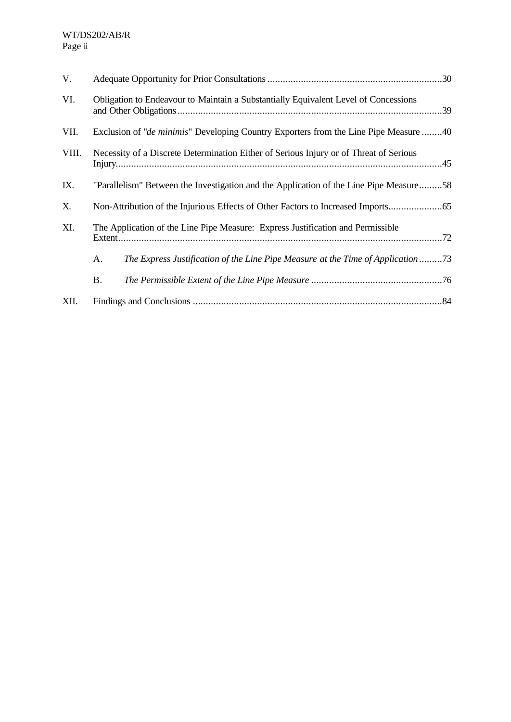| V.    |                                                                                               |                                                                                  |  |
|-------|-----------------------------------------------------------------------------------------------|----------------------------------------------------------------------------------|--|
| VI.   | Obligation to Endeavour to Maintain a Substantially Equivalent Level of Concessions           |                                                                                  |  |
| VII.  | Exclusion of " <i>de minimis</i> " Developing Country Exporters from the Line Pipe Measure 40 |                                                                                  |  |
| VIII. | Necessity of a Discrete Determination Either of Serious Injury or of Threat of Serious        |                                                                                  |  |
| IX.   | "Parallelism" Between the Investigation and the Application of the Line Pipe Measure58        |                                                                                  |  |
| X.    | Non-Attribution of the Injurious Effects of Other Factors to Increased Imports                |                                                                                  |  |
| XI.   |                                                                                               | The Application of the Line Pipe Measure: Express Justification and Permissible  |  |
|       | А.                                                                                            | The Express Justification of the Line Pipe Measure at the Time of Application 73 |  |
|       | Β.                                                                                            |                                                                                  |  |
| XII.  |                                                                                               |                                                                                  |  |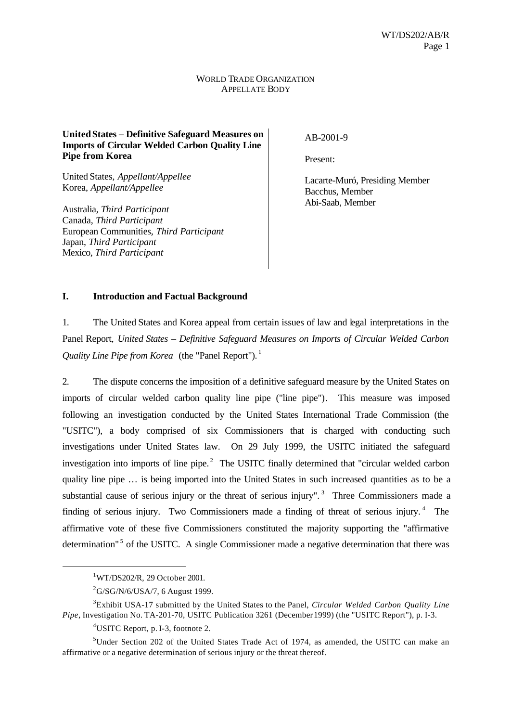#### WORLD TRADE ORGANIZATION APPELLATE BODY

#### **United States – Definitive Safeguard Measures on Imports of Circular Welded Carbon Quality Line Pipe from Korea**

United States, *Appellant/Appellee* Korea, *Appellant/Appellee*

Australia, *Third Participant* Canada, *Third Participant* European Communities, *Third Participant* Japan, *Third Participant* Mexico, *Third Participant*

AB-2001-9

Present:

Lacarte-Muró, Presiding Member Bacchus, Member Abi-Saab, Member

# **I. Introduction and Factual Background**

1. The United States and Korea appeal from certain issues of law and legal interpretations in the Panel Report, *United States – Definitive Safeguard Measures on Imports of Circular Welded Carbon Quality Line Pipe from Korea* (the "Panel Report").<sup>1</sup>

2. The dispute concerns the imposition of a definitive safeguard measure by the United States on imports of circular welded carbon quality line pipe ("line pipe"). This measure was imposed following an investigation conducted by the United States International Trade Commission (the "USITC"), a body comprised of six Commissioners that is charged with conducting such investigations under United States law. On 29 July 1999, the USITC initiated the safeguard investigation into imports of line pipe.<sup>2</sup> The USITC finally determined that "circular welded carbon quality line pipe … is being imported into the United States in such increased quantities as to be a substantial cause of serious injury or the threat of serious injury".<sup>3</sup> Three Commissioners made a finding of serious injury. Two Commissioners made a finding of threat of serious injury.<sup>4</sup> The affirmative vote of these five Commissioners constituted the majority supporting the "affirmative determination"<sup>5</sup> of the USITC. A single Commissioner made a negative determination that there was

<sup>1</sup>WT/DS202/R, 29 October 2001.

 $^{2}$ G/SG/N/6/USA/7, 6 August 1999.

<sup>3</sup> Exhibit USA-17 submitted by the United States to the Panel, *Circular Welded Carbon Quality Line Pipe*, Investigation No. TA-201-70, USITC Publication 3261 (December 1999) (the "USITC Report"), p. I-3.

<sup>4</sup>USITC Report, p. I-3, footnote 2.

<sup>5</sup>Under Section 202 of the United States Trade Act of 1974, as amended, the USITC can make an affirmative or a negative determination of serious injury or the threat thereof.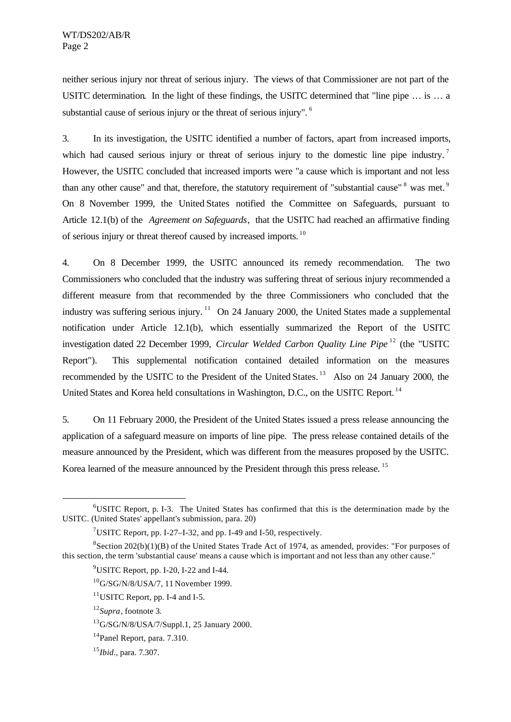neither serious injury nor threat of serious injury. The views of that Commissioner are not part of the USITC determination. In the light of these findings, the USITC determined that "line pipe … is … a substantial cause of serious injury or the threat of serious injury".  $6$ 

3. In its investigation, the USITC identified a number of factors, apart from increased imports, which had caused serious injury or threat of serious injury to the domestic line pipe industry.<sup>7</sup> However, the USITC concluded that increased imports were "a cause which is important and not less than any other cause" and that, therefore, the statutory requirement of "substantial cause"  $8$  was met.  $9$ On 8 November 1999, the United States notified the Committee on Safeguards, pursuant to Article 12.1(b) of the *Agreement on Safeguards*, that the USITC had reached an affirmative finding of serious injury or threat thereof caused by increased imports. <sup>10</sup>

4. On 8 December 1999, the USITC announced its remedy recommendation. The two Commissioners who concluded that the industry was suffering threat of serious injury recommended a different measure from that recommended by the three Commissioners who concluded that the industry was suffering serious injury.<sup>11</sup> On 24 January 2000, the United States made a supplemental notification under Article 12.1(b), which essentially summarized the Report of the USITC investigation dated 22 December 1999, *Circular Welded Carbon Quality Line Pipe* <sup>12</sup> (the "USITC Report"). This supplemental notification contained detailed information on the measures recommended by the USITC to the President of the United States.<sup>13</sup> Also on 24 January 2000, the United States and Korea held consultations in Washington, D.C., on the USITC Report. <sup>14</sup>

5. On 11 February 2000, the President of the United States issued a press release announcing the application of a safeguard measure on imports of line pipe. The press release contained details of the measure announced by the President, which was different from the measures proposed by the USITC. Korea learned of the measure announced by the President through this press release.<sup>15</sup>

<sup>9</sup>USITC Report, pp. I-20, I-22 and I-44.

 ${}^{10}$ G/SG/N/8/USA/7, 11 November 1999.

 $11$ USITC Report, pp. I-4 and I-5.

<sup>12</sup>*Supra*, footnote 3.

l

 $^{13}$ G/SG/N/8/USA/7/Suppl.1, 25 January 2000.

 $6$ USITC Report, p. I-3. The United States has confirmed that this is the determination made by the USITC. (United States' appellant's submission, para. 20)

<sup>&</sup>lt;sup>7</sup>USITC Report, pp. I-27–I-32, and pp. I-49 and I-50, respectively.

 ${}^{8}$ Section 202(b)(1)(B) of the United States Trade Act of 1974, as amended, provides: "For purposes of this section, the term 'substantial cause' means a cause which is important and not less than any other cause."

<sup>&</sup>lt;sup>14</sup>Panel Report, para. 7.310.

<sup>15</sup>*Ibid*., para. 7.307.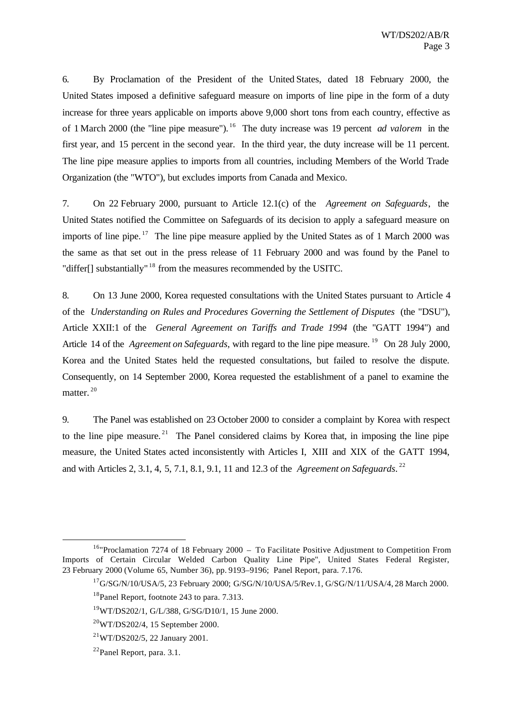6. By Proclamation of the President of the United States, dated 18 February 2000, the United States imposed a definitive safeguard measure on imports of line pipe in the form of a duty increase for three years applicable on imports above 9,000 short tons from each country, effective as of 1 March 2000 (the "line pipe measure").<sup>16</sup> The duty increase was 19 percent *ad valorem* in the first year, and 15 percent in the second year. In the third year, the duty increase will be 11 percent. The line pipe measure applies to imports from all countries, including Members of the World Trade Organization (the "WTO"), but excludes imports from Canada and Mexico.

7. On 22 February 2000, pursuant to Article 12.1(c) of the *Agreement on Safeguards*, the United States notified the Committee on Safeguards of its decision to apply a safeguard measure on imports of line pipe.<sup>17</sup> The line pipe measure applied by the United States as of 1 March 2000 was the same as that set out in the press release of 11 February 2000 and was found by the Panel to "differ<sup>[]</sup> substantially"<sup>18</sup> from the measures recommended by the USITC.

8. On 13 June 2000, Korea requested consultations with the United States pursuant to Article 4 of the *Understanding on Rules and Procedures Governing the Settlement of Disputes* (the "DSU"), Article XXII:1 of the *General Agreement on Tariffs and Trade 1994* (the "GATT 1994") and Article 14 of the *Agreement on Safeguards*, with regard to the line pipe measure. <sup>19</sup> On 28 July 2000, Korea and the United States held the requested consultations, but failed to resolve the dispute. Consequently, on 14 September 2000, Korea requested the establishment of a panel to examine the matter.<sup>20</sup>

9. The Panel was established on 23 October 2000 to consider a complaint by Korea with respect to the line pipe measure.<sup>21</sup> The Panel considered claims by Korea that, in imposing the line pipe measure, the United States acted inconsistently with Articles I, XIII and XIX of the GATT 1994, and with Articles 2, 3.1, 4, 5, 7.1, 8.1, 9.1, 11 and 12.3 of the *Agreement on Safeguards*. 22

 $16$ "Proclamation 7274 of 18 February 2000 – To Facilitate Positive Adjustment to Competition From Imports of Certain Circular Welded Carbon Quality Line Pipe", United States Federal Register, 23 February 2000 (Volume 65, Number 36), pp. 9193–9196; Panel Report, para. 7.176.

 $^{17}$ G/SG/N/10/USA/5, 23 February 2000; G/SG/N/10/USA/5/Rev.1, G/SG/N/11/USA/4, 28 March 2000.

<sup>&</sup>lt;sup>18</sup>Panel Report, footnote 243 to para. 7.313.

<sup>19</sup>WT/DS202/1, G/L/388, G/SG/D10/1, 15 June 2000.

<sup>20</sup>WT/DS202/4, 15 September 2000.

<sup>21</sup>WT/DS202/5, 22 January 2001.

 $^{22}$ Panel Report, para. 3.1.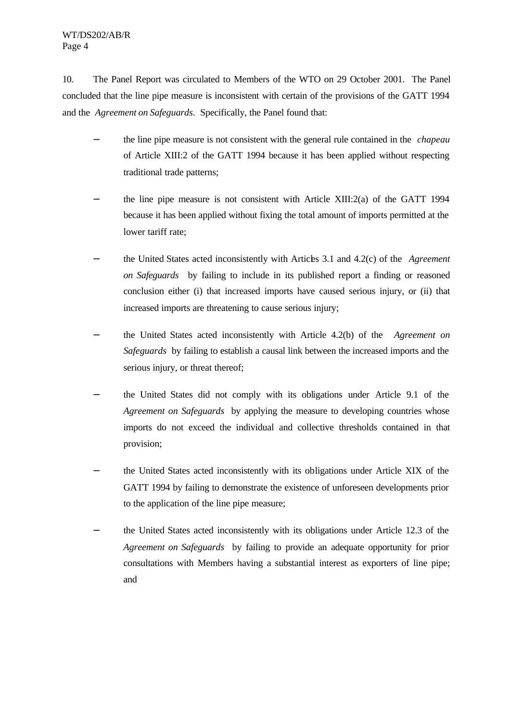10. The Panel Report was circulated to Members of the WTO on 29 October 2001. The Panel concluded that the line pipe measure is inconsistent with certain of the provisions of the GATT 1994 and the *Agreement on Safeguards*. Specifically, the Panel found that:

- − the line pipe measure is not consistent with the general rule contained in the *chapeau* of Article XIII:2 of the GATT 1994 because it has been applied without respecting traditional trade patterns;
- − the line pipe measure is not consistent with Article XIII:2(a) of the GATT 1994 because it has been applied without fixing the total amount of imports permitted at the lower tariff rate;
- − the United States acted inconsistently with Articles 3.1 and 4.2(c) of the *Agreement on Safeguards* by failing to include in its published report a finding or reasoned conclusion either (i) that increased imports have caused serious injury, or (ii) that increased imports are threatening to cause serious injury;
- − the United States acted inconsistently with Article 4.2(b) of the *Agreement on Safeguards* by failing to establish a causal link between the increased imports and the serious injury, or threat thereof;
- − the United States did not comply with its obligations under Article 9.1 of the *Agreement on Safeguards* by applying the measure to developing countries whose imports do not exceed the individual and collective thresholds contained in that provision;
- the United States acted inconsistently with its obligations under Article XIX of the GATT 1994 by failing to demonstrate the existence of unforeseen developments prior to the application of the line pipe measure;
- the United States acted inconsistently with its obligations under Article 12.3 of the *Agreement on Safeguards* by failing to provide an adequate opportunity for prior consultations with Members having a substantial interest as exporters of line pipe; and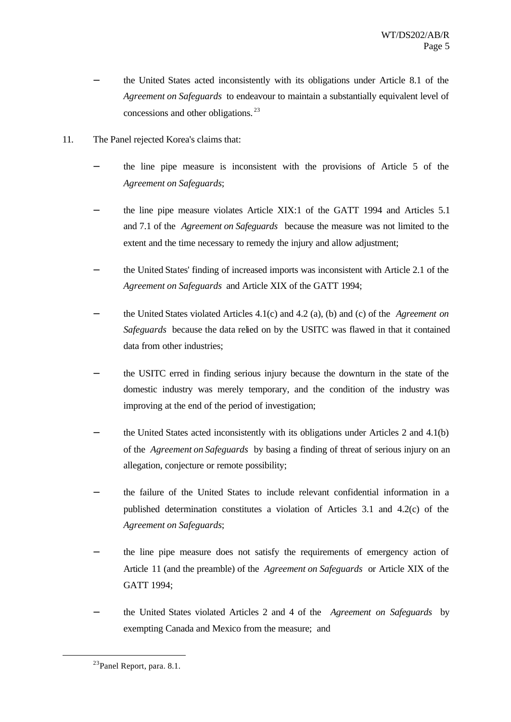- the United States acted inconsistently with its obligations under Article 8.1 of the *Agreement on Safeguards* to endeavour to maintain a substantially equivalent level of concessions and other obligations.<sup>23</sup>
- 11. The Panel rejected Korea's claims that:
	- the line pipe measure is inconsistent with the provisions of Article 5 of the *Agreement on Safeguards*;
	- the line pipe measure violates Article XIX:1 of the GATT 1994 and Articles 5.1 and 7.1 of the *Agreement on Safeguards* because the measure was not limited to the extent and the time necessary to remedy the injury and allow adjustment;
	- − the United States' finding of increased imports was inconsistent with Article 2.1 of the *Agreement on Safeguards* and Article XIX of the GATT 1994;
	- − the United States violated Articles 4.1(c) and 4.2 (a), (b) and (c) of the *Agreement on Safeguards* because the data relied on by the USITC was flawed in that it contained data from other industries;
	- the USITC erred in finding serious injury because the downturn in the state of the domestic industry was merely temporary, and the condition of the industry was improving at the end of the period of investigation;
	- the United States acted inconsistently with its obligations under Articles 2 and 4.1(b) of the *Agreement on Safeguards* by basing a finding of threat of serious injury on an allegation, conjecture or remote possibility;
	- the failure of the United States to include relevant confidential information in a published determination constitutes a violation of Articles 3.1 and 4.2(c) of the *Agreement on Safeguards*;
	- the line pipe measure does not satisfy the requirements of emergency action of Article 11 (and the preamble) of the *Agreement on Safeguards* or Article XIX of the GATT 1994;
	- − the United States violated Articles 2 and 4 of the *Agreement on Safeguards* by exempting Canada and Mexico from the measure; and

<sup>23</sup>Panel Report, para. 8.1.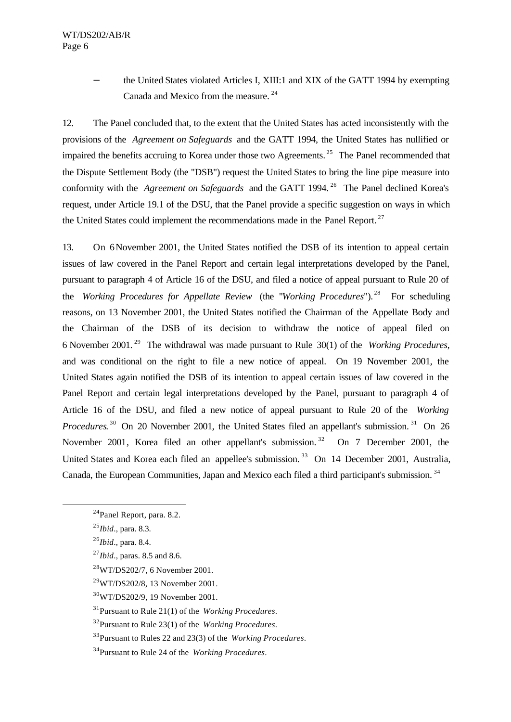− the United States violated Articles I, XIII:1 and XIX of the GATT 1994 by exempting Canada and Mexico from the measure. <sup>24</sup>

12. The Panel concluded that, to the extent that the United States has acted inconsistently with the provisions of the *Agreement on Safeguards* and the GATT 1994, the United States has nullified or impaired the benefits accruing to Korea under those two Agreements.<sup>25</sup> The Panel recommended that the Dispute Settlement Body (the "DSB") request the United States to bring the line pipe measure into conformity with the *Agreement on Safeguards* and the GATT 1994.<sup>26</sup> The Panel declined Korea's request, under Article 19.1 of the DSU, that the Panel provide a specific suggestion on ways in which the United States could implement the recommendations made in the Panel Report.<sup>27</sup>

13. On 6 November 2001, the United States notified the DSB of its intention to appeal certain issues of law covered in the Panel Report and certain legal interpretations developed by the Panel, pursuant to paragraph 4 of Article 16 of the DSU, and filed a notice of appeal pursuant to Rule 20 of the *Working Procedures for Appellate Review* (the "*Working Procedures*"). <sup>28</sup> For scheduling reasons, on 13 November 2001, the United States notified the Chairman of the Appellate Body and the Chairman of the DSB of its decision to withdraw the notice of appeal filed on 6 November 2001. <sup>29</sup> The withdrawal was made pursuant to Rule 30(1) of the *Working Procedures*, and was conditional on the right to file a new notice of appeal. On 19 November 2001, the United States again notified the DSB of its intention to appeal certain issues of law covered in the Panel Report and certain legal interpretations developed by the Panel, pursuant to paragraph 4 of Article 16 of the DSU, and filed a new notice of appeal pursuant to Rule 20 of the *Working Procedures.*<sup>30</sup> On 20 November 2001, the United States filed an appellant's submission.<sup>31</sup> On 26 November 2001, Korea filed an other appellant's submission.<sup>32</sup> On 7 December 2001, the United States and Korea each filed an appellee's submission.<sup>33</sup> On 14 December 2001, Australia, Canada, the European Communities, Japan and Mexico each filed a third participant's submission. <sup>34</sup>

 $^{24}$ Panel Report, para. 8.2.

<sup>25</sup>*Ibid*., para. 8.3.

<sup>26</sup>*Ibid*., para. 8.4.

<sup>27</sup>*Ibid*., paras. 8.5 and 8.6.

<sup>28</sup>WT/DS202/7, 6 November 2001.

<sup>29</sup>WT/DS202/8, 13 November 2001.

<sup>30</sup>WT/DS202/9, 19 November 2001.

<sup>31</sup>Pursuant to Rule 21(1) of the *Working Procedures*.

<sup>32</sup>Pursuant to Rule 23(1) of the *Working Procedures*.

<sup>33</sup>Pursuant to Rules 22 and 23(3) of the *Working Procedures*.

<sup>34</sup>Pursuant to Rule 24 of the *Working Procedures*.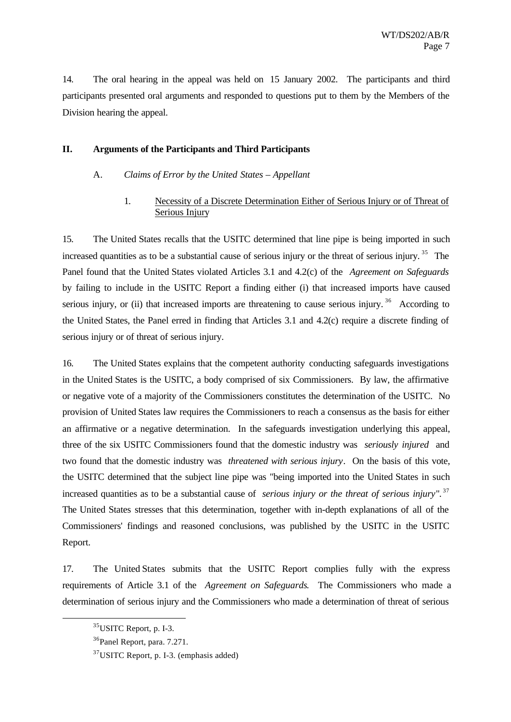14. The oral hearing in the appeal was held on 15 January 2002. The participants and third participants presented oral arguments and responded to questions put to them by the Members of the Division hearing the appeal.

#### **II. Arguments of the Participants and Third Participants**

#### A. *Claims of Error by the United States – Appellant*

# 1. Necessity of a Discrete Determination Either of Serious Injury or of Threat of Serious Injury

15. The United States recalls that the USITC determined that line pipe is being imported in such increased quantities as to be a substantial cause of serious injury or the threat of serious injury.<sup>35</sup> The Panel found that the United States violated Articles 3.1 and 4.2(c) of the *Agreement on Safeguards* by failing to include in the USITC Report a finding either (i) that increased imports have caused serious injury, or (ii) that increased imports are threatening to cause serious injury.  $36$  According to the United States, the Panel erred in finding that Articles 3.1 and 4.2(c) require a discrete finding of serious injury or of threat of serious injury.

16. The United States explains that the competent authority conducting safeguards investigations in the United States is the USITC, a body comprised of six Commissioners. By law, the affirmative or negative vote of a majority of the Commissioners constitutes the determination of the USITC. No provision of United States law requires the Commissioners to reach a consensus as the basis for either an affirmative or a negative determination. In the safeguards investigation underlying this appeal, three of the six USITC Commissioners found that the domestic industry was *seriously injured* and two found that the domestic industry was *threatened with serious injury*. On the basis of this vote, the USITC determined that the subject line pipe was "being imported into the United States in such increased quantities as to be a substantial cause of *serious injury or the threat of serious injury*". <sup>37</sup> The United States stresses that this determination, together with in-depth explanations of all of the Commissioners' findings and reasoned conclusions, was published by the USITC in the USITC Report.

17. The United States submits that the USITC Report complies fully with the express requirements of Article 3.1 of the *Agreement on Safeguards*. The Commissioners who made a determination of serious injury and the Commissioners who made a determination of threat of serious

<sup>35</sup>USITC Report, p. I-3.

<sup>36</sup>Panel Report, para. 7.271.

 $37$ USITC Report, p. I-3. (emphasis added)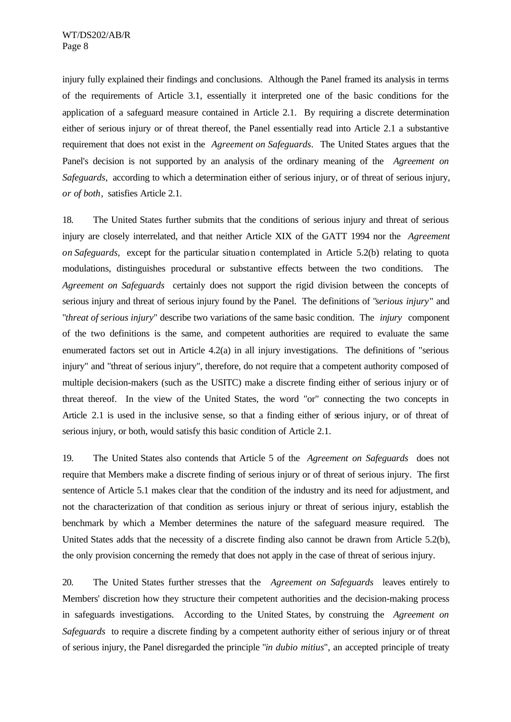injury fully explained their findings and conclusions. Although the Panel framed its analysis in terms of the requirements of Article 3.1, essentially it interpreted one of the basic conditions for the application of a safeguard measure contained in Article 2.1. By requiring a discrete determination either of serious injury or of threat thereof, the Panel essentially read into Article 2.1 a substantive requirement that does not exist in the *Agreement on Safeguards*. The United States argues that the Panel's decision is not supported by an analysis of the ordinary meaning of the *Agreement on Safeguards*, according to which a determination either of serious injury, or of threat of serious injury, *or of both*, satisfies Article 2.1.

18. The United States further submits that the conditions of serious injury and threat of serious injury are closely interrelated, and that neither Article XIX of the GATT 1994 nor the *Agreement on Safeguards*, except for the particular situation contemplated in Article 5.2(b) relating to quota modulations, distinguishes procedural or substantive effects between the two conditions. The *Agreement on Safeguards* certainly does not support the rigid division between the concepts of serious injury and threat of serious injury found by the Panel. The definitions of "*serious injury*" and "*threat of serious injury*" describe two variations of the same basic condition. The *injury* component of the two definitions is the same, and competent authorities are required to evaluate the same enumerated factors set out in Article 4.2(a) in all injury investigations. The definitions of "serious injury" and "threat of serious injury", therefore, do not require that a competent authority composed of multiple decision-makers (such as the USITC) make a discrete finding either of serious injury or of threat thereof. In the view of the United States, the word "or" connecting the two concepts in Article 2.1 is used in the inclusive sense, so that a finding either of serious injury, or of threat of serious injury, or both, would satisfy this basic condition of Article 2.1.

19. The United States also contends that Article 5 of the *Agreement on Safeguards* does not require that Members make a discrete finding of serious injury or of threat of serious injury. The first sentence of Article 5.1 makes clear that the condition of the industry and its need for adjustment, and not the characterization of that condition as serious injury or threat of serious injury, establish the benchmark by which a Member determines the nature of the safeguard measure required. The United States adds that the necessity of a discrete finding also cannot be drawn from Article 5.2(b), the only provision concerning the remedy that does not apply in the case of threat of serious injury.

20. The United States further stresses that the *Agreement on Safeguards* leaves entirely to Members' discretion how they structure their competent authorities and the decision-making process in safeguards investigations. According to the United States, by construing the *Agreement on Safeguards* to require a discrete finding by a competent authority either of serious injury or of threat of serious injury, the Panel disregarded the principle "*in dubio mitius*", an accepted principle of treaty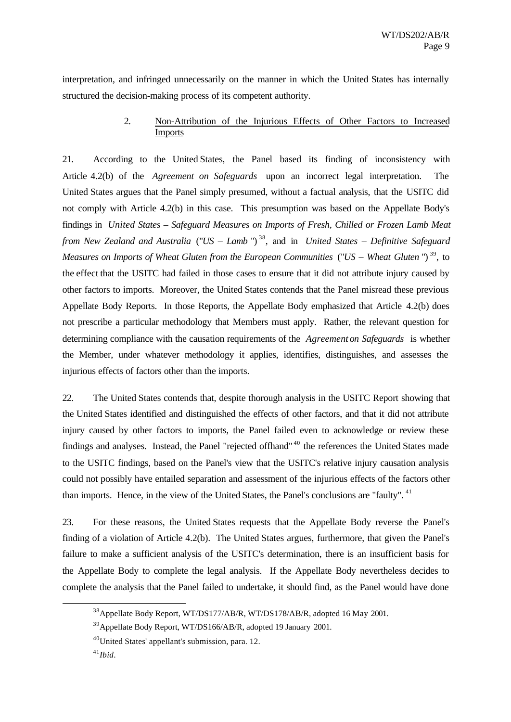interpretation, and infringed unnecessarily on the manner in which the United States has internally structured the decision-making process of its competent authority.

# 2. Non-Attribution of the Injurious Effects of Other Factors to Increased Imports

21. According to the United States, the Panel based its finding of inconsistency with Article 4.2(b) of the *Agreement on Safeguards* upon an incorrect legal interpretation. The United States argues that the Panel simply presumed, without a factual analysis, that the USITC did not comply with Article 4.2(b) in this case. This presumption was based on the Appellate Body's findings in *United States – Safeguard Measures on Imports of Fresh, Chilled or Frozen Lamb Meat from New Zealand and Australia* ("*US – Lamb* ") <sup>38</sup> , and in *United States – Definitive Safeguard Measures on Imports of Wheat Gluten from the European Communities* ("*US – Wheat Gluten* ") <sup>39</sup>, to the effect that the USITC had failed in those cases to ensure that it did not attribute injury caused by other factors to imports. Moreover, the United States contends that the Panel misread these previous Appellate Body Reports. In those Reports, the Appellate Body emphasized that Article 4.2(b) does not prescribe a particular methodology that Members must apply. Rather, the relevant question for determining compliance with the causation requirements of the *Agreement on Safeguards* is whether the Member, under whatever methodology it applies, identifies, distinguishes, and assesses the injurious effects of factors other than the imports.

22. The United States contends that, despite thorough analysis in the USITC Report showing that the United States identified and distinguished the effects of other factors, and that it did not attribute injury caused by other factors to imports, the Panel failed even to acknowledge or review these findings and analyses. Instead, the Panel "rejected offhand" <sup>40</sup> the references the United States made to the USITC findings, based on the Panel's view that the USITC's relative injury causation analysis could not possibly have entailed separation and assessment of the injurious effects of the factors other than imports. Hence, in the view of the United States, the Panel's conclusions are "faulty".<sup>41</sup>

23. For these reasons, the United States requests that the Appellate Body reverse the Panel's finding of a violation of Article 4.2(b). The United States argues, furthermore, that given the Panel's failure to make a sufficient analysis of the USITC's determination, there is an insufficient basis for the Appellate Body to complete the legal analysis. If the Appellate Body nevertheless decides to complete the analysis that the Panel failed to undertake, it should find, as the Panel would have done

<sup>38</sup>Appellate Body Report, WT/DS177/AB/R, WT/DS178/AB/R, adopted 16 May 2001.

<sup>39</sup>Appellate Body Report, WT/DS166/AB/R, adopted 19 January 2001.

 $^{40}$ United States' appellant's submission, para. 12.

<sup>41</sup>*Ibid*.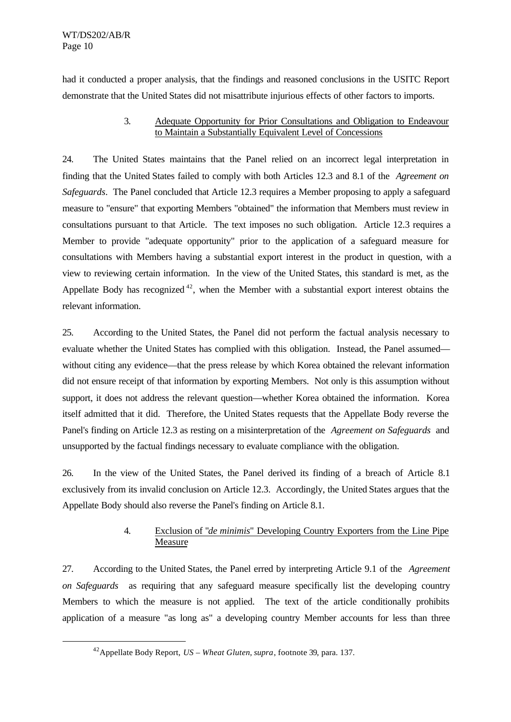l

had it conducted a proper analysis, that the findings and reasoned conclusions in the USITC Report demonstrate that the United States did not misattribute injurious effects of other factors to imports.

#### 3. Adequate Opportunity for Prior Consultations and Obligation to Endeavour to Maintain a Substantially Equivalent Level of Concessions

24. The United States maintains that the Panel relied on an incorrect legal interpretation in finding that the United States failed to comply with both Articles 12.3 and 8.1 of the *Agreement on Safeguards*. The Panel concluded that Article 12.3 requires a Member proposing to apply a safeguard measure to "ensure" that exporting Members "obtained" the information that Members must review in consultations pursuant to that Article. The text imposes no such obligation. Article 12.3 requires a Member to provide "adequate opportunity" prior to the application of a safeguard measure for consultations with Members having a substantial export interest in the product in question, with a view to reviewing certain information. In the view of the United States, this standard is met, as the Appellate Body has recognized  $42$ , when the Member with a substantial export interest obtains the relevant information.

25. According to the United States, the Panel did not perform the factual analysis necessary to evaluate whether the United States has complied with this obligation. Instead, the Panel assumed without citing any evidence—that the press release by which Korea obtained the relevant information did not ensure receipt of that information by exporting Members. Not only is this assumption without support, it does not address the relevant question—whether Korea obtained the information. Korea itself admitted that it did. Therefore, the United States requests that the Appellate Body reverse the Panel's finding on Article 12.3 as resting on a misinterpretation of the *Agreement on Safeguards* and unsupported by the factual findings necessary to evaluate compliance with the obligation.

26. In the view of the United States, the Panel derived its finding of a breach of Article 8.1 exclusively from its invalid conclusion on Article 12.3. Accordingly, the United States argues that the Appellate Body should also reverse the Panel's finding on Article 8.1.

# 4. Exclusion of "*de minimis*" Developing Country Exporters from the Line Pipe Measure

27. According to the United States, the Panel erred by interpreting Article 9.1 of the *Agreement on Safeguards* as requiring that any safeguard measure specifically list the developing country Members to which the measure is not applied. The text of the article conditionally prohibits application of a measure "as long as" a developing country Member accounts for less than three

<sup>42</sup>Appellate Body Report, *US – Wheat Gluten*, *supra*, footnote 39, para. 137.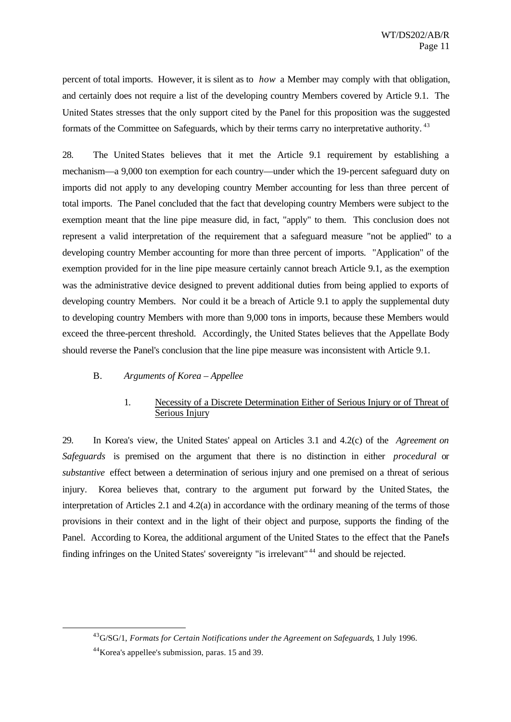percent of total imports. However, it is silent as to *how* a Member may comply with that obligation, and certainly does not require a list of the developing country Members covered by Article 9.1. The United States stresses that the only support cited by the Panel for this proposition was the suggested formats of the Committee on Safeguards, which by their terms carry no interpretative authority.<sup>43</sup>

28. The United States believes that it met the Article 9.1 requirement by establishing a mechanism—a 9,000 ton exemption for each country—under which the 19-percent safeguard duty on imports did not apply to any developing country Member accounting for less than three percent of total imports. The Panel concluded that the fact that developing country Members were subject to the exemption meant that the line pipe measure did, in fact, "apply" to them. This conclusion does not represent a valid interpretation of the requirement that a safeguard measure "not be applied" to a developing country Member accounting for more than three percent of imports. "Application" of the exemption provided for in the line pipe measure certainly cannot breach Article 9.1, as the exemption was the administrative device designed to prevent additional duties from being applied to exports of developing country Members. Nor could it be a breach of Article 9.1 to apply the supplemental duty to developing country Members with more than 9,000 tons in imports, because these Members would exceed the three-percent threshold. Accordingly, the United States believes that the Appellate Body should reverse the Panel's conclusion that the line pipe measure was inconsistent with Article 9.1.

#### B. *Arguments of Korea – Appellee*

# 1. Necessity of a Discrete Determination Either of Serious Injury or of Threat of Serious Injury

29. In Korea's view, the United States' appeal on Articles 3.1 and 4.2(c) of the *Agreement on Safeguards* is premised on the argument that there is no distinction in either *procedural* or *substantive* effect between a determination of serious injury and one premised on a threat of serious injury. Korea believes that, contrary to the argument put forward by the United States, the interpretation of Articles 2.1 and 4.2(a) in accordance with the ordinary meaning of the terms of those provisions in their context and in the light of their object and purpose, supports the finding of the Panel. According to Korea, the additional argument of the United States to the effect that the Panel's finding infringes on the United States' sovereignty "is irrelevant" <sup>44</sup> and should be rejected.

<sup>43</sup>G/SG/1, *Formats for Certain Notifications under the Agreement on Safeguards*, 1 July 1996.

<sup>44</sup>Korea's appellee's submission, paras. 15 and 39.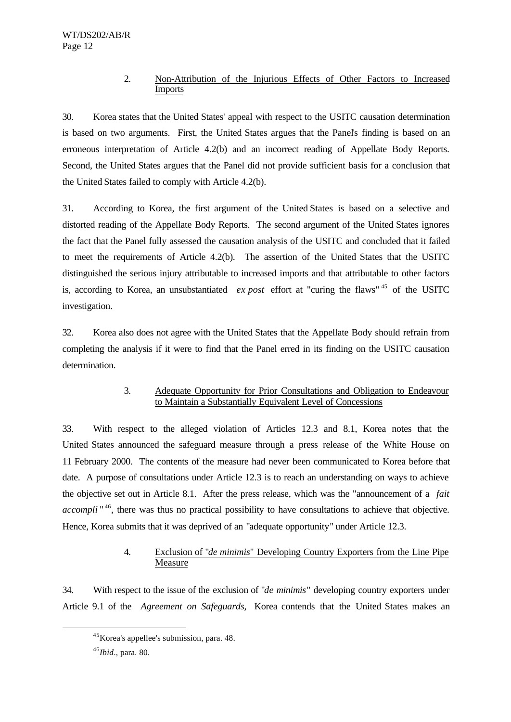# 2. Non-Attribution of the Injurious Effects of Other Factors to Increased Imports

30. Korea states that the United States' appeal with respect to the USITC causation determination is based on two arguments. First, the United States argues that the Panel's finding is based on an erroneous interpretation of Article 4.2(b) and an incorrect reading of Appellate Body Reports. Second, the United States argues that the Panel did not provide sufficient basis for a conclusion that the United States failed to comply with Article 4.2(b).

31. According to Korea, the first argument of the United States is based on a selective and distorted reading of the Appellate Body Reports. The second argument of the United States ignores the fact that the Panel fully assessed the causation analysis of the USITC and concluded that it failed to meet the requirements of Article 4.2(b). The assertion of the United States that the USITC distinguished the serious injury attributable to increased imports and that attributable to other factors is, according to Korea, an unsubstantiated *ex post* effort at "curing the flaws" <sup>45</sup> of the USITC investigation.

32. Korea also does not agree with the United States that the Appellate Body should refrain from completing the analysis if it were to find that the Panel erred in its finding on the USITC causation determination.

## 3. Adequate Opportunity for Prior Consultations and Obligation to Endeavour to Maintain a Substantially Equivalent Level of Concessions

33. With respect to the alleged violation of Articles 12.3 and 8.1, Korea notes that the United States announced the safeguard measure through a press release of the White House on 11 February 2000. The contents of the measure had never been communicated to Korea before that date. A purpose of consultations under Article 12.3 is to reach an understanding on ways to achieve the objective set out in Article 8.1. After the press release, which was the "announcement of a *fait accompli* "<sup>46</sup>, there was thus no practical possibility to have consultations to achieve that objective. Hence, Korea submits that it was deprived of an "adequate opportunity" under Article 12.3.

# 4. Exclusion of "*de minimis*" Developing Country Exporters from the Line Pipe Measure

34. With respect to the issue of the exclusion of "*de minimis*" developing country exporters under Article 9.1 of the *Agreement on Safeguards*, Korea contends that the United States makes an

<sup>45</sup>Korea's appellee's submission, para. 48.

<sup>46</sup>*Ibid*., para. 80.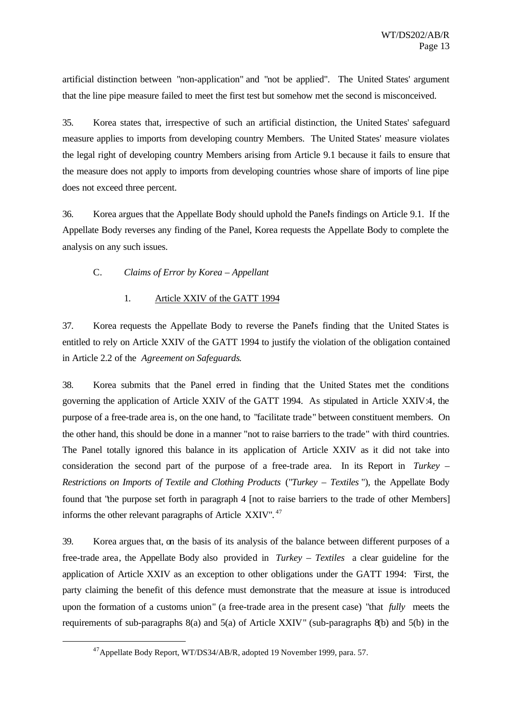artificial distinction between "non-application" and "not be applied". The United States' argument that the line pipe measure failed to meet the first test but somehow met the second is misconceived.

35. Korea states that, irrespective of such an artificial distinction, the United States' safeguard measure applies to imports from developing country Members. The United States' measure violates the legal right of developing country Members arising from Article 9.1 because it fails to ensure that the measure does not apply to imports from developing countries whose share of imports of line pipe does not exceed three percent.

36. Korea argues that the Appellate Body should uphold the Panel's findings on Article 9.1. If the Appellate Body reverses any finding of the Panel, Korea requests the Appellate Body to complete the analysis on any such issues.

## C. *Claims of Error by Korea – Appellant*

## 1. Article XXIV of the GATT 1994

37. Korea requests the Appellate Body to reverse the Panel's finding that the United States is entitled to rely on Article XXIV of the GATT 1994 to justify the violation of the obligation contained in Article 2.2 of the *Agreement on Safeguards*.

38. Korea submits that the Panel erred in finding that the United States met the conditions governing the application of Article XXIV of the GATT 1994. As stipulated in Article XXIV:4, the purpose of a free-trade area is, on the one hand, to "facilitate trade" between constituent members. On the other hand, this should be done in a manner "not to raise barriers to the trade" with third countries. The Panel totally ignored this balance in its application of Article XXIV as it did not take into consideration the second part of the purpose of a free-trade area. In its Report in *Turkey – Restrictions on Imports of Textile and Clothing Products* ("*Turkey – Textiles* "), the Appellate Body found that "the purpose set forth in paragraph 4 [not to raise barriers to the trade of other Members] informs the other relevant paragraphs of Article XXIV". <sup>47</sup>

39. Korea argues that, on the basis of its analysis of the balance between different purposes of a free-trade area, the Appellate Body also provided in *Turkey – Textiles* a clear guideline for the application of Article XXIV as an exception to other obligations under the GATT 1994: "First, the party claiming the benefit of this defence must demonstrate that the measure at issue is introduced upon the formation of a customs union" (a free-trade area in the present case) "that *fully* meets the requirements of sub-paragraphs 8(a) and 5(a) of Article XXIV" (sub-paragraphs 8(b) and 5(b) in the

<sup>47</sup>Appellate Body Report, WT/DS34/AB/R, adopted 19 November 1999, para. 57.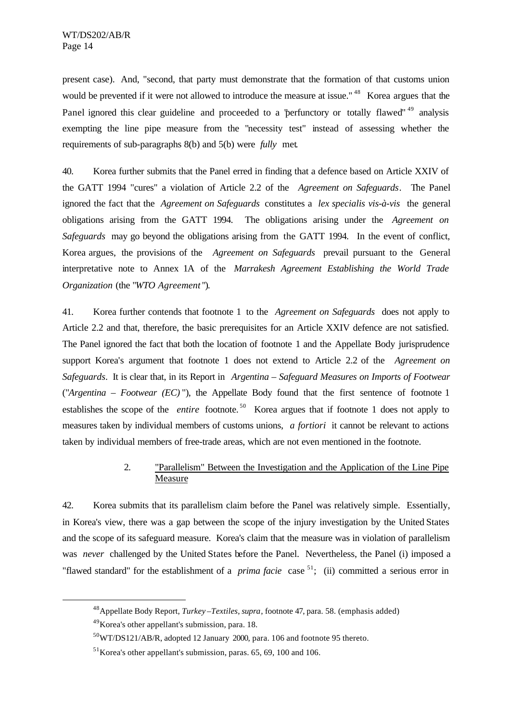present case). And, "second, that party must demonstrate that the formation of that customs union would be prevented if it were not allowed to introduce the measure at issue."<sup>48</sup> Korea argues that the Panel ignored this clear guideline and proceeded to a 'perfunctory or totally flawed" <sup>49</sup> analysis exempting the line pipe measure from the "necessity test" instead of assessing whether the requirements of sub-paragraphs 8(b) and 5(b) were *fully* met.

40. Korea further submits that the Panel erred in finding that a defence based on Article XXIV of the GATT 1994 "cures" a violation of Article 2.2 of the *Agreement on Safeguards*. The Panel ignored the fact that the *Agreement on Safeguards* constitutes a *lex specialis vis-à-vis* the general obligations arising from the GATT 1994. The obligations arising under the *Agreement on Safeguards* may go beyond the obligations arising from the GATT 1994. In the event of conflict, Korea argues, the provisions of the *Agreement on Safeguards* prevail pursuant to the General interpretative note to Annex 1A of the *Marrakesh Agreement Establishing the World Trade Organization* (the "*WTO Agreement* ").

41. Korea further contends that footnote 1 to the *Agreement on Safeguards* does not apply to Article 2.2 and that, therefore, the basic prerequisites for an Article XXIV defence are not satisfied. The Panel ignored the fact that both the location of footnote 1 and the Appellate Body jurisprudence support Korea's argument that footnote 1 does not extend to Article 2.2 of the *Agreement on Safeguards*. It is clear that, in its Report in *Argentina – Safeguard Measures on Imports of Footwear* ("*Argentina – Footwear (EC)* "), the Appellate Body found that the first sentence of footnote 1 establishes the scope of the *entire* footnote.<sup>50</sup> Korea argues that if footnote 1 does not apply to measures taken by individual members of customs unions, *a fortiori* it cannot be relevant to actions taken by individual members of free-trade areas, which are not even mentioned in the footnote.

# 2. "Parallelism" Between the Investigation and the Application of the Line Pipe Measure

42. Korea submits that its parallelism claim before the Panel was relatively simple. Essentially, in Korea's view, there was a gap between the scope of the injury investigation by the United States and the scope of its safeguard measure. Korea's claim that the measure was in violation of parallelism was *never* challenged by the United States before the Panel. Nevertheless, the Panel (i) imposed a "flawed standard" for the establishment of a *prima facie* case  $51$ ; (ii) committed a serious error in

<sup>48</sup>Appellate Body Report, *Turkey –Textiles*, *supra*, footnote 47, para. 58. (emphasis added)

<sup>49</sup>Korea's other appellant's submission, para. 18.

<sup>50</sup>WT/DS121/AB/R, adopted 12 January 2000, para. 106 and footnote 95 thereto.

 $51$ Korea's other appellant's submission, paras. 65, 69, 100 and 106.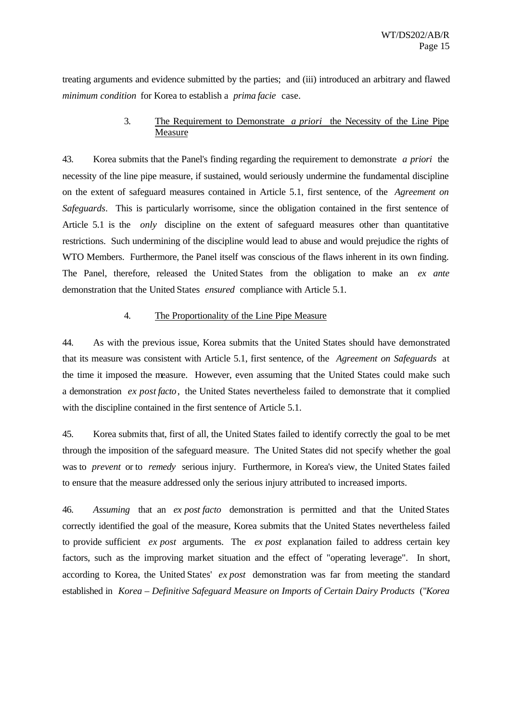treating arguments and evidence submitted by the parties; and (iii) introduced an arbitrary and flawed *minimum condition* for Korea to establish a *prima facie* case.

## 3. The Requirement to Demonstrate *a priori* the Necessity of the Line Pipe Measure

43. Korea submits that the Panel's finding regarding the requirement to demonstrate *a priori* the necessity of the line pipe measure, if sustained, would seriously undermine the fundamental discipline on the extent of safeguard measures contained in Article 5.1, first sentence, of the *Agreement on Safeguards*. This is particularly worrisome, since the obligation contained in the first sentence of Article 5.1 is the *only* discipline on the extent of safeguard measures other than quantitative restrictions. Such undermining of the discipline would lead to abuse and would prejudice the rights of WTO Members. Furthermore, the Panel itself was conscious of the flaws inherent in its own finding. The Panel, therefore, released the United States from the obligation to make an *ex ante* demonstration that the United States *ensured* compliance with Article 5.1.

#### 4. The Proportionality of the Line Pipe Measure

44. As with the previous issue, Korea submits that the United States should have demonstrated that its measure was consistent with Article 5.1, first sentence, of the *Agreement on Safeguards* at the time it imposed the measure. However, even assuming that the United States could make such a demonstration *ex post facto*, the United States nevertheless failed to demonstrate that it complied with the discipline contained in the first sentence of Article 5.1.

45. Korea submits that, first of all, the United States failed to identify correctly the goal to be met through the imposition of the safeguard measure. The United States did not specify whether the goal was to *prevent* or to *remedy* serious injury. Furthermore, in Korea's view, the United States failed to ensure that the measure addressed only the serious injury attributed to increased imports.

46. *Assuming* that an *ex post facto* demonstration is permitted and that the United States correctly identified the goal of the measure, Korea submits that the United States nevertheless failed to provide sufficient *ex post* arguments. The *ex post* explanation failed to address certain key factors, such as the improving market situation and the effect of "operating leverage". In short, according to Korea, the United States' *ex post* demonstration was far from meeting the standard established in *Korea – Definitive Safeguard Measure on Imports of Certain Dairy Products* ("*Korea*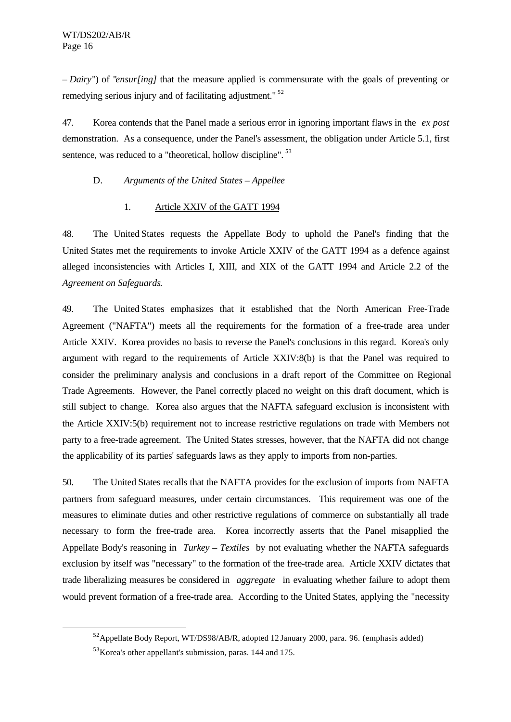*– Dairy*") of "*ensur[ing]* that the measure applied is commensurate with the goals of preventing or remedying serious injury and of facilitating adjustment." <sup>52</sup>

47. Korea contends that the Panel made a serious error in ignoring important flaws in the *ex post* demonstration. As a consequence, under the Panel's assessment, the obligation under Article 5.1, first sentence, was reduced to a "theoretical, hollow discipline". <sup>53</sup>

D. *Arguments of the United States – Appellee*

## 1. Article XXIV of the GATT 1994

48. The United States requests the Appellate Body to uphold the Panel's finding that the United States met the requirements to invoke Article XXIV of the GATT 1994 as a defence against alleged inconsistencies with Articles I, XIII, and XIX of the GATT 1994 and Article 2.2 of the *Agreement on Safeguards*.

49. The United States emphasizes that it established that the North American Free-Trade Agreement ("NAFTA") meets all the requirements for the formation of a free-trade area under Article XXIV. Korea provides no basis to reverse the Panel's conclusions in this regard. Korea's only argument with regard to the requirements of Article XXIV:8(b) is that the Panel was required to consider the preliminary analysis and conclusions in a draft report of the Committee on Regional Trade Agreements. However, the Panel correctly placed no weight on this draft document, which is still subject to change. Korea also argues that the NAFTA safeguard exclusion is inconsistent with the Article XXIV:5(b) requirement not to increase restrictive regulations on trade with Members not party to a free-trade agreement. The United States stresses, however, that the NAFTA did not change the applicability of its parties' safeguards laws as they apply to imports from non-parties.

50. The United States recalls that the NAFTA provides for the exclusion of imports from NAFTA partners from safeguard measures, under certain circumstances. This requirement was one of the measures to eliminate duties and other restrictive regulations of commerce on substantially all trade necessary to form the free-trade area. Korea incorrectly asserts that the Panel misapplied the Appellate Body's reasoning in *Turkey – Textiles* by not evaluating whether the NAFTA safeguards exclusion by itself was "necessary" to the formation of the free-trade area. Article XXIV dictates that trade liberalizing measures be considered in *aggregate* in evaluating whether failure to adopt them would prevent formation of a free-trade area. According to the United States, applying the "necessity

<sup>52</sup>Appellate Body Report, WT/DS98/AB/R, adopted 12 January 2000, para. 96. (emphasis added)

<sup>53</sup>Korea's other appellant's submission, paras. 144 and 175.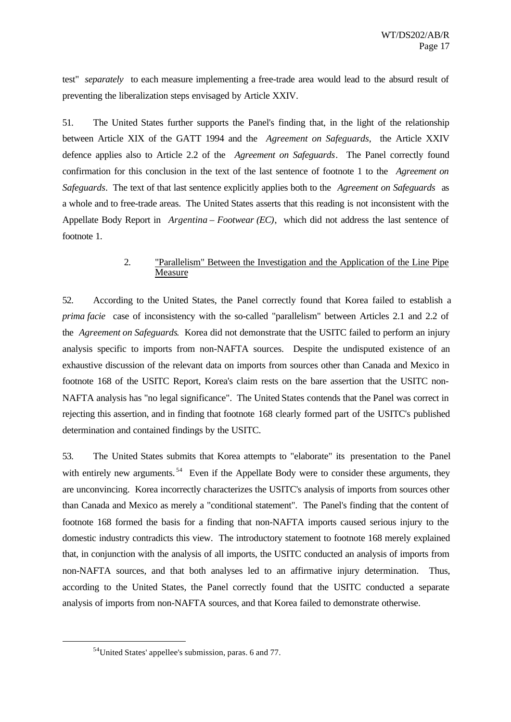test" *separately* to each measure implementing a free-trade area would lead to the absurd result of preventing the liberalization steps envisaged by Article XXIV.

51. The United States further supports the Panel's finding that, in the light of the relationship between Article XIX of the GATT 1994 and the *Agreement on Safeguards*, the Article XXIV defence applies also to Article 2.2 of the *Agreement on Safeguards*. The Panel correctly found confirmation for this conclusion in the text of the last sentence of footnote 1 to the *Agreement on Safeguards*. The text of that last sentence explicitly applies both to the *Agreement on Safeguards* as a whole and to free-trade areas. The United States asserts that this reading is not inconsistent with the Appellate Body Report in *Argentina – Footwear (EC)*, which did not address the last sentence of footnote 1.

# 2. "Parallelism" Between the Investigation and the Application of the Line Pipe Measure

52. According to the United States, the Panel correctly found that Korea failed to establish a *prima facie* case of inconsistency with the so-called "parallelism" between Articles 2.1 and 2.2 of the *Agreement on Safeguards*. Korea did not demonstrate that the USITC failed to perform an injury analysis specific to imports from non-NAFTA sources. Despite the undisputed existence of an exhaustive discussion of the relevant data on imports from sources other than Canada and Mexico in footnote 168 of the USITC Report, Korea's claim rests on the bare assertion that the USITC non-NAFTA analysis has "no legal significance". The United States contends that the Panel was correct in rejecting this assertion, and in finding that footnote 168 clearly formed part of the USITC's published determination and contained findings by the USITC.

53. The United States submits that Korea attempts to "elaborate" its presentation to the Panel with entirely new arguments.<sup>54</sup> Even if the Appellate Body were to consider these arguments, they are unconvincing. Korea incorrectly characterizes the USITC's analysis of imports from sources other than Canada and Mexico as merely a "conditional statement". The Panel's finding that the content of footnote 168 formed the basis for a finding that non-NAFTA imports caused serious injury to the domestic industry contradicts this view. The introductory statement to footnote 168 merely explained that, in conjunction with the analysis of all imports, the USITC conducted an analysis of imports from non-NAFTA sources, and that both analyses led to an affirmative injury determination. Thus, according to the United States, the Panel correctly found that the USITC conducted a separate analysis of imports from non-NAFTA sources, and that Korea failed to demonstrate otherwise.

<sup>54</sup>United States' appellee's submission, paras. 6 and 77.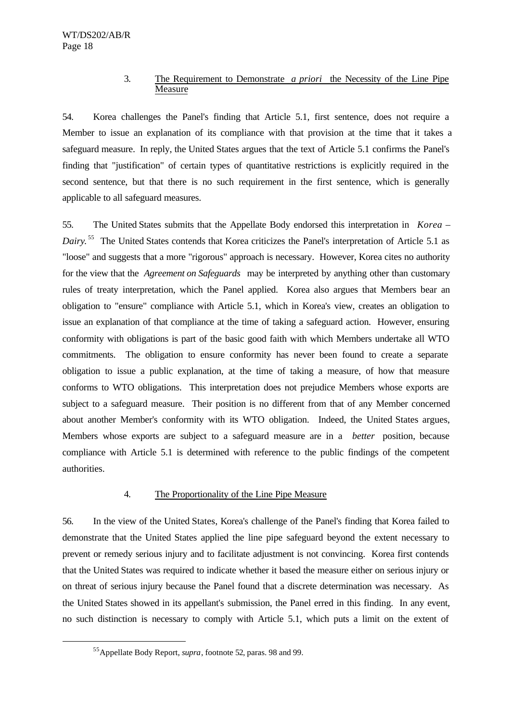## 3. The Requirement to Demonstrate *a priori* the Necessity of the Line Pipe Measure

54. Korea challenges the Panel's finding that Article 5.1, first sentence, does not require a Member to issue an explanation of its compliance with that provision at the time that it takes a safeguard measure. In reply, the United States argues that the text of Article 5.1 confirms the Panel's finding that "justification" of certain types of quantitative restrictions is explicitly required in the second sentence, but that there is no such requirement in the first sentence, which is generally applicable to all safeguard measures.

55. The United States submits that the Appellate Body endorsed this interpretation in *Korea – Dairy*. <sup>55</sup> The United States contends that Korea criticizes the Panel's interpretation of Article 5.1 as "loose" and suggests that a more "rigorous" approach is necessary. However, Korea cites no authority for the view that the *Agreement on Safeguards* may be interpreted by anything other than customary rules of treaty interpretation, which the Panel applied. Korea also argues that Members bear an obligation to "ensure" compliance with Article 5.1, which in Korea's view, creates an obligation to issue an explanation of that compliance at the time of taking a safeguard action. However, ensuring conformity with obligations is part of the basic good faith with which Members undertake all WTO commitments. The obligation to ensure conformity has never been found to create a separate obligation to issue a public explanation, at the time of taking a measure, of how that measure conforms to WTO obligations. This interpretation does not prejudice Members whose exports are subject to a safeguard measure. Their position is no different from that of any Member concerned about another Member's conformity with its WTO obligation. Indeed, the United States argues, Members whose exports are subject to a safeguard measure are in a *better* position, because compliance with Article 5.1 is determined with reference to the public findings of the competent authorities.

#### 4. The Proportionality of the Line Pipe Measure

56. In the view of the United States, Korea's challenge of the Panel's finding that Korea failed to demonstrate that the United States applied the line pipe safeguard beyond the extent necessary to prevent or remedy serious injury and to facilitate adjustment is not convincing. Korea first contends that the United States was required to indicate whether it based the measure either on serious injury or on threat of serious injury because the Panel found that a discrete determination was necessary. As the United States showed in its appellant's submission, the Panel erred in this finding. In any event, no such distinction is necessary to comply with Article 5.1, which puts a limit on the extent of

<sup>55</sup>Appellate Body Report, *supra*, footnote 52, paras. 98 and 99.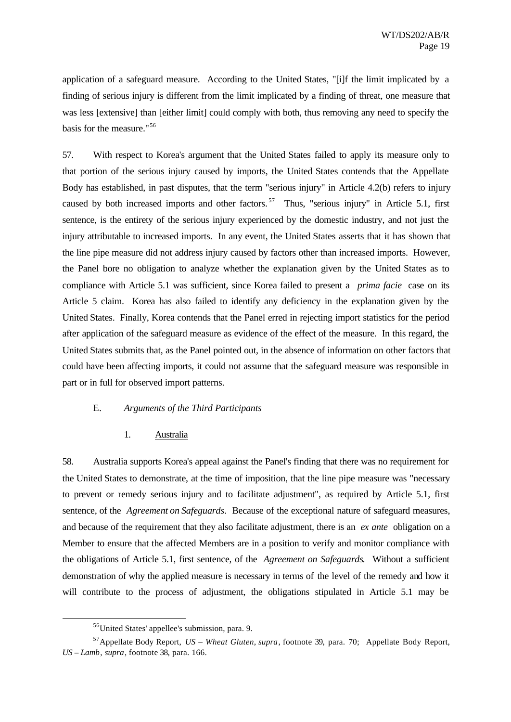application of a safeguard measure. According to the United States, "[i]f the limit implicated by a finding of serious injury is different from the limit implicated by a finding of threat, one measure that was less [extensive] than [either limit] could comply with both, thus removing any need to specify the basis for the measure."<sup>56</sup>

57. With respect to Korea's argument that the United States failed to apply its measure only to that portion of the serious injury caused by imports, the United States contends that the Appellate Body has established, in past disputes, that the term "serious injury" in Article 4.2(b) refers to injury caused by both increased imports and other factors.<sup>57</sup> Thus, "serious injury" in Article 5.1, first sentence, is the entirety of the serious injury experienced by the domestic industry, and not just the injury attributable to increased imports. In any event, the United States asserts that it has shown that the line pipe measure did not address injury caused by factors other than increased imports. However, the Panel bore no obligation to analyze whether the explanation given by the United States as to compliance with Article 5.1 was sufficient, since Korea failed to present a *prima facie* case on its Article 5 claim. Korea has also failed to identify any deficiency in the explanation given by the United States. Finally, Korea contends that the Panel erred in rejecting import statistics for the period after application of the safeguard measure as evidence of the effect of the measure. In this regard, the United States submits that, as the Panel pointed out, in the absence of information on other factors that could have been affecting imports, it could not assume that the safeguard measure was responsible in part or in full for observed import patterns.

#### E. *Arguments of the Third Participants*

#### 1. Australia

58. Australia supports Korea's appeal against the Panel's finding that there was no requirement for the United States to demonstrate, at the time of imposition, that the line pipe measure was "necessary to prevent or remedy serious injury and to facilitate adjustment", as required by Article 5.1, first sentence, of the *Agreement on Safeguards*. Because of the exceptional nature of safeguard measures, and because of the requirement that they also facilitate adjustment, there is an *ex ante* obligation on a Member to ensure that the affected Members are in a position to verify and monitor compliance with the obligations of Article 5.1, first sentence, of the *Agreement on Safeguards*. Without a sufficient demonstration of why the applied measure is necessary in terms of the level of the remedy and how it will contribute to the process of adjustment, the obligations stipulated in Article 5.1 may be

<sup>56</sup>United States' appellee's submission, para. 9.

<sup>57</sup>Appellate Body Report, *US – Wheat Gluten*, *supra*, footnote 39, para. 70; Appellate Body Report, *US – Lamb*, *supra*, footnote 38, para. 166.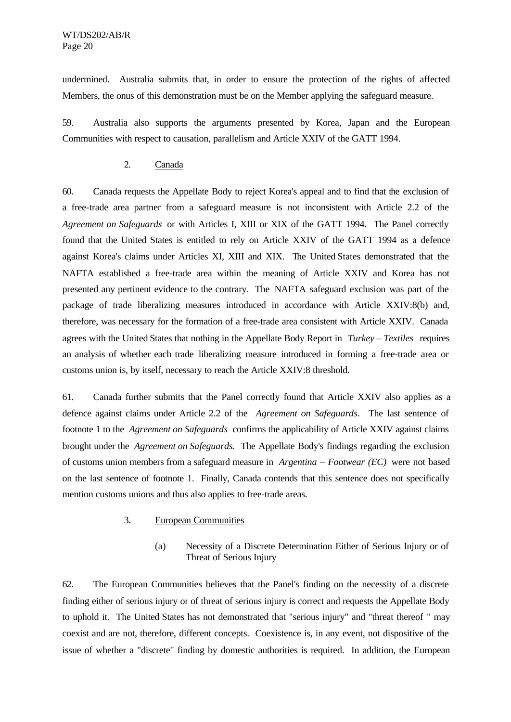undermined. Australia submits that, in order to ensure the protection of the rights of affected Members, the onus of this demonstration must be on the Member applying the safeguard measure.

59. Australia also supports the arguments presented by Korea, Japan and the European Communities with respect to causation, parallelism and Article XXIV of the GATT 1994.

# 2. Canada

60. Canada requests the Appellate Body to reject Korea's appeal and to find that the exclusion of a free-trade area partner from a safeguard measure is not inconsistent with Article 2.2 of the *Agreement on Safeguards* or with Articles I, XIII or XIX of the GATT 1994. The Panel correctly found that the United States is entitled to rely on Article XXIV of the GATT 1994 as a defence against Korea's claims under Articles XI, XIII and XIX. The United States demonstrated that the NAFTA established a free-trade area within the meaning of Article XXIV and Korea has not presented any pertinent evidence to the contrary. The NAFTA safeguard exclusion was part of the package of trade liberalizing measures introduced in accordance with Article XXIV:8(b) and, therefore, was necessary for the formation of a free-trade area consistent with Article XXIV. Canada agrees with the United States that nothing in the Appellate Body Report in *Turkey – Textiles* requires an analysis of whether each trade liberalizing measure introduced in forming a free-trade area or customs union is, by itself, necessary to reach the Article XXIV:8 threshold.

61. Canada further submits that the Panel correctly found that Article XXIV also applies as a defence against claims under Article 2.2 of the *Agreement on Safeguards*. The last sentence of footnote 1 to the *Agreement on Safeguards* confirms the applicability of Article XXIV against claims brought under the *Agreement on Safeguards*. The Appellate Body's findings regarding the exclusion of customs union members from a safeguard measure in *Argentina – Footwear (EC)* were not based on the last sentence of footnote 1. Finally, Canada contends that this sentence does not specifically mention customs unions and thus also applies to free-trade areas.

## 3. European Communities

(a) Necessity of a Discrete Determination Either of Serious Injury or of Threat of Serious Injury

62. The European Communities believes that the Panel's finding on the necessity of a discrete finding either of serious injury or of threat of serious injury is correct and requests the Appellate Body to uphold it. The United States has not demonstrated that "serious injury" and "threat thereof " may coexist and are not, therefore, different concepts. Coexistence is, in any event, not dispositive of the issue of whether a "discrete" finding by domestic authorities is required. In addition, the European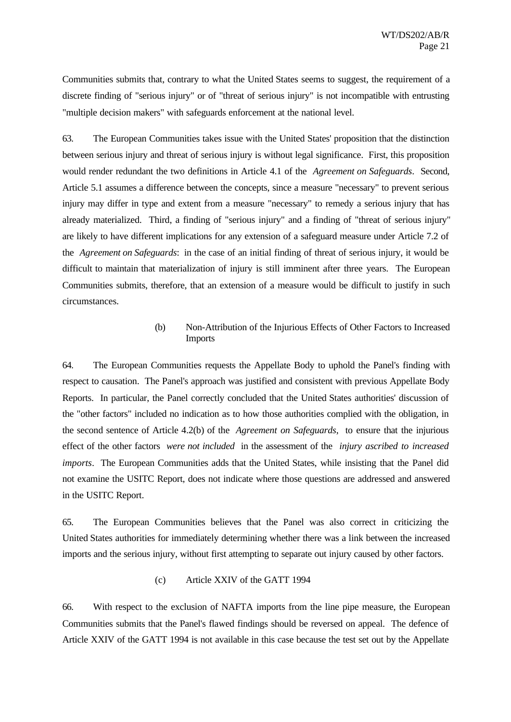Communities submits that, contrary to what the United States seems to suggest, the requirement of a discrete finding of "serious injury" or of "threat of serious injury" is not incompatible with entrusting "multiple decision makers" with safeguards enforcement at the national level.

63. The European Communities takes issue with the United States' proposition that the distinction between serious injury and threat of serious injury is without legal significance. First, this proposition would render redundant the two definitions in Article 4.1 of the *Agreement on Safeguards*. Second, Article 5.1 assumes a difference between the concepts, since a measure "necessary" to prevent serious injury may differ in type and extent from a measure "necessary" to remedy a serious injury that has already materialized. Third, a finding of "serious injury" and a finding of "threat of serious injury" are likely to have different implications for any extension of a safeguard measure under Article 7.2 of the *Agreement on Safeguards*: in the case of an initial finding of threat of serious injury, it would be difficult to maintain that materialization of injury is still imminent after three years. The European Communities submits, therefore, that an extension of a measure would be difficult to justify in such circumstances.

#### (b) Non-Attribution of the Injurious Effects of Other Factors to Increased Imports

64. The European Communities requests the Appellate Body to uphold the Panel's finding with respect to causation. The Panel's approach was justified and consistent with previous Appellate Body Reports. In particular, the Panel correctly concluded that the United States authorities' discussion of the "other factors" included no indication as to how those authorities complied with the obligation, in the second sentence of Article 4.2(b) of the *Agreement on Safeguards*, to ensure that the injurious effect of the other factors *were not included* in the assessment of the *injury ascribed to increased imports*. The European Communities adds that the United States, while insisting that the Panel did not examine the USITC Report, does not indicate where those questions are addressed and answered in the USITC Report.

65. The European Communities believes that the Panel was also correct in criticizing the United States authorities for immediately determining whether there was a link between the increased imports and the serious injury, without first attempting to separate out injury caused by other factors.

#### (c) Article XXIV of the GATT 1994

66. With respect to the exclusion of NAFTA imports from the line pipe measure, the European Communities submits that the Panel's flawed findings should be reversed on appeal. The defence of Article XXIV of the GATT 1994 is not available in this case because the test set out by the Appellate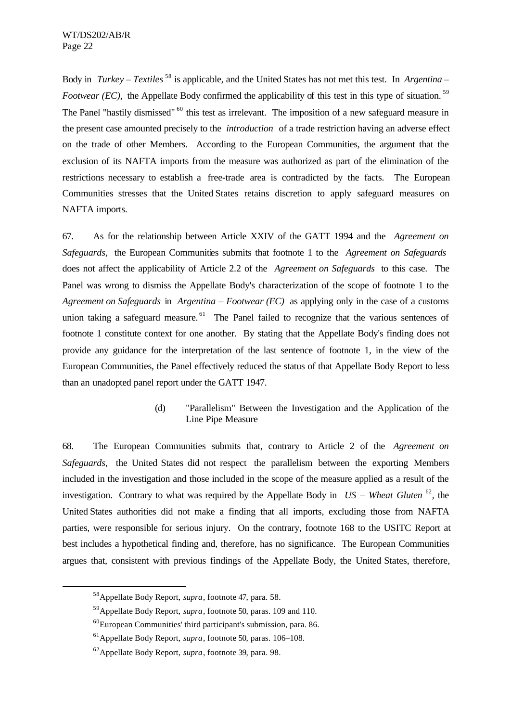Body in *Turkey – Textiles* <sup>58</sup> is applicable, and the United States has not met this test. In *Argentina – Footwear (EC)*, the Appellate Body confirmed the applicability of this test in this type of situation.<sup>59</sup> The Panel "hastily dismissed" <sup>60</sup> this test as irrelevant. The imposition of a new safeguard measure in the present case amounted precisely to the *introduction* of a trade restriction having an adverse effect on the trade of other Members. According to the European Communities, the argument that the exclusion of its NAFTA imports from the measure was authorized as part of the elimination of the restrictions necessary to establish a free-trade area is contradicted by the facts. The European Communities stresses that the United States retains discretion to apply safeguard measures on NAFTA imports.

67. As for the relationship between Article XXIV of the GATT 1994 and the *Agreement on Safeguards*, the European Communities submits that footnote 1 to the *Agreement on Safeguards* does not affect the applicability of Article 2.2 of the *Agreement on Safeguards* to this case. The Panel was wrong to dismiss the Appellate Body's characterization of the scope of footnote 1 to the *Agreement on Safeguards* in *Argentina – Footwear (EC)* as applying only in the case of a customs union taking a safeguard measure.  $61$  The Panel failed to recognize that the various sentences of footnote 1 constitute context for one another. By stating that the Appellate Body's finding does not provide any guidance for the interpretation of the last sentence of footnote 1, in the view of the European Communities, the Panel effectively reduced the status of that Appellate Body Report to less than an unadopted panel report under the GATT 1947.

## (d) "Parallelism" Between the Investigation and the Application of the Line Pipe Measure

68. The European Communities submits that, contrary to Article 2 of the *Agreement on Safeguards*, the United States did not respect the parallelism between the exporting Members included in the investigation and those included in the scope of the measure applied as a result of the investigation. Contrary to what was required by the Appellate Body in *US – Wheat Gluten*<sup>62</sup>, the United States authorities did not make a finding that all imports, excluding those from NAFTA parties, were responsible for serious injury. On the contrary, footnote 168 to the USITC Report at best includes a hypothetical finding and, therefore, has no significance. The European Communities argues that, consistent with previous findings of the Appellate Body, the United States, therefore,

<sup>58</sup>Appellate Body Report, *supra*, footnote 47, para. 58.

<sup>59</sup>Appellate Body Report, *supra*, footnote 50, paras. 109 and 110.

 $^{60}$ European Communities' third participant's submission, para. 86.

<sup>61</sup>Appellate Body Report, *supra*, footnote 50, paras. 106–108.

<sup>62</sup>Appellate Body Report, *supra*, footnote 39, para. 98.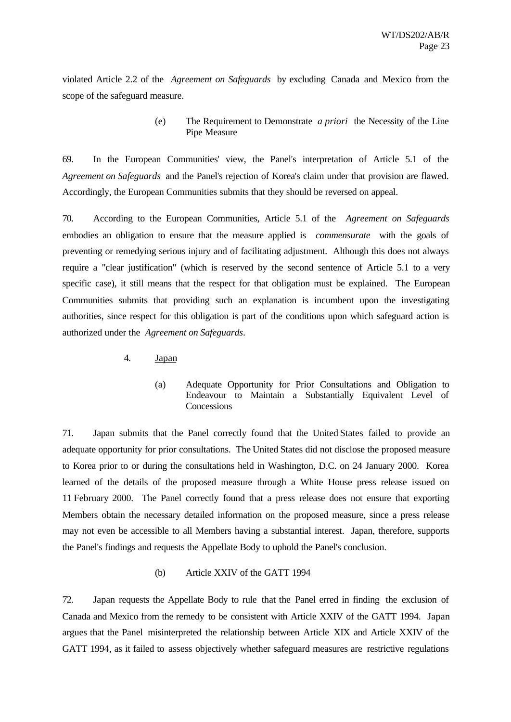violated Article 2.2 of the *Agreement on Safeguards* by excluding Canada and Mexico from the scope of the safeguard measure.

> (e) The Requirement to Demonstrate *a priori* the Necessity of the Line Pipe Measure

69. In the European Communities' view, the Panel's interpretation of Article 5.1 of the *Agreement on Safeguards* and the Panel's rejection of Korea's claim under that provision are flawed. Accordingly, the European Communities submits that they should be reversed on appeal.

70. According to the European Communities, Article 5.1 of the *Agreement on Safeguards* embodies an obligation to ensure that the measure applied is *commensurate* with the goals of preventing or remedying serious injury and of facilitating adjustment. Although this does not always require a "clear justification" (which is reserved by the second sentence of Article 5.1 to a very specific case), it still means that the respect for that obligation must be explained. The European Communities submits that providing such an explanation is incumbent upon the investigating authorities, since respect for this obligation is part of the conditions upon which safeguard action is authorized under the *Agreement on Safeguards*.

- 4. Japan
	- (a) Adequate Opportunity for Prior Consultations and Obligation to Endeavour to Maintain a Substantially Equivalent Level of **Concessions**

71. Japan submits that the Panel correctly found that the United States failed to provide an adequate opportunity for prior consultations. The United States did not disclose the proposed measure to Korea prior to or during the consultations held in Washington, D.C. on 24 January 2000. Korea learned of the details of the proposed measure through a White House press release issued on 11 February 2000. The Panel correctly found that a press release does not ensure that exporting Members obtain the necessary detailed information on the proposed measure, since a press release may not even be accessible to all Members having a substantial interest. Japan, therefore, supports the Panel's findings and requests the Appellate Body to uphold the Panel's conclusion.

(b) Article XXIV of the GATT 1994

72. Japan requests the Appellate Body to rule that the Panel erred in finding the exclusion of Canada and Mexico from the remedy to be consistent with Article XXIV of the GATT 1994. Japan argues that the Panel misinterpreted the relationship between Article XIX and Article XXIV of the GATT 1994, as it failed to assess objectively whether safeguard measures are restrictive regulations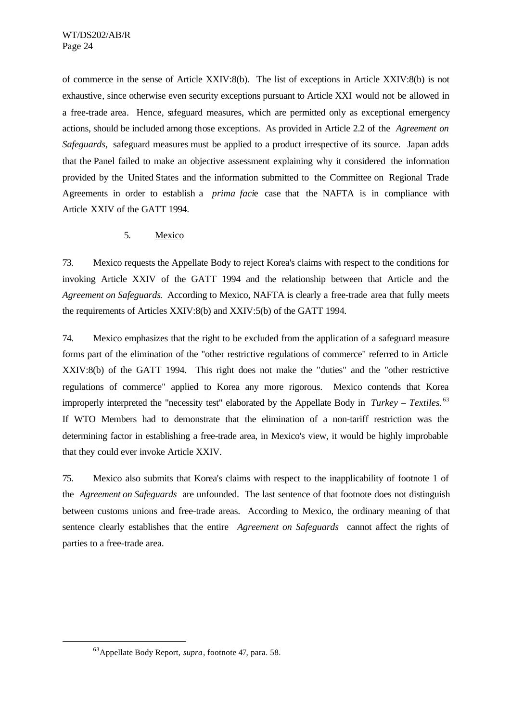of commerce in the sense of Article XXIV:8(b). The list of exceptions in Article XXIV:8(b) is not exhaustive, since otherwise even security exceptions pursuant to Article XXI would not be allowed in a free-trade area. Hence, safeguard measures, which are permitted only as exceptional emergency actions, should be included among those exceptions. As provided in Article 2.2 of the *Agreement on Safeguards*, safeguard measures must be applied to a product irrespective of its source. Japan adds that the Panel failed to make an objective assessment explaining why it considered the information provided by the United States and the information submitted to the Committee on Regional Trade Agreements in order to establish a *prima faci*e case that the NAFTA is in compliance with Article XXIV of the GATT 1994.

## 5. Mexico

73. Mexico requests the Appellate Body to reject Korea's claims with respect to the conditions for invoking Article XXIV of the GATT 1994 and the relationship between that Article and the *Agreement on Safeguards*. According to Mexico, NAFTA is clearly a free-trade area that fully meets the requirements of Articles XXIV:8(b) and XXIV:5(b) of the GATT 1994.

74. Mexico emphasizes that the right to be excluded from the application of a safeguard measure forms part of the elimination of the "other restrictive regulations of commerce" referred to in Article XXIV:8(b) of the GATT 1994. This right does not make the "duties" and the "other restrictive regulations of commerce" applied to Korea any more rigorous. Mexico contends that Korea improperly interpreted the "necessity test" elaborated by the Appellate Body in *Turkey – Textiles*. 63 If WTO Members had to demonstrate that the elimination of a non-tariff restriction was the determining factor in establishing a free-trade area, in Mexico's view, it would be highly improbable that they could ever invoke Article XXIV.

75. Mexico also submits that Korea's claims with respect to the inapplicability of footnote 1 of the *Agreement on Safeguards* are unfounded. The last sentence of that footnote does not distinguish between customs unions and free-trade areas. According to Mexico, the ordinary meaning of that sentence clearly establishes that the entire *Agreement on Safeguards* cannot affect the rights of parties to a free-trade area.

<sup>63</sup>Appellate Body Report, *supra*, footnote 47, para. 58.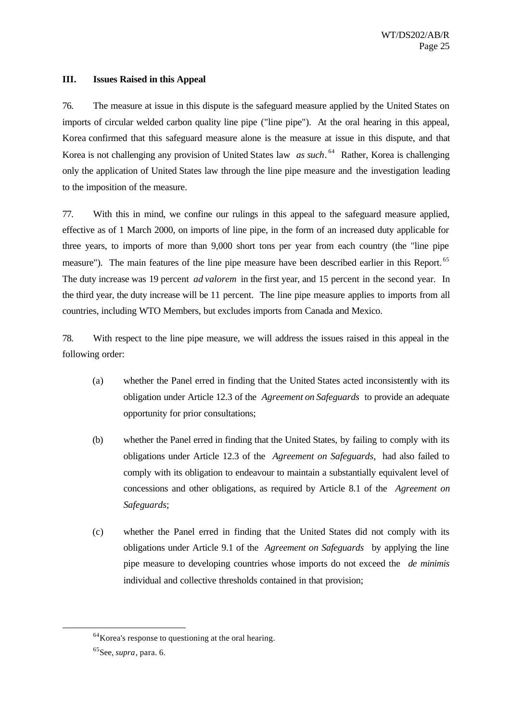#### **III. Issues Raised in this Appeal**

76. The measure at issue in this dispute is the safeguard measure applied by the United States on imports of circular welded carbon quality line pipe ("line pipe"). At the oral hearing in this appeal, Korea confirmed that this safeguard measure alone is the measure at issue in this dispute, and that Korea is not challenging any provision of United States law *as such*. <sup>64</sup> Rather, Korea is challenging only the application of United States law through the line pipe measure and the investigation leading to the imposition of the measure.

77. With this in mind, we confine our rulings in this appeal to the safeguard measure applied, effective as of 1 March 2000, on imports of line pipe, in the form of an increased duty applicable for three years, to imports of more than 9,000 short tons per year from each country (the "line pipe measure"). The main features of the line pipe measure have been described earlier in this Report. <sup>65</sup> The duty increase was 19 percent *ad valorem* in the first year, and 15 percent in the second year. In the third year, the duty increase will be 11 percent. The line pipe measure applies to imports from all countries, including WTO Members, but excludes imports from Canada and Mexico.

78. With respect to the line pipe measure, we will address the issues raised in this appeal in the following order:

- (a) whether the Panel erred in finding that the United States acted inconsistently with its obligation under Article 12.3 of the *Agreement on Safeguards* to provide an adequate opportunity for prior consultations;
- (b) whether the Panel erred in finding that the United States, by failing to comply with its obligations under Article 12.3 of the *Agreement on Safeguards*, had also failed to comply with its obligation to endeavour to maintain a substantially equivalent level of concessions and other obligations, as required by Article 8.1 of the *Agreement on Safeguards*;
- (c) whether the Panel erred in finding that the United States did not comply with its obligations under Article 9.1 of the *Agreement on Safeguards* by applying the line pipe measure to developing countries whose imports do not exceed the *de minimis* individual and collective thresholds contained in that provision;

 $64$ Korea's response to questioning at the oral hearing.

<sup>65</sup>See, *supra*, para. 6.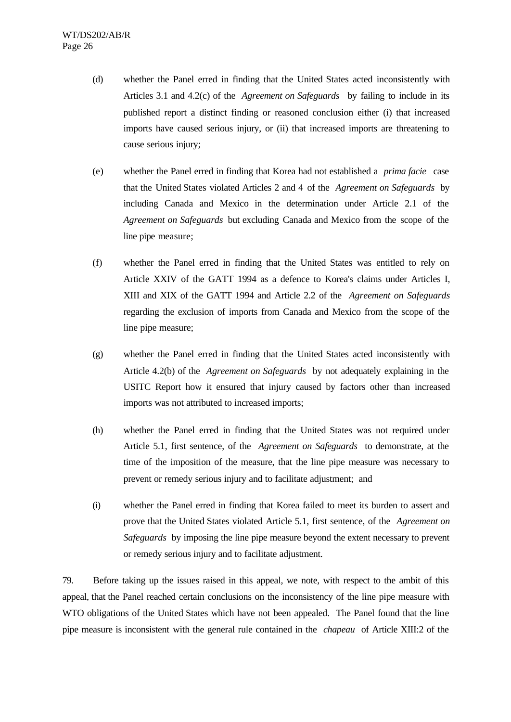- (d) whether the Panel erred in finding that the United States acted inconsistently with Articles 3.1 and 4.2(c) of the *Agreement on Safeguards* by failing to include in its published report a distinct finding or reasoned conclusion either (i) that increased imports have caused serious injury, or (ii) that increased imports are threatening to cause serious injury;
- (e) whether the Panel erred in finding that Korea had not established a *prima facie* case that the United States violated Articles 2 and 4 of the *Agreement on Safeguards* by including Canada and Mexico in the determination under Article 2.1 of the *Agreement on Safeguards* but excluding Canada and Mexico from the scope of the line pipe measure;
- (f) whether the Panel erred in finding that the United States was entitled to rely on Article XXIV of the GATT 1994 as a defence to Korea's claims under Articles I, XIII and XIX of the GATT 1994 and Article 2.2 of the *Agreement on Safeguards* regarding the exclusion of imports from Canada and Mexico from the scope of the line pipe measure;
- (g) whether the Panel erred in finding that the United States acted inconsistently with Article 4.2(b) of the *Agreement on Safeguards* by not adequately explaining in the USITC Report how it ensured that injury caused by factors other than increased imports was not attributed to increased imports;
- (h) whether the Panel erred in finding that the United States was not required under Article 5.1, first sentence, of the *Agreement on Safeguards* to demonstrate, at the time of the imposition of the measure, that the line pipe measure was necessary to prevent or remedy serious injury and to facilitate adjustment; and
- (i) whether the Panel erred in finding that Korea failed to meet its burden to assert and prove that the United States violated Article 5.1, first sentence, of the *Agreement on Safeguards* by imposing the line pipe measure beyond the extent necessary to prevent or remedy serious injury and to facilitate adjustment.

79. Before taking up the issues raised in this appeal, we note, with respect to the ambit of this appeal, that the Panel reached certain conclusions on the inconsistency of the line pipe measure with WTO obligations of the United States which have not been appealed. The Panel found that the line pipe measure is inconsistent with the general rule contained in the *chapeau* of Article XIII:2 of the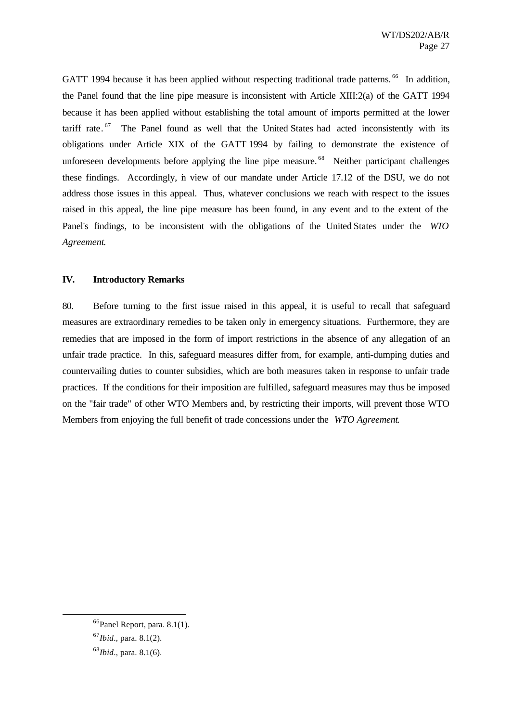GATT 1994 because it has been applied without respecting traditional trade patterns.<sup>66</sup> In addition, the Panel found that the line pipe measure is inconsistent with Article XIII:2(a) of the GATT 1994 because it has been applied without establishing the total amount of imports permitted at the lower tariff rate.<sup>67</sup> The Panel found as well that the United States had acted inconsistently with its obligations under Article XIX of the GATT 1994 by failing to demonstrate the existence of unforeseen developments before applying the line pipe measure.<sup>68</sup> Neither participant challenges these findings. Accordingly, in view of our mandate under Article 17.12 of the DSU, we do not address those issues in this appeal. Thus, whatever conclusions we reach with respect to the issues raised in this appeal, the line pipe measure has been found, in any event and to the extent of the Panel's findings, to be inconsistent with the obligations of the United States under the *WTO Agreement*.

#### **IV. Introductory Remarks**

80. Before turning to the first issue raised in this appeal, it is useful to recall that safeguard measures are extraordinary remedies to be taken only in emergency situations. Furthermore, they are remedies that are imposed in the form of import restrictions in the absence of any allegation of an unfair trade practice. In this, safeguard measures differ from, for example, anti-dumping duties and countervailing duties to counter subsidies, which are both measures taken in response to unfair trade practices. If the conditions for their imposition are fulfilled, safeguard measures may thus be imposed on the "fair trade" of other WTO Members and, by restricting their imports, will prevent those WTO Members from enjoying the full benefit of trade concessions under the *WTO Agreement*.

 $66$ Panel Report, para. 8.1(1).

<sup>67</sup>*Ibid*., para. 8.1(2).

<sup>68</sup>*Ibid*., para. 8.1(6).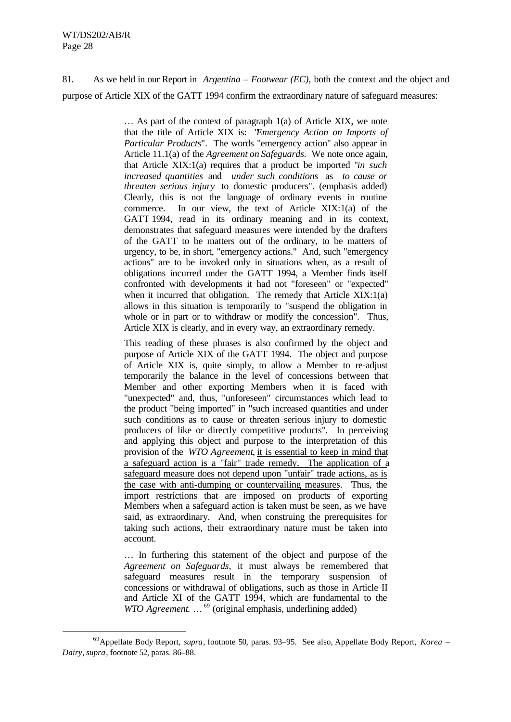l

81. As we held in our Report in *Argentina – Footwear (EC)*, both the context and the object and purpose of Article XIX of the GATT 1994 confirm the extraordinary nature of safeguard measures:

> … As part of the context of paragraph 1(a) of Article XIX, we note that the title of Article XIX is: "*Emergency Action on Imports of Particular Products*". The words "emergency action" also appear in Article 11.1(a) of the *Agreement on Safeguards*. We note once again, that Article XIX:1(a) requires that a product be imported "*in such increased quantities* and *under such conditions* as *to cause or threaten serious injury* to domestic producers". (emphasis added) Clearly, this is not the language of ordinary events in routine commerce. In our view, the text of Article XIX:1(a) of the GATT 1994, read in its ordinary meaning and in its context, demonstrates that safeguard measures were intended by the drafters of the GATT to be matters out of the ordinary, to be matters of urgency, to be, in short, "emergency actions." And, such "emergency actions" are to be invoked only in situations when, as a result of obligations incurred under the GATT 1994, a Member finds itself confronted with developments it had not "foreseen" or "expected" when it incurred that obligation. The remedy that Article XIX:1(a) allows in this situation is temporarily to "suspend the obligation in whole or in part or to withdraw or modify the concession". Thus, Article XIX is clearly, and in every way, an extraordinary remedy.

> This reading of these phrases is also confirmed by the object and purpose of Article XIX of the GATT 1994. The object and purpose of Article XIX is, quite simply, to allow a Member to re-adjust temporarily the balance in the level of concessions between that Member and other exporting Members when it is faced with "unexpected" and, thus, "unforeseen" circumstances which lead to the product "being imported" in "such increased quantities and under such conditions as to cause or threaten serious injury to domestic producers of like or directly competitive products". In perceiving and applying this object and purpose to the interpretation of this provision of the *WTO Agreement*, it is essential to keep in mind that a safeguard action is a "fair" trade remedy. The application of a safeguard measure does not depend upon "unfair" trade actions, as is the case with anti-dumping or countervailing measures. Thus, the import restrictions that are imposed on products of exporting Members when a safeguard action is taken must be seen, as we have said, as extraordinary. And, when construing the prerequisites for taking such actions, their extraordinary nature must be taken into account.

> … In furthering this statement of the object and purpose of the *Agreement on Safeguards*, it must always be remembered that safeguard measures result in the temporary suspension of concessions or withdrawal of obligations, such as those in Article II and Article XI of the GATT 1994, which are fundamental to the *WTO Agreement.* ...<sup>69</sup> (original emphasis, underlining added)

<sup>69</sup>Appellate Body Report, *supra*, footnote 50, paras. 93–95. See also, Appellate Body Report, *Korea – Dairy*, *supra*, footnote 52, paras. 86–88.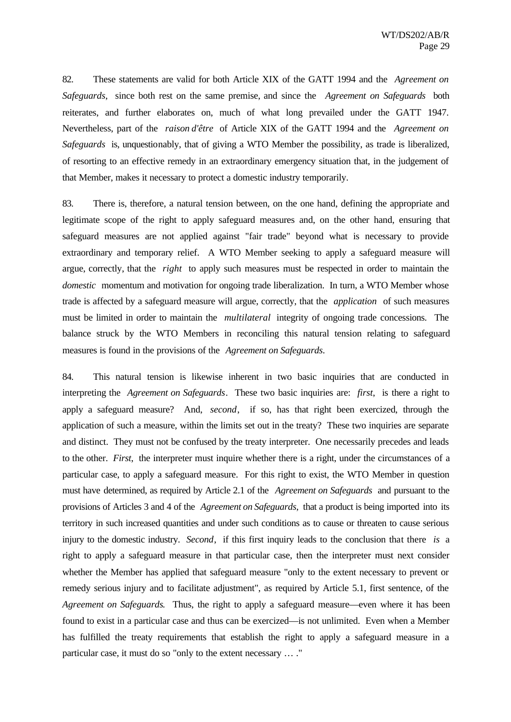82. These statements are valid for both Article XIX of the GATT 1994 and the *Agreement on Safeguards*, since both rest on the same premise, and since the *Agreement on Safeguards* both reiterates, and further elaborates on, much of what long prevailed under the GATT 1947. Nevertheless, part of the *raison d'être* of Article XIX of the GATT 1994 and the *Agreement on Safeguards* is, unquestionably, that of giving a WTO Member the possibility, as trade is liberalized, of resorting to an effective remedy in an extraordinary emergency situation that, in the judgement of that Member, makes it necessary to protect a domestic industry temporarily.

83. There is, therefore, a natural tension between, on the one hand, defining the appropriate and legitimate scope of the right to apply safeguard measures and, on the other hand, ensuring that safeguard measures are not applied against "fair trade" beyond what is necessary to provide extraordinary and temporary relief. A WTO Member seeking to apply a safeguard measure will argue, correctly, that the *right* to apply such measures must be respected in order to maintain the *domestic* momentum and motivation for ongoing trade liberalization. In turn, a WTO Member whose trade is affected by a safeguard measure will argue, correctly, that the *application* of such measures must be limited in order to maintain the *multilateral* integrity of ongoing trade concessions. The balance struck by the WTO Members in reconciling this natural tension relating to safeguard measures is found in the provisions of the *Agreement on Safeguards*.

84. This natural tension is likewise inherent in two basic inquiries that are conducted in interpreting the *Agreement on Safeguards*. These two basic inquiries are: *first*, is there a right to apply a safeguard measure? And, *second*, if so, has that right been exercized, through the application of such a measure, within the limits set out in the treaty? These two inquiries are separate and distinct. They must not be confused by the treaty interpreter. One necessarily precedes and leads to the other. *First*, the interpreter must inquire whether there is a right, under the circumstances of a particular case, to apply a safeguard measure. For this right to exist, the WTO Member in question must have determined, as required by Article 2.1 of the *Agreement on Safeguards* and pursuant to the provisions of Articles 3 and 4 of the *Agreement on Safeguards*, that a product is being imported into its territory in such increased quantities and under such conditions as to cause or threaten to cause serious injury to the domestic industry. *Second*, if this first inquiry leads to the conclusion that there *is* a right to apply a safeguard measure in that particular case, then the interpreter must next consider whether the Member has applied that safeguard measure "only to the extent necessary to prevent or remedy serious injury and to facilitate adjustment", as required by Article 5.1, first sentence, of the *Agreement on Safeguards*. Thus, the right to apply a safeguard measure—even where it has been found to exist in a particular case and thus can be exercized—is not unlimited. Even when a Member has fulfilled the treaty requirements that establish the right to apply a safeguard measure in a particular case, it must do so "only to the extent necessary … ."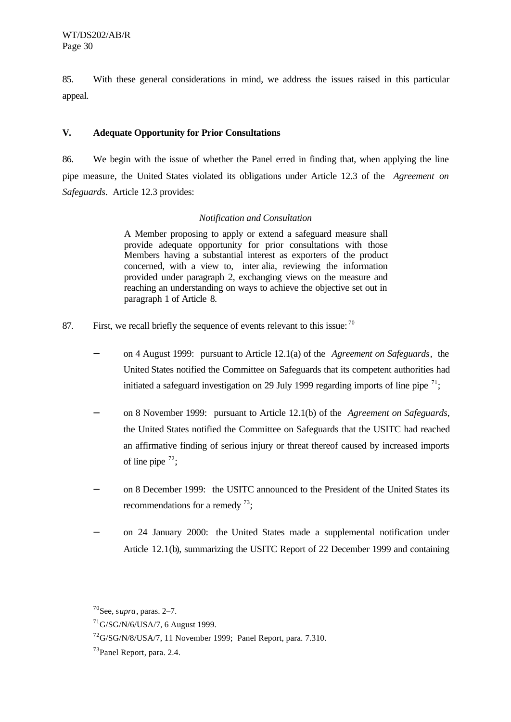85. With these general considerations in mind, we address the issues raised in this particular appeal.

# **V. Adequate Opportunity for Prior Consultations**

86. We begin with the issue of whether the Panel erred in finding that, when applying the line pipe measure, the United States violated its obligations under Article 12.3 of the *Agreement on Safeguards*. Article 12.3 provides:

## *Notification and Consultation*

A Member proposing to apply or extend a safeguard measure shall provide adequate opportunity for prior consultations with those Members having a substantial interest as exporters of the product concerned, with a view to, inter alia, reviewing the information provided under paragraph 2, exchanging views on the measure and reaching an understanding on ways to achieve the objective set out in paragraph 1 of Article 8.

- 87. First, we recall briefly the sequence of events relevant to this issue:  $70$ 
	- − on 4 August 1999: pursuant to Article 12.1(a) of the *Agreement on Safeguards*, the United States notified the Committee on Safeguards that its competent authorities had initiated a safeguard investigation on 29 July 1999 regarding imports of line pipe  $^{71}$ ;
	- − on 8 November 1999: pursuant to Article 12.1(b) of the *Agreement on Safeguards*, the United States notified the Committee on Safeguards that the USITC had reached an affirmative finding of serious injury or threat thereof caused by increased imports of line pipe  $^{72}$ ;
	- on 8 December 1999: the USITC announced to the President of the United States its recommendations for a remedy  $^{73}$ ;
	- − on 24 January 2000: the United States made a supplemental notification under Article 12.1(b), summarizing the USITC Report of 22 December 1999 and containing

<sup>70</sup>See, s*upra*, paras. 2–7.

 ${}^{71}$ G/SG/N/6/USA/7, 6 August 1999.

 $^{72}$ G/SG/N/8/USA/7, 11 November 1999; Panel Report, para. 7.310.

<sup>73</sup>Panel Report, para. 2.4.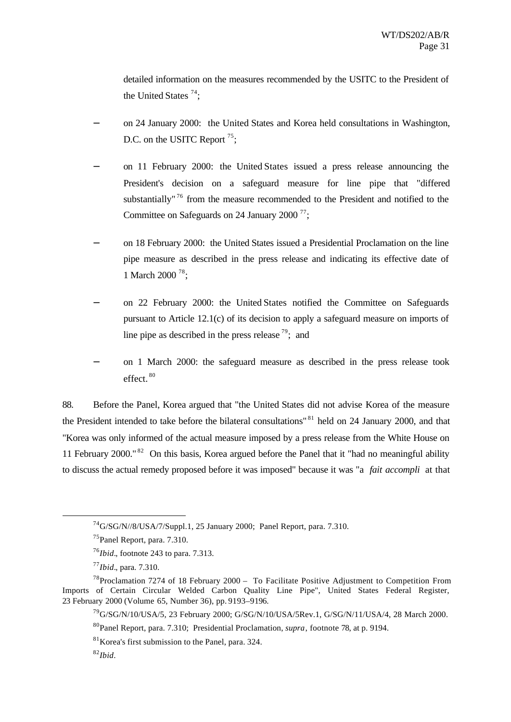detailed information on the measures recommended by the USITC to the President of the United States  $74$ ;

- − on 24 January 2000: the United States and Korea held consultations in Washington, D.C. on the USITC Report<sup>75</sup>;
- − on 11 February 2000: the United States issued a press release announcing the President's decision on a safeguard measure for line pipe that "differed substantially"<sup>76</sup> from the measure recommended to the President and notified to the Committee on Safeguards on 24 January 2000 $^{77}$ ;
- on 18 February 2000: the United States issued a Presidential Proclamation on the line pipe measure as described in the press release and indicating its effective date of 1 March 2000<sup>78</sup>;
- − on 22 February 2000: the United States notified the Committee on Safeguards pursuant to Article 12.1(c) of its decision to apply a safeguard measure on imports of line pipe as described in the press release  $\frac{79}{2}$ ; and
- − on 1 March 2000: the safeguard measure as described in the press release took effect. <sup>80</sup>

88. Before the Panel, Korea argued that "the United States did not advise Korea of the measure the President intended to take before the bilateral consultations<sup>"81</sup> held on 24 January 2000, and that "Korea was only informed of the actual measure imposed by a press release from the White House on 11 February 2000."<sup>82</sup> On this basis, Korea argued before the Panel that it "had no meaningful ability to discuss the actual remedy proposed before it was imposed" because it was "a *fait accompli* at that

 $^{74}$ G/SG/N//8/USA/7/Suppl.1, 25 January 2000; Panel Report, para. 7.310.

<sup>75</sup>Panel Report, para. 7.310.

<sup>76</sup>*Ibid.*, footnote 243 to para. 7.313.

<sup>77</sup>*Ibid.*, para. 7.310.

<sup>&</sup>lt;sup>78</sup>Proclamation 7274 of 18 February 2000 – To Facilitate Positive Adjustment to Competition From Imports of Certain Circular Welded Carbon Quality Line Pipe", United States Federal Register, 23 February 2000 (Volume 65, Number 36), pp. 9193–9196.

<sup>79</sup>G/SG/N/10/USA/5, 23 February 2000; G/SG/N/10/USA/5Rev.1, G/SG/N/11/USA/4, 28 March 2000.

<sup>80</sup>Panel Report, para. 7.310; Presidential Proclamation, *supra*, footnote 78, at p. 9194.

<sup>81</sup>Korea's first submission to the Panel, para. 324.

<sup>82</sup>*Ibid*.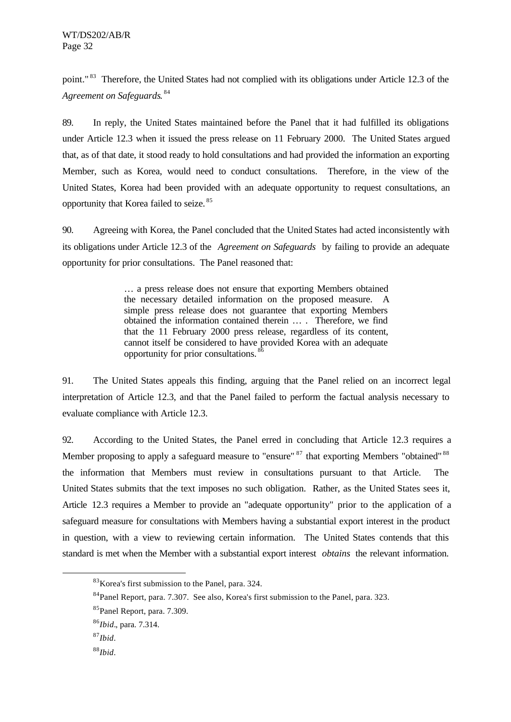point."<sup>83</sup> Therefore, the United States had not complied with its obligations under Article 12.3 of the *Agreement on Safeguards*. 84

89. In reply, the United States maintained before the Panel that it had fulfilled its obligations under Article 12.3 when it issued the press release on 11 February 2000. The United States argued that, as of that date, it stood ready to hold consultations and had provided the information an exporting Member, such as Korea, would need to conduct consultations. Therefore, in the view of the United States, Korea had been provided with an adequate opportunity to request consultations, an opportunity that Korea failed to seize. <sup>85</sup>

90. Agreeing with Korea, the Panel concluded that the United States had acted inconsistently with its obligations under Article 12.3 of the *Agreement on Safeguards* by failing to provide an adequate opportunity for prior consultations. The Panel reasoned that:

> … a press release does not ensure that exporting Members obtained the necessary detailed information on the proposed measure. A simple press release does not guarantee that exporting Members obtained the information contained therein … . Therefore, we find that the 11 February 2000 press release, regardless of its content, cannot itself be considered to have provided Korea with an adequate opportunity for prior consultations.<sup>86</sup>

91. The United States appeals this finding, arguing that the Panel relied on an incorrect legal interpretation of Article 12.3, and that the Panel failed to perform the factual analysis necessary to evaluate compliance with Article 12.3.

92. According to the United States, the Panel erred in concluding that Article 12.3 requires a Member proposing to apply a safeguard measure to "ensure" <sup>87</sup> that exporting Members "obtained" <sup>88</sup> the information that Members must review in consultations pursuant to that Article. The United States submits that the text imposes no such obligation. Rather, as the United States sees it, Article 12.3 requires a Member to provide an "adequate opportunity" prior to the application of a safeguard measure for consultations with Members having a substantial export interest in the product in question, with a view to reviewing certain information. The United States contends that this standard is met when the Member with a substantial export interest *obtains* the relevant information.

<sup>83</sup>Korea's first submission to the Panel, para. 324.

<sup>84</sup>Panel Report, para. 7.307. See also, Korea's first submission to the Panel, para. 323.

<sup>85</sup>Panel Report, para. 7.309.

<sup>86</sup>*Ibid.*, para. 7.314.

<sup>87</sup>*Ibid*.

<sup>88</sup>*Ibid*.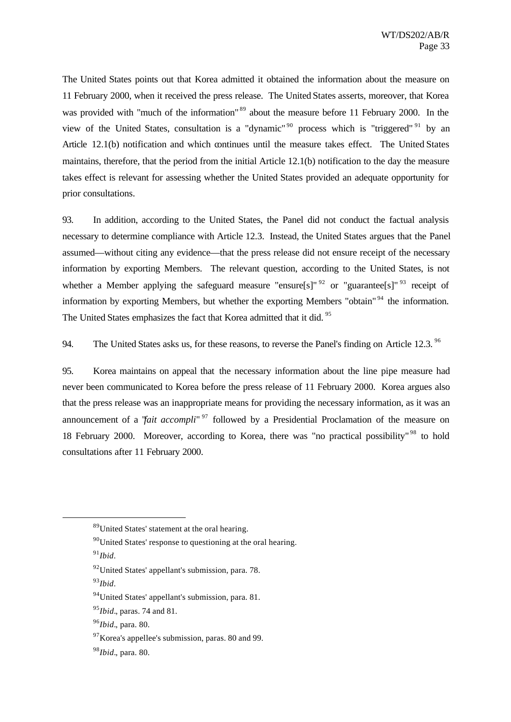The United States points out that Korea admitted it obtained the information about the measure on 11 February 2000, when it received the press release. The United States asserts, moreover, that Korea was provided with "much of the information"<sup>89</sup> about the measure before 11 February 2000. In the view of the United States, consultation is a "dynamic" <sup>90</sup> process which is "triggered" <sup>91</sup> by an Article 12.1(b) notification and which continues until the measure takes effect. The United States maintains, therefore, that the period from the initial Article 12.1(b) notification to the day the measure takes effect is relevant for assessing whether the United States provided an adequate opportunity for prior consultations.

93. In addition, according to the United States, the Panel did not conduct the factual analysis necessary to determine compliance with Article 12.3. Instead, the United States argues that the Panel assumed—without citing any evidence—that the press release did not ensure receipt of the necessary information by exporting Members. The relevant question, according to the United States, is not whether a Member applying the safeguard measure "ensure[s]"  $92$  or "guarantee[s]"  $93$  receipt of information by exporting Members, but whether the exporting Members "obtain"<sup>94</sup> the information. The United States emphasizes the fact that Korea admitted that it did.<sup>95</sup>

94. The United States asks us, for these reasons, to reverse the Panel's finding on Article 12.3. <sup>96</sup>

95. Korea maintains on appeal that the necessary information about the line pipe measure had never been communicated to Korea before the press release of 11 February 2000. Korea argues also that the press release was an inappropriate means for providing the necessary information, as it was an announcement of a "*fait accompli*" <sup>97</sup> followed by a Presidential Proclamation of the measure on 18 February 2000. Moreover, according to Korea, there was "no practical possibility"<sup>98</sup> to hold consultations after 11 February 2000.

l

 $93$ *Ibid.* 

<sup>89</sup>United States' statement at the oral hearing.

 $90$ United States' response to questioning at the oral hearing.

 $91$ *Ibid.* 

 $92$ United States' appellant's submission, para. 78.

<sup>94</sup>United States' appellant's submission, para. 81.

<sup>95</sup>*Ibid.*, paras. 74 and 81.

<sup>96</sup>*Ibid.*, para. 80.

 $97$ Korea's appellee's submission, paras. 80 and 99.

<sup>98</sup>*Ibid.*, para. 80.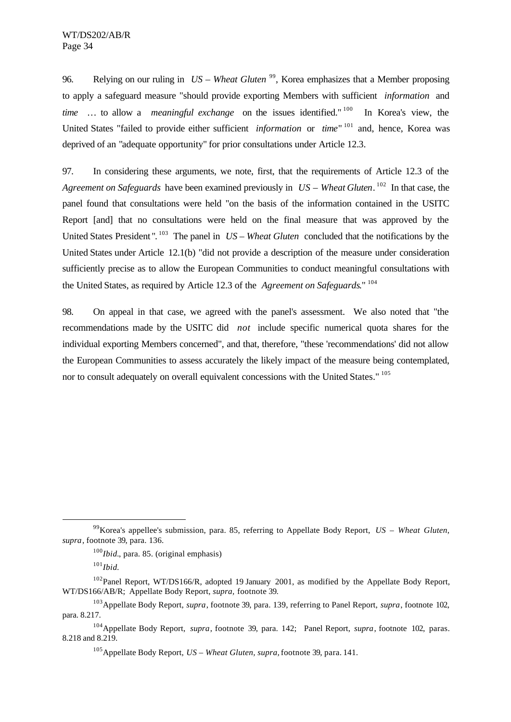96. Relying on our ruling in *US – Wheat Gluten*<sup>99</sup>, Korea emphasizes that a Member proposing to apply a safeguard measure "should provide exporting Members with sufficient *information* and *time* ... to allow a *meaningful exchange* on the issues identified."<sup>100</sup> In Korea's view, the United States "failed to provide either sufficient *information* or *time*" <sup>101</sup> and, hence, Korea was deprived of an "adequate opportunity" for prior consultations under Article 12.3.

97. In considering these arguments, we note, first, that the requirements of Article 12.3 of the *Agreement on Safeguards* have been examined previously in *US – Wheat Gluten*. <sup>102</sup> In that case, the panel found that consultations were held "on the basis of the information contained in the USITC Report [and] that no consultations were held on the final measure that was approved by the United States President ". <sup>103</sup> The panel in *US – Wheat Gluten* concluded that the notifications by the United States under Article 12.1(b) "did not provide a description of the measure under consideration sufficiently precise as to allow the European Communities to conduct meaningful consultations with the United States, as required by Article 12.3 of the *Agreement on Safeguards*." <sup>104</sup>

98. On appeal in that case, we agreed with the panel's assessment. We also noted that "the recommendations made by the USITC did *not* include specific numerical quota shares for the individual exporting Members concerned", and that, therefore, "these 'recommendations' did not allow the European Communities to assess accurately the likely impact of the measure being contemplated, nor to consult adequately on overall equivalent concessions with the United States." <sup>105</sup>

<sup>99</sup>Korea's appellee's submission, para. 85, referring to Appellate Body Report, *US – Wheat Gluten*, *supra*, footnote 39, para. 136.

<sup>100</sup>*Ibid.*, para. 85. (original emphasis)

<sup>101</sup>*Ibid.*

 $102$ Panel Report, WT/DS166/R, adopted 19 January 2001, as modified by the Appellate Body Report, WT/DS166/AB/R; Appellate Body Report, *supra,* footnote 39.

<sup>103</sup>Appellate Body Report, *supra*, footnote 39, para. 139, referring to Panel Report, *supra*, footnote 102, para. 8.217.

<sup>104</sup>Appellate Body Report, *supra*, footnote 39, para. 142; Panel Report, *supra*, footnote 102, paras. 8.218 and 8.219.

<sup>105</sup>Appellate Body Report, *US – Wheat Gluten, supra,* footnote 39, para. 141.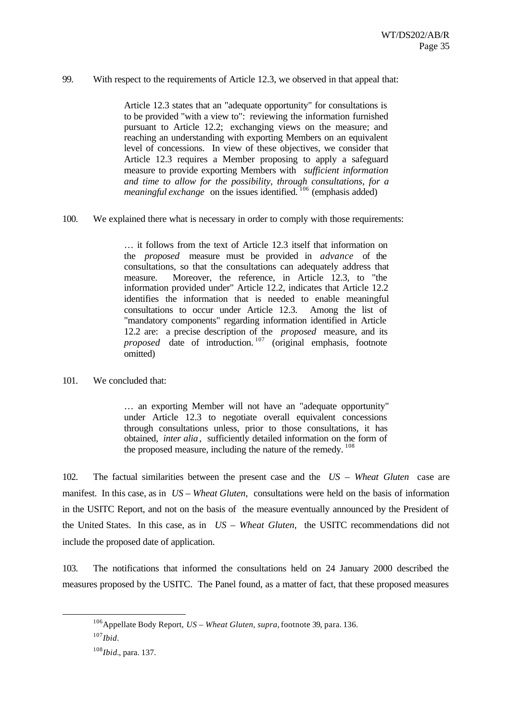### 99. With respect to the requirements of Article 12.3, we observed in that appeal that:

Article 12.3 states that an "adequate opportunity" for consultations is to be provided "with a view to": reviewing the information furnished pursuant to Article 12.2; exchanging views on the measure; and reaching an understanding with exporting Members on an equivalent level of concessions. In view of these objectives, we consider that Article 12.3 requires a Member proposing to apply a safeguard measure to provide exporting Members with *sufficient information and time to allow for the possibility, through consultations, for a meaningful exchange* on the issues identified. <sup>106</sup> (emphasis added)

100. We explained there what is necessary in order to comply with those requirements:

… it follows from the text of Article 12.3 itself that information on the *proposed* measure must be provided in *advance* of the consultations, so that the consultations can adequately address that measure. Moreover, the reference, in Article 12.3, to "the information provided under" Article 12.2, indicates that Article 12.2 identifies the information that is needed to enable meaningful consultations to occur under Article 12.3. Among the list of "mandatory components" regarding information identified in Article 12.2 are: a precise description of the *proposed* measure, and its *proposed* date of introduction.<sup>107</sup> (original emphasis, footnote omitted)

101. We concluded that:

… an exporting Member will not have an "adequate opportunity" under Article 12.3 to negotiate overall equivalent concessions through consultations unless, prior to those consultations, it has obtained, *inter alia*, sufficiently detailed information on the form of the proposed measure, including the nature of the remedy.  $108$ 

102. The factual similarities between the present case and the *US – Wheat Gluten* case are manifest. In this case, as in *US – Wheat Gluten*, consultations were held on the basis of information in the USITC Report, and not on the basis of the measure eventually announced by the President of the United States. In this case, as in *US – Wheat Gluten*, the USITC recommendations did not include the proposed date of application.

103. The notifications that informed the consultations held on 24 January 2000 described the measures proposed by the USITC. The Panel found, as a matter of fact, that these proposed measures

<sup>106</sup>Appellate Body Report, *US – Wheat Gluten, supra,* footnote 39, para. 136.

<sup>107</sup>*Ibid*.

<sup>108</sup>*Ibid.*, para. 137.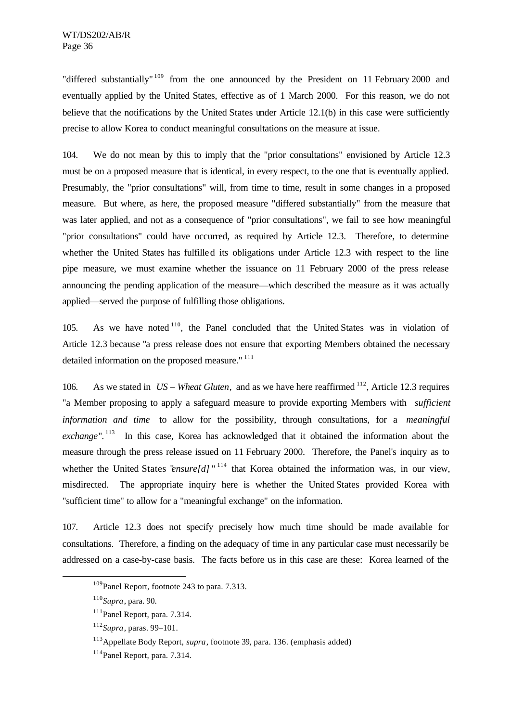"differed substantially"<sup>109</sup> from the one announced by the President on 11 February 2000 and eventually applied by the United States, effective as of 1 March 2000. For this reason, we do not believe that the notifications by the United States under Article 12.1(b) in this case were sufficiently precise to allow Korea to conduct meaningful consultations on the measure at issue.

104. We do not mean by this to imply that the "prior consultations" envisioned by Article 12.3 must be on a proposed measure that is identical, in every respect, to the one that is eventually applied. Presumably, the "prior consultations" will, from time to time, result in some changes in a proposed measure. But where, as here, the proposed measure "differed substantially" from the measure that was later applied, and not as a consequence of "prior consultations", we fail to see how meaningful "prior consultations" could have occurred, as required by Article 12.3. Therefore, to determine whether the United States has fulfilled its obligations under Article 12.3 with respect to the line pipe measure, we must examine whether the issuance on 11 February 2000 of the press release announcing the pending application of the measure—which described the measure as it was actually applied—served the purpose of fulfilling those obligations.

105. As we have noted <sup>110</sup>, the Panel concluded that the United States was in violation of Article 12.3 because "a press release does not ensure that exporting Members obtained the necessary detailed information on the proposed measure."<sup>111</sup>

106. As we stated in *US – Wheat Gluten*, and as we have here reaffirmed <sup>112</sup>, Article 12.3 requires "a Member proposing to apply a safeguard measure to provide exporting Members with *sufficient information and time* to allow for the possibility, through consultations, for a *meaningful* exchange".<sup>113</sup> In this case, Korea has acknowledged that it obtained the information about the measure through the press release issued on 11 February 2000. Therefore, the Panel's inquiry as to whether the United States "*ensure*[ $d$ ]  $^{\text{114}}$  that Korea obtained the information was, in our view, misdirected. The appropriate inquiry here is whether the United States provided Korea with "sufficient time" to allow for a "meaningful exchange" on the information.

107. Article 12.3 does not specify precisely how much time should be made available for consultations. Therefore, a finding on the adequacy of time in any particular case must necessarily be addressed on a case-by-case basis. The facts before us in this case are these: Korea learned of the

<sup>&</sup>lt;sup>109</sup>Panel Report, footnote 243 to para. 7.313.

<sup>110</sup>*Supra*, para. 90.

<sup>111</sup>Panel Report, para. 7.314.

<sup>112</sup>*Supra*, paras. 99–101.

<sup>113</sup>Appellate Body Report, *supra*, footnote 39, para. 136. (emphasis added)

<sup>114</sup>Panel Report, para. 7.314.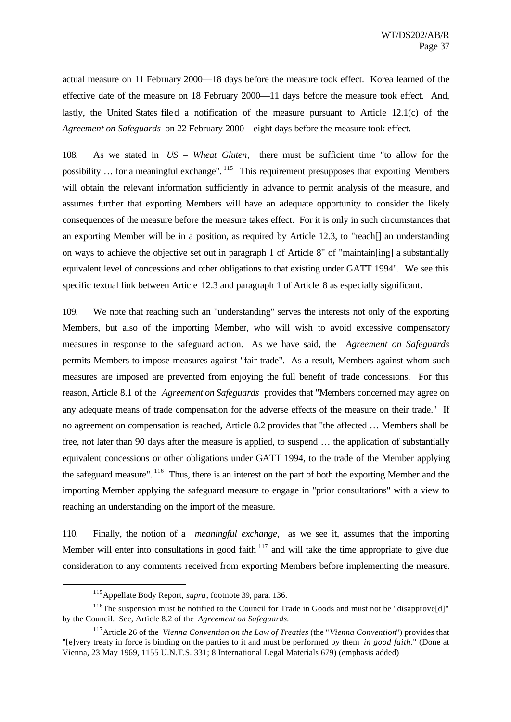actual measure on 11 February 2000—18 days before the measure took effect. Korea learned of the effective date of the measure on 18 February 2000—11 days before the measure took effect. And, lastly, the United States filed a notification of the measure pursuant to Article 12.1(c) of the *Agreement on Safeguards* on 22 February 2000—eight days before the measure took effect.

108. As we stated in *US – Wheat Gluten*, there must be sufficient time "to allow for the possibility  $\ldots$  for a meaningful exchange". <sup>115</sup> This requirement presupposes that exporting Members will obtain the relevant information sufficiently in advance to permit analysis of the measure, and assumes further that exporting Members will have an adequate opportunity to consider the likely consequences of the measure before the measure takes effect. For it is only in such circumstances that an exporting Member will be in a position, as required by Article 12.3, to "reach[] an understanding on ways to achieve the objective set out in paragraph 1 of Article 8" of "maintain[ing] a substantially equivalent level of concessions and other obligations to that existing under GATT 1994". We see this specific textual link between Article 12.3 and paragraph 1 of Article 8 as especially significant.

109. We note that reaching such an "understanding" serves the interests not only of the exporting Members, but also of the importing Member, who will wish to avoid excessive compensatory measures in response to the safeguard action. As we have said, the *Agreement on Safeguards* permits Members to impose measures against "fair trade". As a result, Members against whom such measures are imposed are prevented from enjoying the full benefit of trade concessions. For this reason, Article 8.1 of the *Agreement on Safeguards* provides that "Members concerned may agree on any adequate means of trade compensation for the adverse effects of the measure on their trade." If no agreement on compensation is reached, Article 8.2 provides that "the affected … Members shall be free, not later than 90 days after the measure is applied, to suspend … the application of substantially equivalent concessions or other obligations under GATT 1994, to the trade of the Member applying the safeguard measure". <sup>116</sup> Thus, there is an interest on the part of both the exporting Member and the importing Member applying the safeguard measure to engage in "prior consultations" with a view to reaching an understanding on the import of the measure.

110. Finally, the notion of a *meaningful exchange*, as we see it, assumes that the importing Member will enter into consultations in good faith  $117$  and will take the time appropriate to give due consideration to any comments received from exporting Members before implementing the measure.

<sup>115</sup>Appellate Body Report, *supra*, footnote 39, para. 136.

 $116$ The suspension must be notified to the Council for Trade in Goods and must not be "disapprove[d]" by the Council. See, Article 8.2 of the *Agreement on Safeguards.*

<sup>117</sup>Article 26 of the *Vienna Convention on the Law of Treaties* (the "*Vienna Convention*") provides that "[e]very treaty in force is binding on the parties to it and must be performed by them *in good faith*." (Done at Vienna, 23 May 1969, 1155 U.N.T.S. 331; 8 International Legal Materials 679) (emphasis added)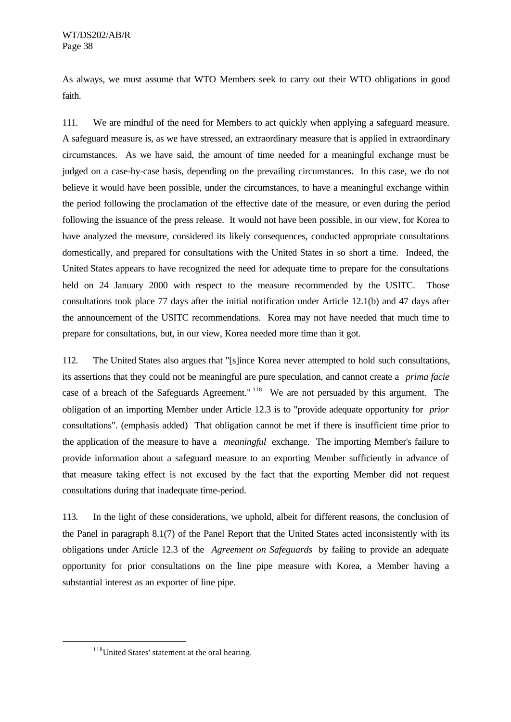As always, we must assume that WTO Members seek to carry out their WTO obligations in good faith.

111. We are mindful of the need for Members to act quickly when applying a safeguard measure. A safeguard measure is, as we have stressed, an extraordinary measure that is applied in extraordinary circumstances. As we have said, the amount of time needed for a meaningful exchange must be judged on a case-by-case basis, depending on the prevailing circumstances. In this case, we do not believe it would have been possible, under the circumstances, to have a meaningful exchange within the period following the proclamation of the effective date of the measure, or even during the period following the issuance of the press release. It would not have been possible, in our view, for Korea to have analyzed the measure, considered its likely consequences, conducted appropriate consultations domestically, and prepared for consultations with the United States in so short a time. Indeed, the United States appears to have recognized the need for adequate time to prepare for the consultations held on 24 January 2000 with respect to the measure recommended by the USITC. Those consultations took place 77 days after the initial notification under Article 12.1(b) and 47 days after the announcement of the USITC recommendations. Korea may not have needed that much time to prepare for consultations, but, in our view, Korea needed more time than it got.

112. The United States also argues that "[s]ince Korea never attempted to hold such consultations, its assertions that they could not be meaningful are pure speculation, and cannot create a *prima facie* case of a breach of the Safeguards Agreement." <sup>118</sup> We are not persuaded by this argument. The obligation of an importing Member under Article 12.3 is to "provide adequate opportunity for *prior* consultations". (emphasis added) That obligation cannot be met if there is insufficient time prior to the application of the measure to have a *meaningful* exchange. The importing Member's failure to provide information about a safeguard measure to an exporting Member sufficiently in advance of that measure taking effect is not excused by the fact that the exporting Member did not request consultations during that inadequate time-period.

113. In the light of these considerations, we uphold, albeit for different reasons, the conclusion of the Panel in paragraph 8.1(7) of the Panel Report that the United States acted inconsistently with its obligations under Article 12.3 of the *Agreement on Safeguards* by failing to provide an adequate opportunity for prior consultations on the line pipe measure with Korea, a Member having a substantial interest as an exporter of line pipe.

<sup>&</sup>lt;sup>118</sup>United States' statement at the oral hearing.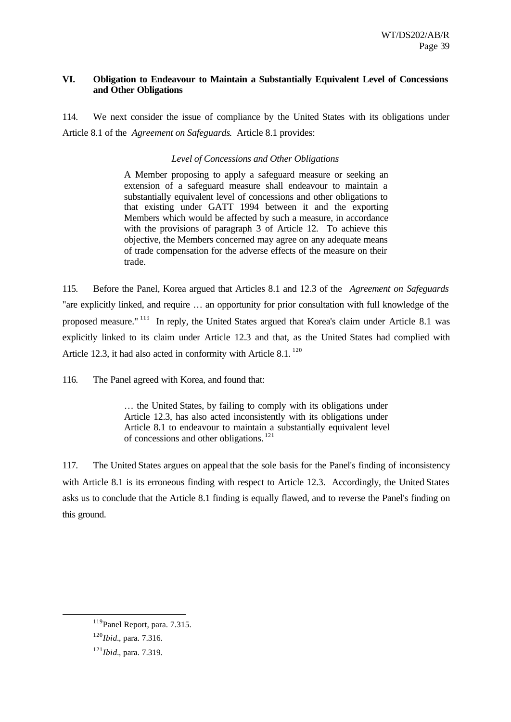# **VI. Obligation to Endeavour to Maintain a Substantially Equivalent Level of Concessions and Other Obligations**

114. We next consider the issue of compliance by the United States with its obligations under Article 8.1 of the *Agreement on Safeguards*. Article 8.1 provides:

# *Level of Concessions and Other Obligations*

A Member proposing to apply a safeguard measure or seeking an extension of a safeguard measure shall endeavour to maintain a substantially equivalent level of concessions and other obligations to that existing under GATT 1994 between it and the exporting Members which would be affected by such a measure, in accordance with the provisions of paragraph 3 of Article 12. To achieve this objective, the Members concerned may agree on any adequate means of trade compensation for the adverse effects of the measure on their trade.

115. Before the Panel, Korea argued that Articles 8.1 and 12.3 of the *Agreement on Safeguards* "are explicitly linked, and require … an opportunity for prior consultation with full knowledge of the proposed measure." <sup>119</sup> In reply, the United States argued that Korea's claim under Article 8.1 was explicitly linked to its claim under Article 12.3 and that, as the United States had complied with Article 12.3, it had also acted in conformity with Article 8.1.<sup>120</sup>

116. The Panel agreed with Korea, and found that:

… the United States, by failing to comply with its obligations under Article 12.3, has also acted inconsistently with its obligations under Article 8.1 to endeavour to maintain a substantially equivalent level of concessions and other obligations. <sup>121</sup>

117. The United States argues on appeal that the sole basis for the Panel's finding of inconsistency with Article 8.1 is its erroneous finding with respect to Article 12.3. Accordingly, the United States asks us to conclude that the Article 8.1 finding is equally flawed, and to reverse the Panel's finding on this ground.

<sup>119</sup>Panel Report, para. 7.315.

<sup>120</sup>*Ibid.*, para. 7.316.

<sup>121</sup>*Ibid.*, para. 7.319.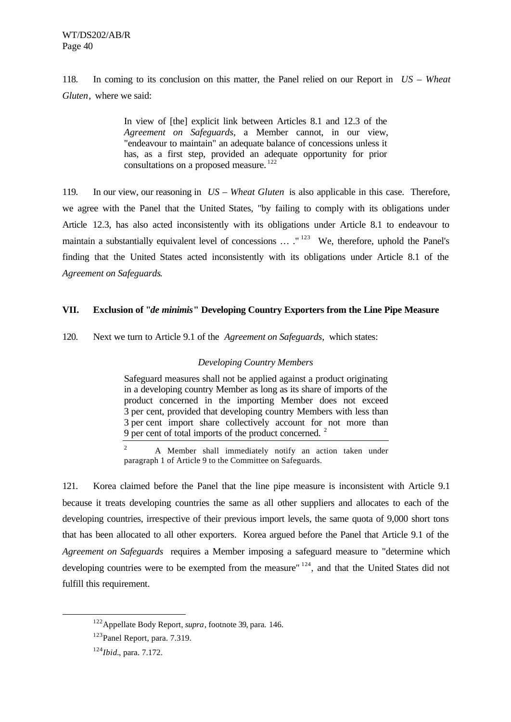118. In coming to its conclusion on this matter, the Panel relied on our Report in *US – Wheat Gluten*, where we said:

> In view of [the] explicit link between Articles 8.1 and 12.3 of the *Agreement on Safeguards*, a Member cannot, in our view, "endeavour to maintain" an adequate balance of concessions unless it has, as a first step, provided an adequate opportunity for prior consultations on a proposed measure.<sup>122</sup>

119. In our view, our reasoning in *US – Wheat Gluten* is also applicable in this case. Therefore, we agree with the Panel that the United States, "by failing to comply with its obligations under Article 12.3, has also acted inconsistently with its obligations under Article 8.1 to endeavour to maintain a substantially equivalent level of concessions … ." <sup>123</sup> We, therefore, uphold the Panel's finding that the United States acted inconsistently with its obligations under Article 8.1 of the *Agreement on Safeguards*.

# **VII. Exclusion of "***de minimis***" Developing Country Exporters from the Line Pipe Measure**

120. Next we turn to Article 9.1 of the *Agreement on Safeguards*, which states:

### *Developing Country Members*

Safeguard measures shall not be applied against a product originating in a developing country Member as long as its share of imports of the product concerned in the importing Member does not exceed 3 per cent, provided that developing country Members with less than 3 per cent import share collectively account for not more than 9 per cent of total imports of the product concerned.  $2$ 

<sup>2</sup> A Member shall immediately notify an action taken under paragraph 1 of Article 9 to the Committee on Safeguards.

121. Korea claimed before the Panel that the line pipe measure is inconsistent with Article 9.1 because it treats developing countries the same as all other suppliers and allocates to each of the developing countries, irrespective of their previous import levels, the same quota of 9,000 short tons that has been allocated to all other exporters. Korea argued before the Panel that Article 9.1 of the *Agreement on Safeguards* requires a Member imposing a safeguard measure to "determine which developing countries were to be exempted from the measure"  $124$ , and that the United States did not fulfill this requirement.

<sup>122</sup>Appellate Body Report, *supra*, footnote 39, para. 146.

<sup>123</sup>Panel Report, para. 7.319.

<sup>124</sup>*Ibid.*, para. 7.172.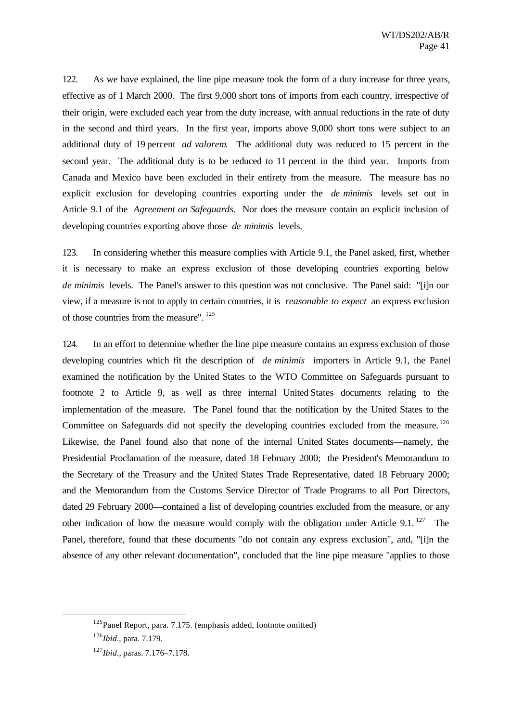122. As we have explained, the line pipe measure took the form of a duty increase for three years, effective as of 1 March 2000. The first 9,000 short tons of imports from each country, irrespective of their origin, were excluded each year from the duty increase, with annual reductions in the rate of duty in the second and third years. In the first year, imports above 9,000 short tons were subject to an additional duty of 19 percent *ad valorem*. The additional duty was reduced to 15 percent in the second year. The additional duty is to be reduced to 11 percent in the third year. Imports from Canada and Mexico have been excluded in their entirety from the measure. The measure has no explicit exclusion for developing countries exporting under the *de minimis* levels set out in Article 9.1 of the *Agreement on Safeguards*. Nor does the measure contain an explicit inclusion of developing countries exporting above those *de minimis* levels.

123. In considering whether this measure complies with Article 9.1, the Panel asked, first, whether it is necessary to make an express exclusion of those developing countries exporting below *de minimis* levels. The Panel's answer to this question was not conclusive. The Panel said: "[i]n our view, if a measure is not to apply to certain countries, it is *reasonable to expect* an express exclusion of those countries from the measure". <sup>125</sup>

124. In an effort to determine whether the line pipe measure contains an express exclusion of those developing countries which fit the description of *de minimis* importers in Article 9.1, the Panel examined the notification by the United States to the WTO Committee on Safeguards pursuant to footnote 2 to Article 9, as well as three internal United States documents relating to the implementation of the measure. The Panel found that the notification by the United States to the Committee on Safeguards did not specify the developing countries excluded from the measure.<sup>126</sup> Likewise, the Panel found also that none of the internal United States documents—namely, the Presidential Proclamation of the measure, dated 18 February 2000; the President's Memorandum to the Secretary of the Treasury and the United States Trade Representative, dated 18 February 2000; and the Memorandum from the Customs Service Director of Trade Programs to all Port Directors, dated 29 February 2000—contained a list of developing countries excluded from the measure, or any other indication of how the measure would comply with the obligation under Article 9.1.<sup>127</sup> The Panel, therefore, found that these documents "do not contain any express exclusion", and, "[i]n the absence of any other relevant documentation", concluded that the line pipe measure "applies to those

<sup>125</sup>Panel Report, para. 7.175. (emphasis added, footnote omitted)

<sup>126</sup>*Ibid*., para. 7.179.

<sup>127</sup>*Ibid*., paras. 7.176–7.178.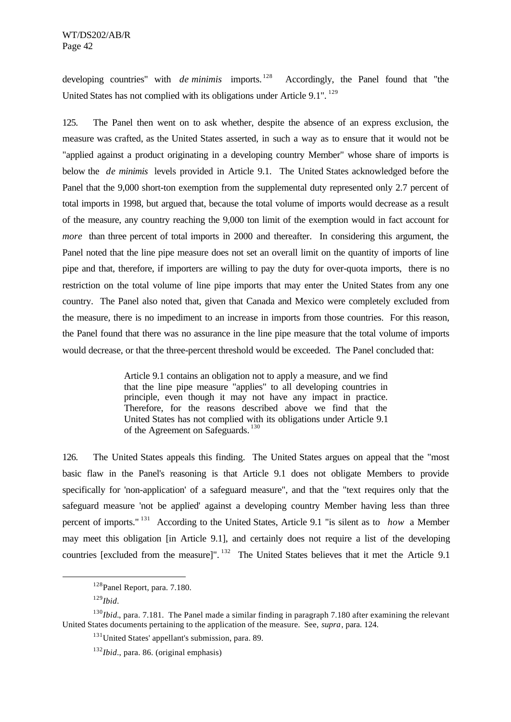developing countries" with *de minimis* imports.<sup>128</sup> Accordingly, the Panel found that "the United States has not complied with its obligations under Article 9.1". <sup>129</sup>

125. The Panel then went on to ask whether, despite the absence of an express exclusion, the measure was crafted, as the United States asserted, in such a way as to ensure that it would not be "applied against a product originating in a developing country Member" whose share of imports is below the *de minimis* levels provided in Article 9.1. The United States acknowledged before the Panel that the 9,000 short-ton exemption from the supplemental duty represented only 2.7 percent of total imports in 1998, but argued that, because the total volume of imports would decrease as a result of the measure, any country reaching the 9,000 ton limit of the exemption would in fact account for *more* than three percent of total imports in 2000 and thereafter. In considering this argument, the Panel noted that the line pipe measure does not set an overall limit on the quantity of imports of line pipe and that, therefore, if importers are willing to pay the duty for over-quota imports, there is no restriction on the total volume of line pipe imports that may enter the United States from any one country. The Panel also noted that, given that Canada and Mexico were completely excluded from the measure, there is no impediment to an increase in imports from those countries. For this reason, the Panel found that there was no assurance in the line pipe measure that the total volume of imports would decrease, or that the three-percent threshold would be exceeded. The Panel concluded that:

> Article 9.1 contains an obligation not to apply a measure, and we find that the line pipe measure "applies" to all developing countries in principle, even though it may not have any impact in practice. Therefore, for the reasons described above we find that the United States has not complied with its obligations under Article 9.1 of the Agreement on Safeguards.<sup>130</sup>

126. The United States appeals this finding. The United States argues on appeal that the "most basic flaw in the Panel's reasoning is that Article 9.1 does not obligate Members to provide specifically for 'non-application' of a safeguard measure", and that the "text requires only that the safeguard measure 'not be applied' against a developing country Member having less than three percent of imports." <sup>131</sup> According to the United States, Article 9.1 "is silent as to *how* a Member may meet this obligation [in Article 9.1], and certainly does not require a list of the developing countries [excluded from the measure]". <sup>132</sup> The United States believes that it met the Article 9.1

<sup>128</sup>Panel Report, para. 7.180.

<sup>129</sup>*Ibid*.

<sup>&</sup>lt;sup>130</sup>*Ibid.*, para. 7.181. The Panel made a similar finding in paragraph 7.180 after examining the relevant United States documents pertaining to the application of the measure. See, *supra*, para. 124.

<sup>131</sup>United States' appellant's submission, para. 89.

<sup>132</sup>*Ibid*., para. 86. (original emphasis)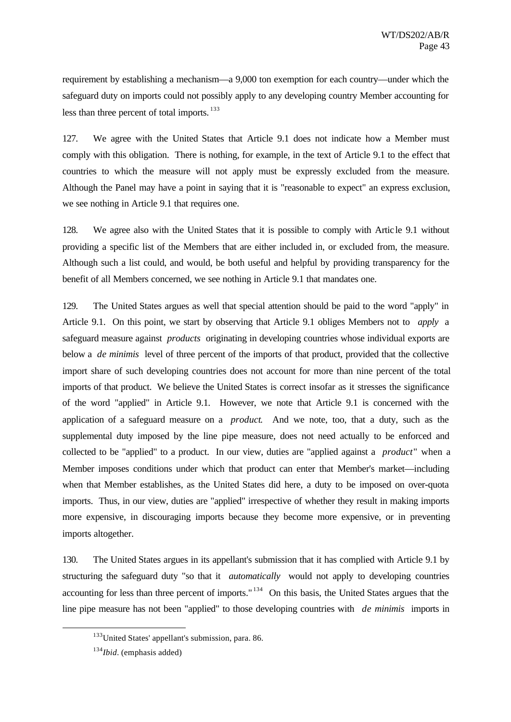requirement by establishing a mechanism—a 9,000 ton exemption for each country—under which the safeguard duty on imports could not possibly apply to any developing country Member accounting for less than three percent of total imports.<sup>133</sup>

127. We agree with the United States that Article 9.1 does not indicate how a Member must comply with this obligation. There is nothing, for example, in the text of Article 9.1 to the effect that countries to which the measure will not apply must be expressly excluded from the measure. Although the Panel may have a point in saying that it is "reasonable to expect" an express exclusion, we see nothing in Article 9.1 that requires one.

128. We agree also with the United States that it is possible to comply with Artic le 9.1 without providing a specific list of the Members that are either included in, or excluded from, the measure. Although such a list could, and would, be both useful and helpful by providing transparency for the benefit of all Members concerned, we see nothing in Article 9.1 that mandates one.

129. The United States argues as well that special attention should be paid to the word "apply" in Article 9.1. On this point, we start by observing that Article 9.1 obliges Members not to *apply* a safeguard measure against *products* originating in developing countries whose individual exports are below a *de minimis* level of three percent of the imports of that product, provided that the collective import share of such developing countries does not account for more than nine percent of the total imports of that product. We believe the United States is correct insofar as it stresses the significance of the word "applied" in Article 9.1. However, we note that Article 9.1 is concerned with the application of a safeguard measure on a *product*. And we note, too, that a duty, such as the supplemental duty imposed by the line pipe measure, does not need actually to be enforced and collected to be "applied" to a product. In our view, duties are "applied against a *product*" when a Member imposes conditions under which that product can enter that Member's market—including when that Member establishes, as the United States did here, a duty to be imposed on over-quota imports. Thus, in our view, duties are "applied" irrespective of whether they result in making imports more expensive, in discouraging imports because they become more expensive, or in preventing imports altogether.

130. The United States argues in its appellant's submission that it has complied with Article 9.1 by structuring the safeguard duty "so that it *automatically* would not apply to developing countries accounting for less than three percent of imports." <sup>134</sup> On this basis, the United States argues that the line pipe measure has not been "applied" to those developing countries with *de minimis* imports in

<sup>&</sup>lt;sup>133</sup>United States' appellant's submission, para. 86.

<sup>134</sup>*Ibid*. (emphasis added)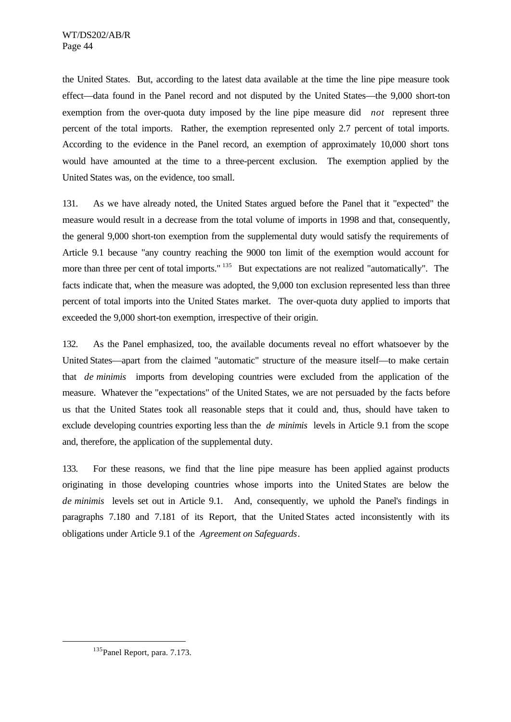the United States. But, according to the latest data available at the time the line pipe measure took effect—data found in the Panel record and not disputed by the United States—the 9,000 short-ton exemption from the over-quota duty imposed by the line pipe measure did *not* represent three percent of the total imports. Rather, the exemption represented only 2.7 percent of total imports. According to the evidence in the Panel record, an exemption of approximately 10,000 short tons would have amounted at the time to a three-percent exclusion. The exemption applied by the United States was, on the evidence, too small.

131. As we have already noted, the United States argued before the Panel that it "expected" the measure would result in a decrease from the total volume of imports in 1998 and that, consequently, the general 9,000 short-ton exemption from the supplemental duty would satisfy the requirements of Article 9.1 because "any country reaching the 9000 ton limit of the exemption would account for more than three per cent of total imports." <sup>135</sup> But expectations are not realized "automatically". The facts indicate that, when the measure was adopted, the 9,000 ton exclusion represented less than three percent of total imports into the United States market. The over-quota duty applied to imports that exceeded the 9,000 short-ton exemption, irrespective of their origin.

132. As the Panel emphasized, too, the available documents reveal no effort whatsoever by the United States—apart from the claimed "automatic" structure of the measure itself—to make certain that *de minimis* imports from developing countries were excluded from the application of the measure. Whatever the "expectations" of the United States, we are not persuaded by the facts before us that the United States took all reasonable steps that it could and, thus, should have taken to exclude developing countries exporting less than the *de minimis* levels in Article 9.1 from the scope and, therefore, the application of the supplemental duty.

133. For these reasons, we find that the line pipe measure has been applied against products originating in those developing countries whose imports into the United States are below the *de minimis* levels set out in Article 9.1. And, consequently, we uphold the Panel's findings in paragraphs 7.180 and 7.181 of its Report, that the United States acted inconsistently with its obligations under Article 9.1 of the *Agreement on Safeguards*.

<sup>135</sup>Panel Report, para. 7.173.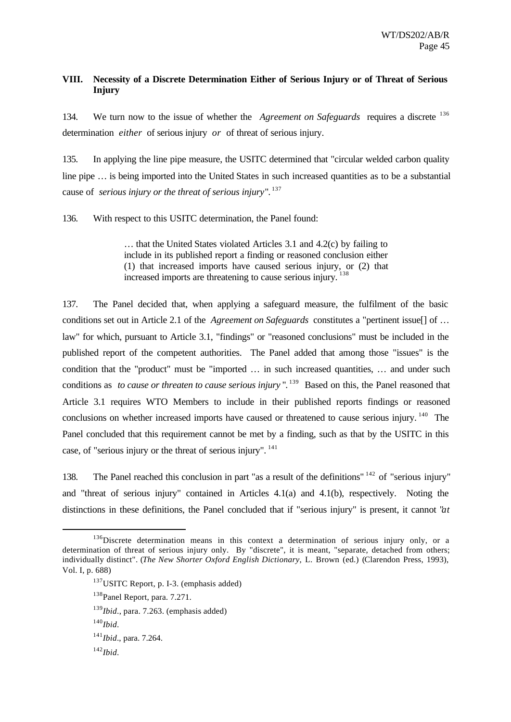# **VIII. Necessity of a Discrete Determination Either of Serious Injury or of Threat of Serious Injury**

134. We turn now to the issue of whether the *Agreement on Safeguards* requires a discrete <sup>136</sup> determination *either* of serious injury *or* of threat of serious injury.

135. In applying the line pipe measure, the USITC determined that "circular welded carbon quality line pipe … is being imported into the United States in such increased quantities as to be a substantial cause of *serious injury or the threat of serious injury*". <sup>137</sup>

136. With respect to this USITC determination, the Panel found:

… that the United States violated Articles 3.1 and 4.2(c) by failing to include in its published report a finding or reasoned conclusion either (1) that increased imports have caused serious injury, or (2) that increased imports are threatening to cause serious injury.<sup>138</sup>

137. The Panel decided that, when applying a safeguard measure, the fulfilment of the basic conditions set out in Article 2.1 of the *Agreement on Safeguards* constitutes a "pertinent issue[] of … law" for which, pursuant to Article 3.1, "findings" or "reasoned conclusions" must be included in the published report of the competent authorities. The Panel added that among those "issues" is the condition that the "product" must be "imported … in such increased quantities, … and under such conditions as *to cause or threaten to cause serious injury* ".<sup>139</sup> Based on this, the Panel reasoned that Article 3.1 requires WTO Members to include in their published reports findings or reasoned conclusions on whether increased imports have caused or threatened to cause serious injury. <sup>140</sup> The Panel concluded that this requirement cannot be met by a finding, such as that by the USITC in this case, of "serious injury or the threat of serious injury". <sup>141</sup>

138. The Panel reached this conclusion in part "as a result of the definitions" <sup>142</sup> of "serious injury" and "threat of serious injury" contained in Articles 4.1(a) and 4.1(b), respectively. Noting the distinctions in these definitions, the Panel concluded that if "serious injury" is present, it cannot "*at*

 $136$ Discrete determination means in this context a determination of serious injury only, or a determination of threat of serious injury only. By "discrete", it is meant, "separate, detached from others; individually distinct". (*The New Shorter Oxford English Dictionary*, L. Brown (ed.) (Clarendon Press, 1993), Vol. I, p. 688)

<sup>137</sup>USITC Report, p. I-3. (emphasis added)

<sup>138</sup>Panel Report, para. 7.271.

<sup>139</sup>*Ibid*., para. 7.263. (emphasis added)

<sup>140</sup>*Ibid*.

<sup>141</sup>*Ibid*., para. 7.264.

<sup>142</sup>*Ibid*.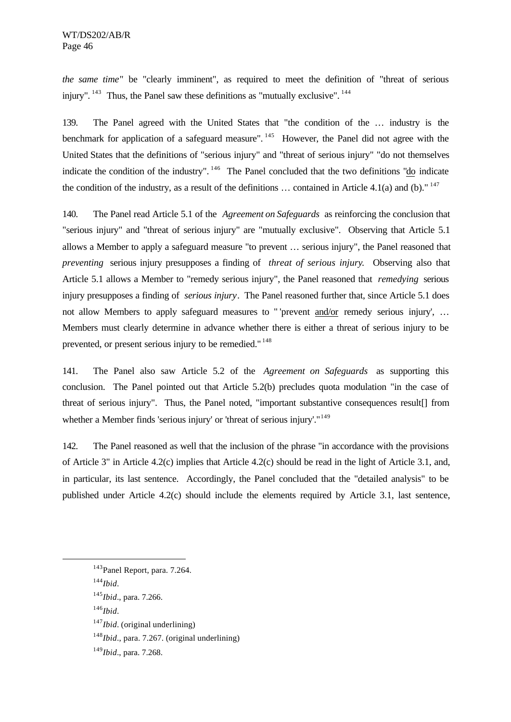*the same time*" be "clearly imminent", as required to meet the definition of "threat of serious injury". <sup>143</sup> Thus, the Panel saw these definitions as "mutually exclusive". <sup>144</sup>

139. The Panel agreed with the United States that "the condition of the … industry is the benchmark for application of a safeguard measure". <sup>145</sup> However, the Panel did not agree with the United States that the definitions of "serious injury" and "threat of serious injury" "do not themselves indicate the condition of the industry". <sup>146</sup> The Panel concluded that the two definitions "do indicate the condition of the industry, as a result of the definitions  $\ldots$  contained in Article 4.1(a) and (b)."  $147$ 

140. The Panel read Article 5.1 of the *Agreement on Safeguards* as reinforcing the conclusion that "serious injury" and "threat of serious injury" are "mutually exclusive". Observing that Article 5.1 allows a Member to apply a safeguard measure "to prevent … serious injury", the Panel reasoned that *preventing* serious injury presupposes a finding of *threat of serious injury*. Observing also that Article 5.1 allows a Member to "remedy serious injury", the Panel reasoned that *remedying* serious injury presupposes a finding of *serious injury*. The Panel reasoned further that, since Article 5.1 does not allow Members to apply safeguard measures to " 'prevent and/or remedy serious injury', … Members must clearly determine in advance whether there is either a threat of serious injury to be prevented, or present serious injury to be remedied." <sup>148</sup>

141. The Panel also saw Article 5.2 of the *Agreement on Safeguards* as supporting this conclusion. The Panel pointed out that Article 5.2(b) precludes quota modulation "in the case of threat of serious injury". Thus, the Panel noted, "important substantive consequences result[] from whether a Member finds 'serious injury' or 'threat of serious injury'."<sup>149</sup>

142. The Panel reasoned as well that the inclusion of the phrase "in accordance with the provisions of Article 3" in Article 4.2(c) implies that Article 4.2(c) should be read in the light of Article 3.1, and, in particular, its last sentence. Accordingly, the Panel concluded that the "detailed analysis" to be published under Article 4.2(c) should include the elements required by Article 3.1, last sentence,

<sup>143</sup>Panel Report, para. 7.264.

<sup>144</sup>*Ibid*.

<sup>145</sup>*Ibid*., para. 7.266.

<sup>146</sup>*Ibid*.

<sup>147</sup>*Ibid*. (original underlining)

<sup>148</sup>*Ibid*., para. 7.267. (original underlining)

<sup>149</sup>*Ibid*., para. 7.268.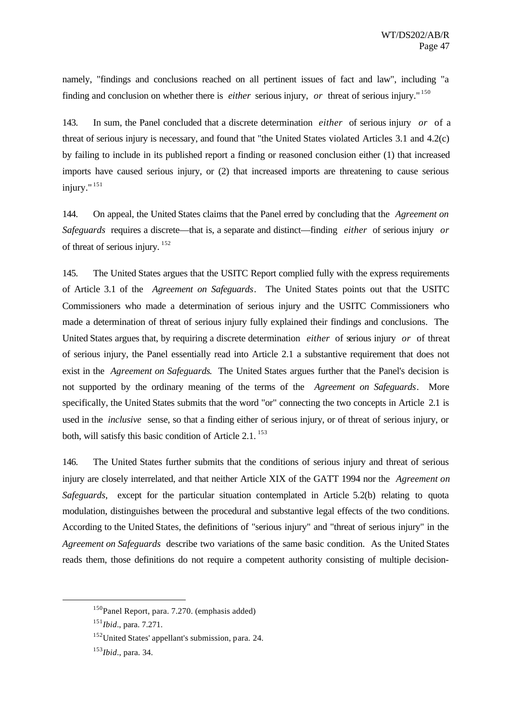namely, "findings and conclusions reached on all pertinent issues of fact and law", including "a finding and conclusion on whether there is *either* serious injury, *or* threat of serious injury." <sup>150</sup>

143. In sum, the Panel concluded that a discrete determination *either* of serious injury *or* of a threat of serious injury is necessary, and found that "the United States violated Articles 3.1 and 4.2(c) by failing to include in its published report a finding or reasoned conclusion either (1) that increased imports have caused serious injury, or (2) that increased imports are threatening to cause serious injury." $151$ 

144. On appeal, the United States claims that the Panel erred by concluding that the *Agreement on Safeguards* requires a discrete—that is, a separate and distinct—finding *either* of serious injury *or* of threat of serious injury. <sup>152</sup>

145. The United States argues that the USITC Report complied fully with the express requirements of Article 3.1 of the *Agreement on Safeguards*. The United States points out that the USITC Commissioners who made a determination of serious injury and the USITC Commissioners who made a determination of threat of serious injury fully explained their findings and conclusions. The United States argues that, by requiring a discrete determination *either* of serious injury *or* of threat of serious injury, the Panel essentially read into Article 2.1 a substantive requirement that does not exist in the *Agreement on Safeguards*. The United States argues further that the Panel's decision is not supported by the ordinary meaning of the terms of the *Agreement on Safeguards*. More specifically, the United States submits that the word "or" connecting the two concepts in Article 2.1 is used in the *inclusive* sense, so that a finding either of serious injury, or of threat of serious injury, or both, will satisfy this basic condition of Article 2.1.<sup>153</sup>

146. The United States further submits that the conditions of serious injury and threat of serious injury are closely interrelated, and that neither Article XIX of the GATT 1994 nor the *Agreement on Safeguards*, except for the particular situation contemplated in Article 5.2(b) relating to quota modulation, distinguishes between the procedural and substantive legal effects of the two conditions. According to the United States, the definitions of "serious injury" and "threat of serious injury" in the *Agreement on Safeguards* describe two variations of the same basic condition. As the United States reads them, those definitions do not require a competent authority consisting of multiple decision-

<sup>&</sup>lt;sup>150</sup>Panel Report, para. 7.270. (emphasis added)

<sup>151</sup>*Ibid*., para. 7.271.

<sup>&</sup>lt;sup>152</sup>United States' appellant's submission, para. 24.

<sup>153</sup>*Ibid*., para. 34.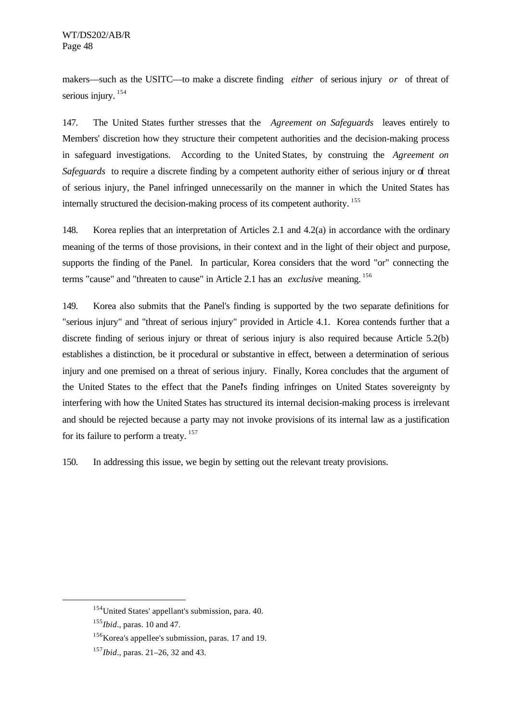makers—such as the USITC—to make a discrete finding *either* of serious injury *or* of threat of serious injury.<sup>154</sup>

147. The United States further stresses that the *Agreement on Safeguards* leaves entirely to Members' discretion how they structure their competent authorities and the decision-making process in safeguard investigations. According to the United States, by construing the *Agreement on Safeguards* to require a discrete finding by a competent authority either of serious injury or of threat of serious injury, the Panel infringed unnecessarily on the manner in which the United States has internally structured the decision-making process of its competent authority. <sup>155</sup>

148. Korea replies that an interpretation of Articles 2.1 and 4.2(a) in accordance with the ordinary meaning of the terms of those provisions, in their context and in the light of their object and purpose, supports the finding of the Panel. In particular, Korea considers that the word "or" connecting the terms "cause" and "threaten to cause" in Article 2.1 has an *exclusive* meaning. <sup>156</sup>

149. Korea also submits that the Panel's finding is supported by the two separate definitions for "serious injury" and "threat of serious injury" provided in Article 4.1. Korea contends further that a discrete finding of serious injury or threat of serious injury is also required because Article 5.2(b) establishes a distinction, be it procedural or substantive in effect, between a determination of serious injury and one premised on a threat of serious injury. Finally, Korea concludes that the argument of the United States to the effect that the Panel's finding infringes on United States sovereignty by interfering with how the United States has structured its internal decision-making process is irrelevant and should be rejected because a party may not invoke provisions of its internal law as a justification for its failure to perform a treaty. <sup>157</sup>

150. In addressing this issue, we begin by setting out the relevant treaty provisions.

<sup>&</sup>lt;sup>154</sup>United States' appellant's submission, para. 40.

<sup>155</sup>*Ibid*., paras. 10 and 47.

<sup>&</sup>lt;sup>156</sup>Korea's appellee's submission, paras. 17 and 19.

<sup>157</sup>*Ibid*., paras. 21–26, 32 and 43.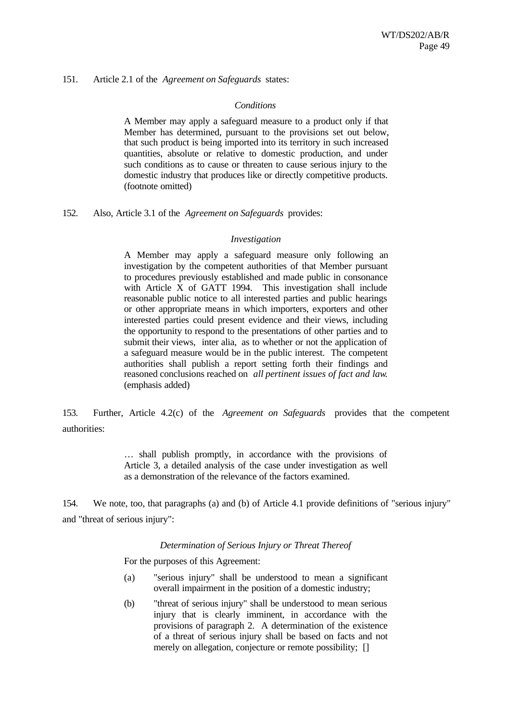151. Article 2.1 of the *Agreement on Safeguards* states:

### *Conditions*

A Member may apply a safeguard measure to a product only if that Member has determined, pursuant to the provisions set out below, that such product is being imported into its territory in such increased quantities, absolute or relative to domestic production, and under such conditions as to cause or threaten to cause serious injury to the domestic industry that produces like or directly competitive products. (footnote omitted)

152. Also, Article 3.1 of the *Agreement on Safeguards* provides:

#### *Investigation*

A Member may apply a safeguard measure only following an investigation by the competent authorities of that Member pursuant to procedures previously established and made public in consonance with Article  $\hat{X}$  of GATT 1994. This investigation shall include reasonable public notice to all interested parties and public hearings or other appropriate means in which importers, exporters and other interested parties could present evidence and their views, including the opportunity to respond to the presentations of other parties and to submit their views, inter alia, as to whether or not the application of a safeguard measure would be in the public interest. The competent authorities shall publish a report setting forth their findings and reasoned conclusions reached on *all pertinent issues of fact and law*. (emphasis added)

153. Further, Article 4.2(c) of the *Agreement on Safeguards* provides that the competent authorities:

> … shall publish promptly, in accordance with the provisions of Article 3, a detailed analysis of the case under investigation as well as a demonstration of the relevance of the factors examined.

154. We note, too, that paragraphs (a) and (b) of Article 4.1 provide definitions of "serious injury" and "threat of serious injury":

#### *Determination of Serious Injury or Threat Thereof*

For the purposes of this Agreement:

- (a) "serious injury" shall be understood to mean a significant overall impairment in the position of a domestic industry;
- (b) "threat of serious injury" shall be understood to mean serious injury that is clearly imminent, in accordance with the provisions of paragraph 2. A determination of the existence of a threat of serious injury shall be based on facts and not merely on allegation, conjecture or remote possibility; []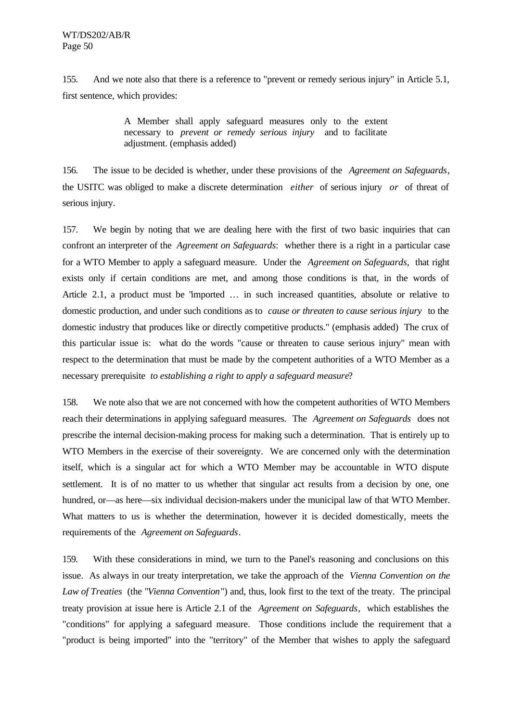155. And we note also that there is a reference to "prevent or remedy serious injury" in Article 5.1, first sentence, which provides:

> A Member shall apply safeguard measures only to the extent necessary to *prevent or remedy serious injury* and to facilitate adjustment. (emphasis added)

156. The issue to be decided is whether, under these provisions of the *Agreement on Safeguards*, the USITC was obliged to make a discrete determination *either* of serious injury *or* of threat of serious injury.

157. We begin by noting that we are dealing here with the first of two basic inquiries that can confront an interpreter of the *Agreement on Safeguards*: whether there is a right in a particular case for a WTO Member to apply a safeguard measure. Under the *Agreement on Safeguards*, that right exists only if certain conditions are met, and among those conditions is that, in the words of Article 2.1, a product must be "imported … in such increased quantities, absolute or relative to domestic production, and under such conditions as to *cause or threaten to cause serious injury* to the domestic industry that produces like or directly competitive products." (emphasis added) The crux of this particular issue is: what do the words "cause or threaten to cause serious injury" mean with respect to the determination that must be made by the competent authorities of a WTO Member as a necessary prerequisite *to establishing a right to apply a safeguard measure*?

158. We note also that we are not concerned with how the competent authorities of WTO Members reach their determinations in applying safeguard measures. The *Agreement on Safeguards* does not prescribe the internal decision-making process for making such a determination. That is entirely up to WTO Members in the exercise of their sovereignty. We are concerned only with the determination itself, which is a singular act for which a WTO Member may be accountable in WTO dispute settlement. It is of no matter to us whether that singular act results from a decision by one, one hundred, or—as here—six individual decision-makers under the municipal law of that WTO Member. What matters to us is whether the determination, however it is decided domestically, meets the requirements of the *Agreement on Safeguards*.

159. With these considerations in mind, we turn to the Panel's reasoning and conclusions on this issue. As always in our treaty interpretation, we take the approach of the *Vienna Convention on the Law of Treaties* (the "*Vienna Convention*") and, thus, look first to the text of the treaty. The principal treaty provision at issue here is Article 2.1 of the *Agreement on Safeguards*, which establishes the "conditions" for applying a safeguard measure. Those conditions include the requirement that a "product is being imported" into the "territory" of the Member that wishes to apply the safeguard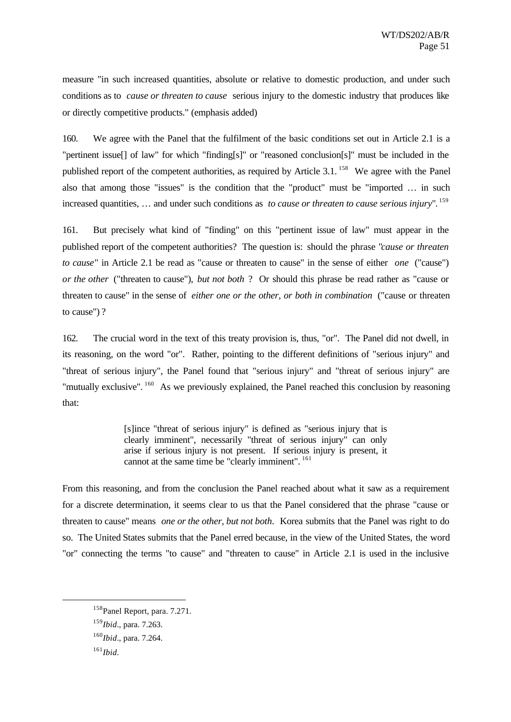measure "in such increased quantities, absolute or relative to domestic production, and under such conditions as to *cause or threaten to cause* serious injury to the domestic industry that produces like or directly competitive products." (emphasis added)

160. We agree with the Panel that the fulfilment of the basic conditions set out in Article 2.1 is a "pertinent issue[] of law" for which "finding[s]" or "reasoned conclusion[s]" must be included in the published report of the competent authorities, as required by Article 3.1. <sup>158</sup> We agree with the Panel also that among those "issues" is the condition that the "product" must be "imported … in such increased quantities, ... and under such conditions as *to cause or threaten to cause serious injury*". <sup>159</sup>

161. But precisely what kind of "finding" on this "pertinent issue of law" must appear in the published report of the competent authorities? The question is: should the phrase "*cause or threaten to cause*" in Article 2.1 be read as "cause or threaten to cause" in the sense of either *one* ("cause") *or the other* ("threaten to cause"), *but not both* ? Or should this phrase be read rather as "cause or threaten to cause" in the sense of *either one or the other, or both in combination* ("cause or threaten to cause") ?

162. The crucial word in the text of this treaty provision is, thus, "or". The Panel did not dwell, in its reasoning, on the word "or". Rather, pointing to the different definitions of "serious injury" and "threat of serious injury", the Panel found that "serious injury" and "threat of serious injury" are "mutually exclusive".  $160$  As we previously explained, the Panel reached this conclusion by reasoning that:

> [s]ince "threat of serious injury" is defined as "serious injury that is clearly imminent", necessarily "threat of serious injury" can only arise if serious injury is not present. If serious injury is present, it cannot at the same time be "clearly imminent". <sup>161</sup>

From this reasoning, and from the conclusion the Panel reached about what it saw as a requirement for a discrete determination, it seems clear to us that the Panel considered that the phrase "cause or threaten to cause" means *one or the other, but not both*. Korea submits that the Panel was right to do so. The United States submits that the Panel erred because, in the view of the United States, the word "or" connecting the terms "to cause" and "threaten to cause" in Article 2.1 is used in the inclusive

<sup>158</sup>Panel Report, para. 7.271.

<sup>159</sup>*Ibid*., para. 7.263.

<sup>160</sup>*Ibid*., para. 7.264.

<sup>161</sup>*Ibid*.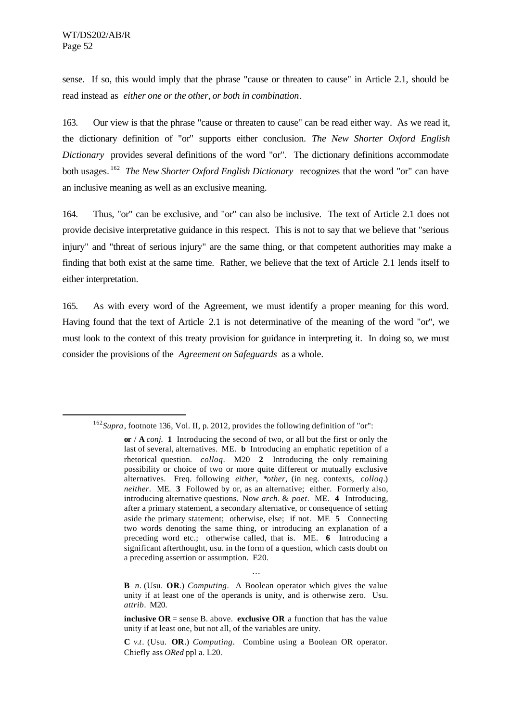l

sense. If so, this would imply that the phrase "cause or threaten to cause" in Article 2.1, should be read instead as *either one or the other*, *or both in combination*.

163. Our view is that the phrase "cause or threaten to cause" can be read either way. As we read it, the dictionary definition of "or" supports either conclusion. *The New Shorter Oxford English Dictionary* provides several definitions of the word "or". The dictionary definitions accommodate both usages.<sup>162</sup> The New Shorter Oxford English Dictionary recognizes that the word "or" can have an inclusive meaning as well as an exclusive meaning.

164. Thus, "or" can be exclusive, and "or" can also be inclusive. The text of Article 2.1 does not provide decisive interpretative guidance in this respect. This is not to say that we believe that "serious injury" and "threat of serious injury" are the same thing, or that competent authorities may make a finding that both exist at the same time. Rather, we believe that the text of Article 2.1 lends itself to either interpretation.

165. As with every word of the Agreement, we must identify a proper meaning for this word. Having found that the text of Article 2.1 is not determinative of the meaning of the word "or", we must look to the context of this treaty provision for guidance in interpreting it. In doing so, we must consider the provisions of the *Agreement on Safeguards* as a whole.

**B** *n*. (Usu. **OR**.) *Computing*. A Boolean operator which gives the value unity if at least one of the operands is unity, and is otherwise zero. Usu. *attrib*. M20.

…

<sup>162</sup>*Supra*, footnote 136, Vol. II, p. 2012, provides the following definition of "or":

**or** / **A** *conj.* **1** Introducing the second of two, or all but the first or only the last of several, alternatives. ME. **b** Introducing an emphatic repetition of a rhetorical question. *colloq*. M20 **2** Introducing the only remaining possibility or choice of two or more quite different or mutually exclusive alternatives. Freq. following *either*, \**other*, (in neg. contexts, *colloq*.) *neither*. ME. **3** Followed by or, as an alternative; either. Formerly also, introducing alternative questions. Now *arch*. & *poet*. ME. **4** Introducing, after a primary statement, a secondary alternative, or consequence of setting aside the primary statement; otherwise, else; if not. ME **5** Connecting two words denoting the same thing, or introducing an explanation of a preceding word etc.; otherwise called, that is. ME. **6** Introducing a significant afterthought, usu. in the form of a question, which casts doubt on a preceding assertion or assumption. E20.

**inclusive OR** = sense B. above. **exclusive OR** a function that has the value unity if at least one, but not all, of the variables are unity.

**C** *v.t*. (Usu. **OR**.) *Computing*. Combine using a Boolean OR operator. Chiefly ass *ORed* ppl a. L20.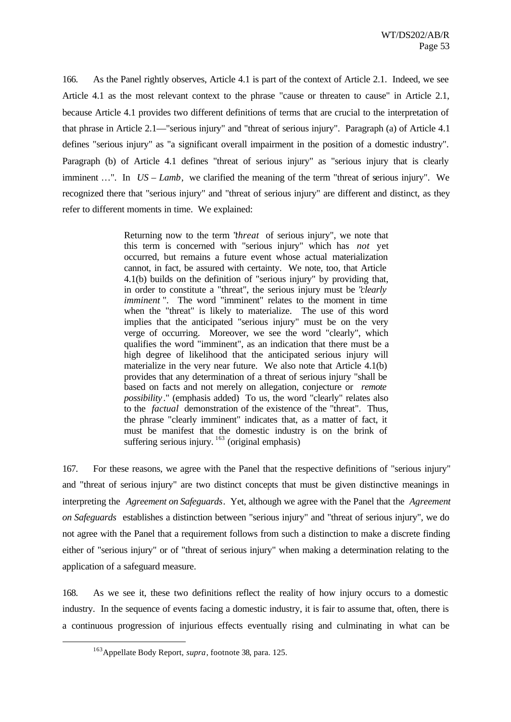166. As the Panel rightly observes, Article 4.1 is part of the context of Article 2.1. Indeed, we see Article 4.1 as the most relevant context to the phrase "cause or threaten to cause" in Article 2.1, because Article 4.1 provides two different definitions of terms that are crucial to the interpretation of that phrase in Article 2.1—"serious injury" and "threat of serious injury". Paragraph (a) of Article 4.1 defines "serious injury" as "a significant overall impairment in the position of a domestic industry". Paragraph (b) of Article 4.1 defines "threat of serious injury" as "serious injury that is clearly imminent ...". In *US – Lamb*, we clarified the meaning of the term "threat of serious injury". We recognized there that "serious injury" and "threat of serious injury" are different and distinct, as they refer to different moments in time. We explained:

> Returning now to the term "*threat* of serious injury", we note that this term is concerned with "serious injury" which has *not* yet occurred, but remains a future event whose actual materialization cannot, in fact, be assured with certainty. We note, too, that Article 4.1(b) builds on the definition of "serious injury" by providing that, in order to constitute a "threat", the serious injury must be "*clearly imminent* ". The word "imminent" relates to the moment in time when the "threat" is likely to materialize. The use of this word implies that the anticipated "serious injury" must be on the very verge of occurring. Moreover, we see the word "clearly", which qualifies the word "imminent", as an indication that there must be a high degree of likelihood that the anticipated serious injury will materialize in the very near future. We also note that Article 4.1(b) provides that any determination of a threat of serious injury "shall be based on facts and not merely on allegation, conjecture or *remote possibility* ." (emphasis added) To us, the word "clearly" relates also to the *factual* demonstration of the existence of the "threat". Thus, the phrase "clearly imminent" indicates that, as a matter of fact, it must be manifest that the domestic industry is on the brink of suffering serious injury.  $163$  (original emphasis)

167. For these reasons, we agree with the Panel that the respective definitions of "serious injury" and "threat of serious injury" are two distinct concepts that must be given distinctive meanings in interpreting the *Agreement on Safeguards*. Yet, although we agree with the Panel that the *Agreement on Safeguards* establishes a distinction between "serious injury" and "threat of serious injury", we do not agree with the Panel that a requirement follows from such a distinction to make a discrete finding either of "serious injury" or of "threat of serious injury" when making a determination relating to the application of a safeguard measure.

168. As we see it, these two definitions reflect the reality of how injury occurs to a domestic industry. In the sequence of events facing a domestic industry, it is fair to assume that, often, there is a continuous progression of injurious effects eventually rising and culminating in what can be

<sup>163</sup>Appellate Body Report, *supra*, footnote 38, para. 125.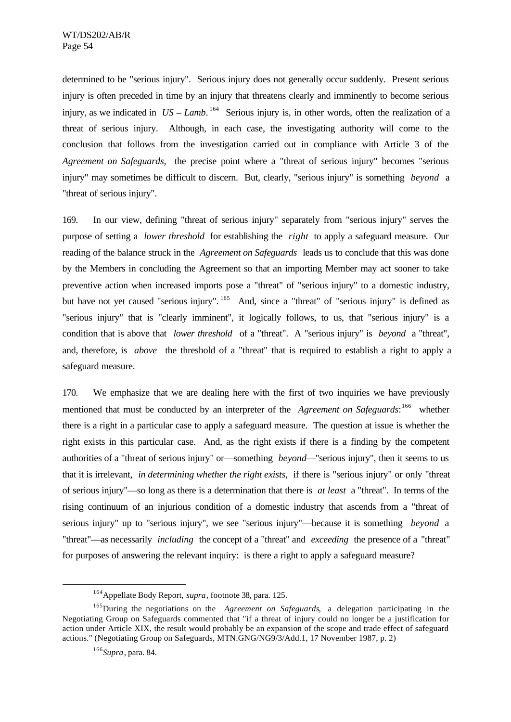determined to be "serious injury". Serious injury does not generally occur suddenly. Present serious injury is often preceded in time by an injury that threatens clearly and imminently to become serious injury, as we indicated in *US – Lamb*. <sup>164</sup> Serious injury is, in other words, often the realization of a threat of serious injury. Although, in each case, the investigating authority will come to the conclusion that follows from the investigation carried out in compliance with Article 3 of the *Agreement on Safeguards*, the precise point where a "threat of serious injury" becomes "serious injury" may sometimes be difficult to discern. But, clearly, "serious injury" is something *beyond* a "threat of serious injury".

169. In our view, defining "threat of serious injury" separately from "serious injury" serves the purpose of setting a *lower threshold* for establishing the *right* to apply a safeguard measure. Our reading of the balance struck in the *Agreement on Safeguards* leads us to conclude that this was done by the Members in concluding the Agreement so that an importing Member may act sooner to take preventive action when increased imports pose a "threat" of "serious injury" to a domestic industry, but have not yet caused "serious injury". <sup>165</sup> And, since a "threat" of "serious injury" is defined as "serious injury" that is "clearly imminent", it logically follows, to us, that "serious injury" is a condition that is above that *lower threshold* of a "threat". A "serious injury" is *beyond* a "threat", and, therefore, is *above* the threshold of a "threat" that is required to establish a right to apply a safeguard measure.

170. We emphasize that we are dealing here with the first of two inquiries we have previously mentioned that must be conducted by an interpreter of the *Agreement on Safeguards*: <sup>166</sup> whether there is a right in a particular case to apply a safeguard measure. The question at issue is whether the right exists in this particular case. And, as the right exists if there is a finding by the competent authorities of a "threat of serious injury" or—something *beyond*—"serious injury", then it seems to us that it is irrelevant, *in determining whether the right exists*, if there is "serious injury" or only "threat of serious injury"—so long as there is a determination that there is *at least* a "threat". In terms of the rising continuum of an injurious condition of a domestic industry that ascends from a "threat of serious injury" up to "serious injury", we see "serious injury"—because it is something *beyond* a "threat"—as necessarily *including* the concept of a "threat" and *exceeding* the presence of a "threat" for purposes of answering the relevant inquiry: is there a right to apply a safeguard measure?

<sup>164</sup>Appellate Body Report, *supra*, footnote 38, para. 125.

<sup>165</sup>During the negotiations on the *Agreement on Safeguards*, a delegation participating in the Negotiating Group on Safeguards commented that "if a threat of injury could no longer be a justification for action under Article XIX, the result would probably be an expansion of the scope and trade effect of safeguard actions." (Negotiating Group on Safeguards, MTN.GNG/NG9/3/Add.1, 17 November 1987, p. 2)

<sup>166</sup>*Supra*, para. 84.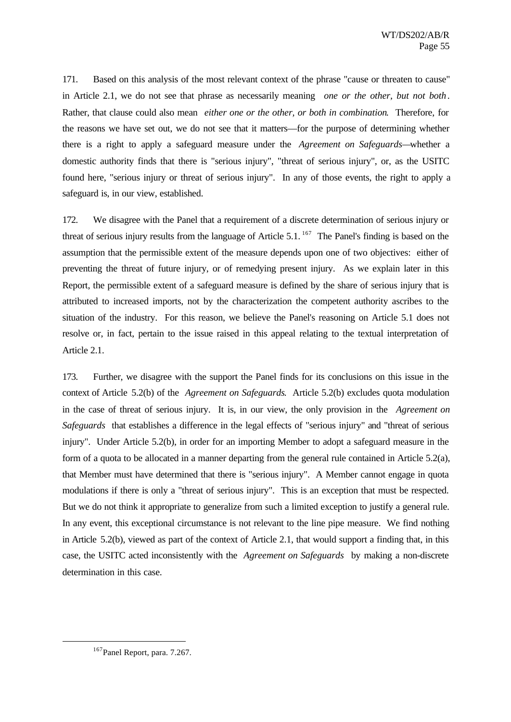171. Based on this analysis of the most relevant context of the phrase "cause or threaten to cause" in Article 2.1, we do not see that phrase as necessarily meaning *one or the other, but not both* . Rather, that clause could also mean *either one or the other, or both in combination*. Therefore, for the reasons we have set out, we do not see that it matters—for the purpose of determining whether there is a right to apply a safeguard measure under the *Agreement on Safeguards—*whether a domestic authority finds that there is "serious injury", "threat of serious injury", or, as the USITC found here, "serious injury or threat of serious injury". In any of those events, the right to apply a safeguard is, in our view, established.

172. We disagree with the Panel that a requirement of a discrete determination of serious injury or threat of serious injury results from the language of Article 5.1.  $167$  The Panel's finding is based on the assumption that the permissible extent of the measure depends upon one of two objectives: either of preventing the threat of future injury, or of remedying present injury. As we explain later in this Report, the permissible extent of a safeguard measure is defined by the share of serious injury that is attributed to increased imports, not by the characterization the competent authority ascribes to the situation of the industry. For this reason, we believe the Panel's reasoning on Article 5.1 does not resolve or, in fact, pertain to the issue raised in this appeal relating to the textual interpretation of Article 2.1.

173. Further, we disagree with the support the Panel finds for its conclusions on this issue in the context of Article 5.2(b) of the *Agreement on Safeguards*. Article 5.2(b) excludes quota modulation in the case of threat of serious injury. It is, in our view, the only provision in the *Agreement on Safeguards* that establishes a difference in the legal effects of "serious injury" and "threat of serious injury". Under Article 5.2(b), in order for an importing Member to adopt a safeguard measure in the form of a quota to be allocated in a manner departing from the general rule contained in Article 5.2(a), that Member must have determined that there is "serious injury". A Member cannot engage in quota modulations if there is only a "threat of serious injury". This is an exception that must be respected. But we do not think it appropriate to generalize from such a limited exception to justify a general rule. In any event, this exceptional circumstance is not relevant to the line pipe measure. We find nothing in Article 5.2(b), viewed as part of the context of Article 2.1, that would support a finding that, in this case, the USITC acted inconsistently with the *Agreement on Safeguards* by making a non-discrete determination in this case.

<sup>167</sup>Panel Report, para. 7.267.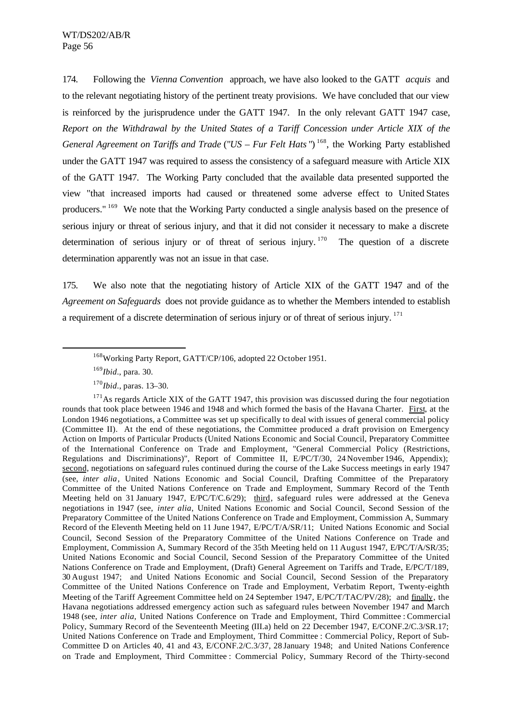174. Following the *Vienna Convention* approach, we have also looked to the GATT *acquis* and to the relevant negotiating history of the pertinent treaty provisions. We have concluded that our view is reinforced by the jurisprudence under the GATT 1947. In the only relevant GATT 1947 case, *Report on the Withdrawal by the United States of a Tariff Concession under Article XIX of the General Agreement on Tariffs and Trade* ("*US – Fur Felt Hats* ")<sup>168</sup>, the Working Party established under the GATT 1947 was required to assess the consistency of a safeguard measure with Article XIX of the GATT 1947. The Working Party concluded that the available data presented supported the view "that increased imports had caused or threatened some adverse effect to United States producers." <sup>169</sup> We note that the Working Party conducted a single analysis based on the presence of serious injury or threat of serious injury, and that it did not consider it necessary to make a discrete determination of serious injury or of threat of serious injury. <sup>170</sup> The question of a discrete determination apparently was not an issue in that case.

175. We also note that the negotiating history of Article XIX of the GATT 1947 and of the *Agreement on Safeguards* does not provide guidance as to whether the Members intended to establish a requirement of a discrete determination of serious injury or of threat of serious injury.<sup>171</sup>

<sup>168</sup>Working Party Report, GATT/CP/106, adopted 22 October 1951.

<sup>169</sup>*Ibid*., para. 30.

<sup>170</sup>*Ibid*., paras. 13–30.

 $171$ As regards Article XIX of the GATT 1947, this provision was discussed during the four negotiation rounds that took place between 1946 and 1948 and which formed the basis of the Havana Charter. First, at the London 1946 negotiations, a Committee was set up specifically to deal with issues of general commercial policy (Committee II). At the end of these negotiations, the Committee produced a draft provision on Emergency Action on Imports of Particular Products (United Nations Economic and Social Council, Preparatory Committee of the International Conference on Trade and Employment, "General Commercial Policy (Restrictions, Regulations and Discriminations)", Report of Committee II, E/PC/T/30, 24 November 1946, Appendix); second, negotiations on safeguard rules continued during the course of the Lake Success meetings in early 1947 (see, *inter alia*, United Nations Economic and Social Council, Drafting Committee of the Preparatory Committee of the United Nations Conference on Trade and Employment, Summary Record of the Tenth Meeting held on 31 January 1947, E/PC/T/C.6/29); third, safeguard rules were addressed at the Geneva negotiations in 1947 (see, *inter alia*, United Nations Economic and Social Council, Second Session of the Preparatory Committee of the United Nations Conference on Trade and Employment, Commission A, Summary Record of the Eleventh Meeting held on 11 June 1947, E/PC/T/A/SR/11; United Nations Economic and Social Council, Second Session of the Preparatory Committee of the United Nations Conference on Trade and Employment, Commission A, Summary Record of the 35th Meeting held on 11 August 1947, E/PC/T/A/SR/35; United Nations Economic and Social Council, Second Session of the Preparatory Committee of the United Nations Conference on Trade and Employment, (Draft) General Agreement on Tariffs and Trade, E/PC/T/189, 30 August 1947; and United Nations Economic and Social Council, Second Session of the Preparatory Committee of the United Nations Conference on Trade and Employment, Verbatim Report, Twenty-eighth Meeting of the Tariff Agreement Committee held on 24 September 1947, E/PC/T/TAC/PV/28); and finally, the Havana negotiations addressed emergency action such as safeguard rules between November 1947 and March 1948 (see, *inter alia*, United Nations Conference on Trade and Employment, Third Committee : Commercial Policy, Summary Record of the Seventeenth Meeting (III.a) held on 22 December 1947, E/CONF.2/C.3/SR.17; United Nations Conference on Trade and Employment, Third Committee : Commercial Policy, Report of Sub-Committee D on Articles 40, 41 and 43, E/CONF.2/C.3/37, 28 January 1948; and United Nations Conference on Trade and Employment, Third Committee : Commercial Policy, Summary Record of the Thirty-second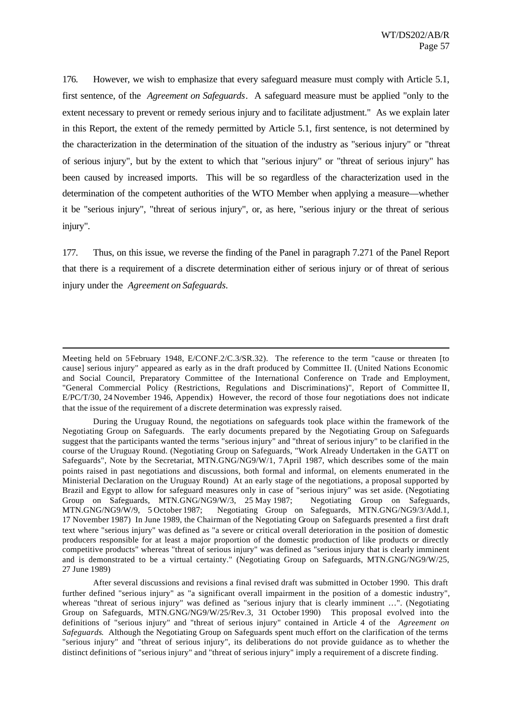176. However, we wish to emphasize that every safeguard measure must comply with Article 5.1, first sentence, of the *Agreement on Safeguards*. A safeguard measure must be applied "only to the extent necessary to prevent or remedy serious injury and to facilitate adjustment." As we explain later in this Report, the extent of the remedy permitted by Article 5.1, first sentence, is not determined by the characterization in the determination of the situation of the industry as "serious injury" or "threat of serious injury", but by the extent to which that "serious injury" or "threat of serious injury" has been caused by increased imports. This will be so regardless of the characterization used in the determination of the competent authorities of the WTO Member when applying a measure—whether it be "serious injury", "threat of serious injury", or, as here, "serious injury or the threat of serious injury".

177. Thus, on this issue, we reverse the finding of the Panel in paragraph 7.271 of the Panel Report that there is a requirement of a discrete determination either of serious injury or of threat of serious injury under the *Agreement on Safeguards*.

Meeting held on 5 February 1948, E/CONF.2/C.3/SR.32). The reference to the term "cause or threaten [to cause] serious injury" appeared as early as in the draft produced by Committee II. (United Nations Economic and Social Council, Preparatory Committee of the International Conference on Trade and Employment, "General Commercial Policy (Restrictions, Regulations and Discriminations)", Report of Committee II, E/PC/T/30, 24 November 1946, Appendix) However, the record of those four negotiations does not indicate that the issue of the requirement of a discrete determination was expressly raised.

During the Uruguay Round, the negotiations on safeguards took place within the framework of the Negotiating Group on Safeguards. The early documents prepared by the Negotiating Group on Safeguards suggest that the participants wanted the terms "serious injury" and "threat of serious injury" to be clarified in the course of the Uruguay Round. (Negotiating Group on Safeguards, "Work Already Undertaken in the GATT on Safeguards", Note by the Secretariat, MTN.GNG/NG9/W/1, 7 April 1987, which describes some of the main points raised in past negotiations and discussions, both formal and informal, on elements enumerated in the Ministerial Declaration on the Uruguay Round) At an early stage of the negotiations, a proposal supported by Brazil and Egypt to allow for safeguard measures only in case of "serious injury" was set aside. (Negotiating Group on Safeguards, MTN.GNG/NG9/W/3, 25 May 1987; Negotiating Group on Safeguards, MTN.GNG/NG9/W/9, 5 October 1987; Negotiating Group on Safeguards, MTN.GNG/NG9/3/Add.1, 17 November 1987) In June 1989, the Chairman of the Negotiating Group on Safeguards presented a first draft text where "serious injury" was defined as "a severe or critical overall deterioration in the position of domestic producers responsible for at least a major proportion of the domestic production of like products or directly competitive products" whereas "threat of serious injury" was defined as "serious injury that is clearly imminent and is demonstrated to be a virtual certainty." (Negotiating Group on Safeguards, MTN.GNG/NG9/W/25, 27 June 1989)

After several discussions and revisions a final revised draft was submitted in October 1990. This draft further defined "serious injury" as "a significant overall impairment in the position of a domestic industry", whereas "threat of serious injury" was defined as "serious injury that is clearly imminent ...". (Negotiating Group on Safeguards, MTN.GNG/NG9/W/25/Rev.3, 31 October 1990) This proposal evolved into the definitions of "serious injury" and "threat of serious injury" contained in Article 4 of the *Agreement on Safeguards*. Although the Negotiating Group on Safeguards spent much effort on the clarification of the terms "serious injury" and "threat of serious injury", its deliberations do not provide guidance as to whether the distinct definitions of "serious injury" and "threat of serious injury" imply a requirement of a discrete finding.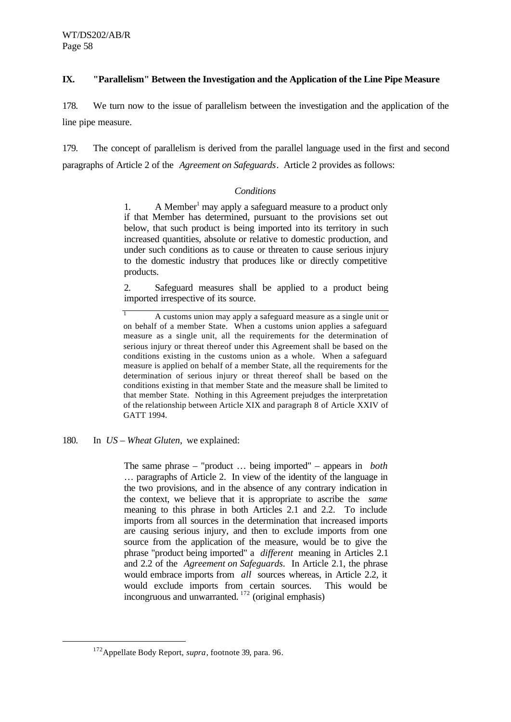# **IX. "Parallelism" Between the Investigation and the Application of the Line Pipe Measure**

178. We turn now to the issue of parallelism between the investigation and the application of the line pipe measure.

179. The concept of parallelism is derived from the parallel language used in the first and second paragraphs of Article 2 of the *Agreement on Safeguards*. Article 2 provides as follows:

# *Conditions*

1. A Member<sup>1</sup> may apply a safeguard measure to a product only if that Member has determined, pursuant to the provisions set out below, that such product is being imported into its territory in such increased quantities, absolute or relative to domestic production, and under such conditions as to cause or threaten to cause serious injury to the domestic industry that produces like or directly competitive products.

2. Safeguard measures shall be applied to a product being imported irrespective of its source.

The same phrase – "product … being imported" – appears in *both* … paragraphs of Article 2. In view of the identity of the language in the two provisions, and in the absence of any contrary indication in the context, we believe that it is appropriate to ascribe the *same* meaning to this phrase in both Articles 2.1 and 2.2. To include imports from all sources in the determination that increased imports are causing serious injury, and then to exclude imports from one source from the application of the measure, would be to give the phrase "product being imported" a *different* meaning in Articles 2.1 and 2.2 of the *Agreement on Safeguards*. In Article 2.1, the phrase would embrace imports from *all* sources whereas, in Article 2.2, it would exclude imports from certain sources. This would be incongruous and unwarranted.  $\frac{172}{2}$  (original emphasis)

<sup>&</sup>lt;sup>1</sup> A customs union may apply a safeguard measure as a single unit or on behalf of a member State. When a customs union applies a safeguard measure as a single unit, all the requirements for the determination of serious injury or threat thereof under this Agreement shall be based on the conditions existing in the customs union as a whole. When a safeguard measure is applied on behalf of a member State, all the requirements for the determination of serious injury or threat thereof shall be based on the conditions existing in that member State and the measure shall be limited to that member State. Nothing in this Agreement prejudges the interpretation of the relationship between Article XIX and paragraph 8 of Article XXIV of GATT 1994.

<sup>180.</sup> In *US – Wheat Gluten*, we explained:

<sup>172</sup>Appellate Body Report, *supra*, footnote 39, para. 96*.*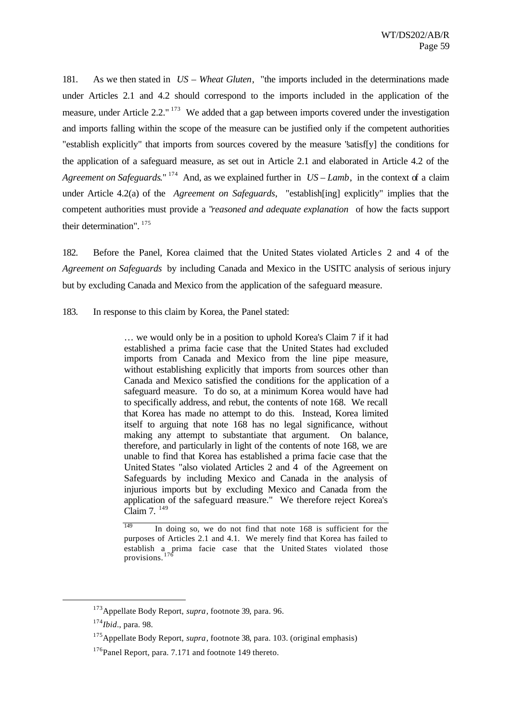181. As we then stated in *US – Wheat Gluten*, "the imports included in the determinations made under Articles 2.1 and 4.2 should correspond to the imports included in the application of the measure, under Article 2.2." <sup>173</sup> We added that a gap between imports covered under the investigation and imports falling within the scope of the measure can be justified only if the competent authorities "establish explicitly" that imports from sources covered by the measure "satisf[y] the conditions for the application of a safeguard measure, as set out in Article 2.1 and elaborated in Article 4.2 of the *Agreement on Safeguards*." <sup>174</sup> And, as we explained further in *US – Lamb*, in the context of a claim under Article 4.2(a) of the *Agreement on Safeguards*, "establish[ing] explicitly" implies that the competent authorities must provide a "*reasoned and adequate explanation* of how the facts support their determination". <sup>175</sup>

182. Before the Panel, Korea claimed that the United States violated Article s 2 and 4 of the *Agreement on Safeguards* by including Canada and Mexico in the USITC analysis of serious injury but by excluding Canada and Mexico from the application of the safeguard measure.

183. In response to this claim by Korea, the Panel stated:

… we would only be in a position to uphold Korea's Claim 7 if it had established a prima facie case that the United States had excluded imports from Canada and Mexico from the line pipe measure, without establishing explicitly that imports from sources other than Canada and Mexico satisfied the conditions for the application of a safeguard measure. To do so, at a minimum Korea would have had to specifically address, and rebut, the contents of note 168. We recall that Korea has made no attempt to do this. Instead, Korea limited itself to arguing that note 168 has no legal significance, without making any attempt to substantiate that argument. On balance, therefore, and particularly in light of the contents of note 168, we are unable to find that Korea has established a prima facie case that the United States "also violated Articles 2 and 4 of the Agreement on Safeguards by including Mexico and Canada in the analysis of injurious imports but by excluding Mexico and Canada from the application of the safeguard measure." We therefore reject Korea's Claim 7. <sup>149</sup>

<sup>149</sup> In doing so, we do not find that note 168 is sufficient for the purposes of Articles 2.1 and 4.1. We merely find that Korea has failed to establish a prima facie case that the United States violated those provisions.<sup>176</sup>

<sup>173</sup>Appellate Body Report, *supra*, footnote 39, para. 96.

<sup>174</sup>*Ibid*., para. 98.

<sup>175</sup>Appellate Body Report, *supra*, footnote 38, para. 103. (original emphasis)

<sup>&</sup>lt;sup>176</sup>Panel Report, para. 7.171 and footnote 149 thereto.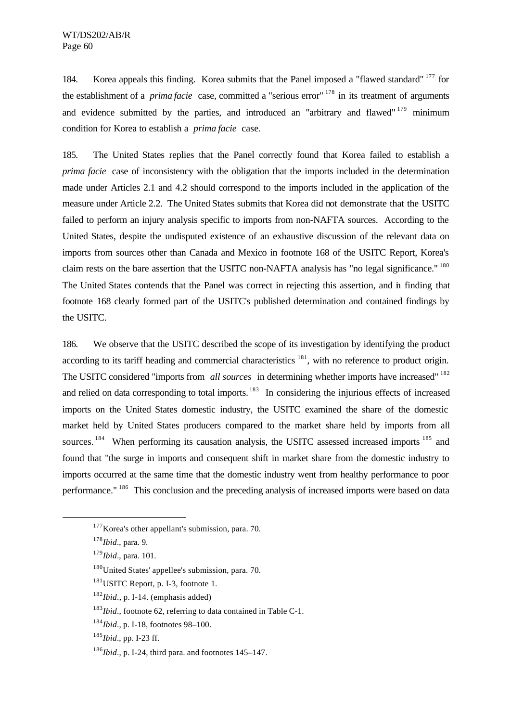184. Korea appeals this finding. Korea submits that the Panel imposed a "flawed standard" <sup>177</sup> for the establishment of a *prima facie* case, committed a "serious error" <sup>178</sup> in its treatment of arguments and evidence submitted by the parties, and introduced an "arbitrary and flawed" <sup>179</sup> minimum condition for Korea to establish a *prima facie* case.

185. The United States replies that the Panel correctly found that Korea failed to establish a *prima facie* case of inconsistency with the obligation that the imports included in the determination made under Articles 2.1 and 4.2 should correspond to the imports included in the application of the measure under Article 2.2. The United States submits that Korea did not demonstrate that the USITC failed to perform an injury analysis specific to imports from non-NAFTA sources. According to the United States, despite the undisputed existence of an exhaustive discussion of the relevant data on imports from sources other than Canada and Mexico in footnote 168 of the USITC Report, Korea's claim rests on the bare assertion that the USITC non-NAFTA analysis has "no legal significance." <sup>180</sup> The United States contends that the Panel was correct in rejecting this assertion, and in finding that footnote 168 clearly formed part of the USITC's published determination and contained findings by the USITC.

186. We observe that the USITC described the scope of its investigation by identifying the product according to its tariff heading and commercial characteristics  $181$ , with no reference to product origin. The USITC considered "imports from *all sources* in determining whether imports have increased" <sup>182</sup> and relied on data corresponding to total imports.<sup>183</sup> In considering the injurious effects of increased imports on the United States domestic industry, the USITC examined the share of the domestic market held by United States producers compared to the market share held by imports from all sources.<sup>184</sup> When performing its causation analysis, the USITC assessed increased imports<sup>185</sup> and found that "the surge in imports and consequent shift in market share from the domestic industry to imports occurred at the same time that the domestic industry went from healthy performance to poor performance." <sup>186</sup> This conclusion and the preceding analysis of increased imports were based on data

l

<sup>181</sup>USITC Report, p. I-3, footnote 1.

<sup>&</sup>lt;sup>177</sup>Korea's other appellant's submission, para. 70.

<sup>178</sup>*Ibid*., para. 9.

<sup>179</sup>*Ibid*., para. 101.

<sup>&</sup>lt;sup>180</sup>United States' appellee's submission, para. 70.

<sup>182</sup>*Ibid*., p. I-14. (emphasis added)

<sup>183</sup>*Ibid*., footnote 62, referring to data contained in Table C-1.

<sup>184</sup>*Ibid*., p. I-18, footnotes 98–100.

<sup>185</sup>*Ibid*., pp. I-23 ff.

<sup>186</sup>*Ibid*., p. I-24, third para. and footnotes 145–147.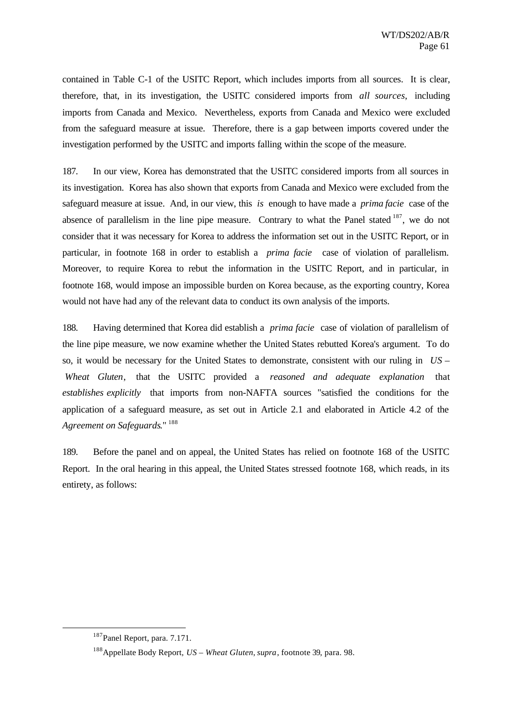contained in Table C-1 of the USITC Report, which includes imports from all sources. It is clear, therefore, that, in its investigation, the USITC considered imports from *all sources*, including imports from Canada and Mexico. Nevertheless, exports from Canada and Mexico were excluded from the safeguard measure at issue. Therefore, there is a gap between imports covered under the investigation performed by the USITC and imports falling within the scope of the measure.

187. In our view, Korea has demonstrated that the USITC considered imports from all sources in its investigation. Korea has also shown that exports from Canada and Mexico were excluded from the safeguard measure at issue. And, in our view, this *is* enough to have made a *prima facie* case of the absence of parallelism in the line pipe measure. Contrary to what the Panel stated  $187$ , we do not consider that it was necessary for Korea to address the information set out in the USITC Report, or in particular, in footnote 168 in order to establish a *prima facie* case of violation of parallelism. Moreover, to require Korea to rebut the information in the USITC Report, and in particular, in footnote 168, would impose an impossible burden on Korea because, as the exporting country, Korea would not have had any of the relevant data to conduct its own analysis of the imports.

188. Having determined that Korea did establish a *prima facie* case of violation of parallelism of the line pipe measure, we now examine whether the United States rebutted Korea's argument. To do so, it would be necessary for the United States to demonstrate, consistent with our ruling in *US – Wheat Gluten*, that the USITC provided a *reasoned and adequate explanation* that *establishes explicitly* that imports from non-NAFTA sources "satisfied the conditions for the application of a safeguard measure, as set out in Article 2.1 and elaborated in Article 4.2 of the *Agreement on Safeguards*." <sup>188</sup>

189. Before the panel and on appeal, the United States has relied on footnote 168 of the USITC Report. In the oral hearing in this appeal, the United States stressed footnote 168, which reads, in its entirety, as follows:

<sup>187</sup>Panel Report, para. 7.171.

<sup>188</sup>Appellate Body Report, *US – Wheat Gluten*, *supra*, footnote 39, para. 98.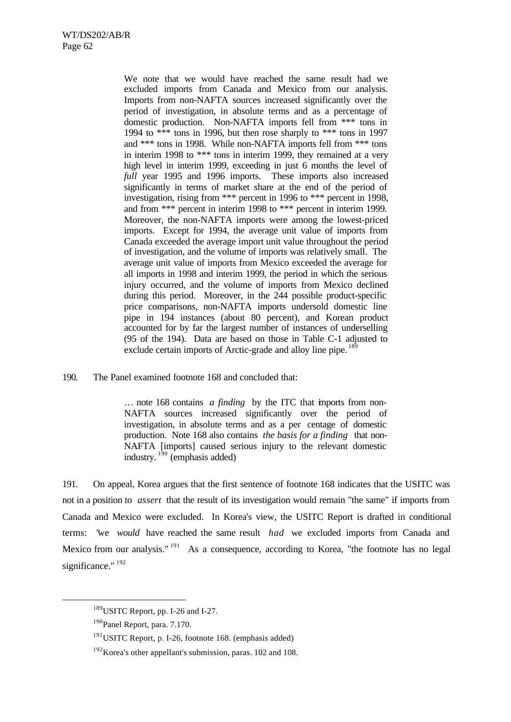We note that we would have reached the same result had we excluded imports from Canada and Mexico from our analysis. Imports from non-NAFTA sources increased significantly over the period of investigation, in absolute terms and as a percentage of domestic production. Non-NAFTA imports fell from \*\*\* tons in 1994 to \*\*\* tons in 1996, but then rose sharply to \*\*\* tons in 1997 and \*\*\* tons in 1998. While non-NAFTA imports fell from \*\*\* tons in interim 1998 to \*\*\* tons in interim 1999, they remained at a very high level in interim 1999, exceeding in just 6 months the level of full year 1995 and 1996 imports. These imports also increased significantly in terms of market share at the end of the period of investigation, rising from \*\*\* percent in 1996 to \*\*\* percent in 1998, and from \*\*\* percent in interim 1998 to \*\*\* percent in interim 1999. Moreover, the non-NAFTA imports were among the lowest-priced imports. Except for 1994, the average unit value of imports from Canada exceeded the average import unit value throughout the period of investigation, and the volume of imports was relatively small. The average unit value of imports from Mexico exceeded the average for all imports in 1998 and interim 1999, the period in which the serious injury occurred, and the volume of imports from Mexico declined during this period. Moreover, in the 244 possible product-specific price comparisons, non-NAFTA imports undersold domestic line pipe in 194 instances (about 80 percent), and Korean product accounted for by far the largest number of instances of underselling (95 of the 194). Data are based on those in Table C-1 adjusted to exclude certain imports of Arctic-grade and alloy line pipe.<sup>189</sup>

190. The Panel examined footnote 168 and concluded that:

… note 168 contains *a finding* by the ITC that imports from non-NAFTA sources increased significantly over the period of investigation, in absolute terms and as a per centage of domestic production. Note 168 also contains *the basis for a finding* that non-NAFTA [imports] caused serious injury to the relevant domestic  $industry.$ <sup>190</sup> (emphasis added)

191. On appeal, Korea argues that the first sentence of footnote 168 indicates that the USITC was not in a position to *assert* that the result of its investigation would remain "the same" if imports from Canada and Mexico were excluded. In Korea's view, the USITC Report is drafted in conditional terms: "we *would* have reached the same result *had* we excluded imports from Canada and Mexico from our analysis."<sup>191</sup> As a consequence, according to Korea, "the footnote has no legal significance."<sup>192</sup>

<sup>&</sup>lt;sup>189</sup>USITC Report, pp. I-26 and I-27.

<sup>&</sup>lt;sup>190</sup>Panel Report, para. 7.170.

 $191$ USITC Report, p. I-26, footnote 168. (emphasis added)

<sup>&</sup>lt;sup>192</sup>Korea's other appellant's submission, paras. 102 and 108.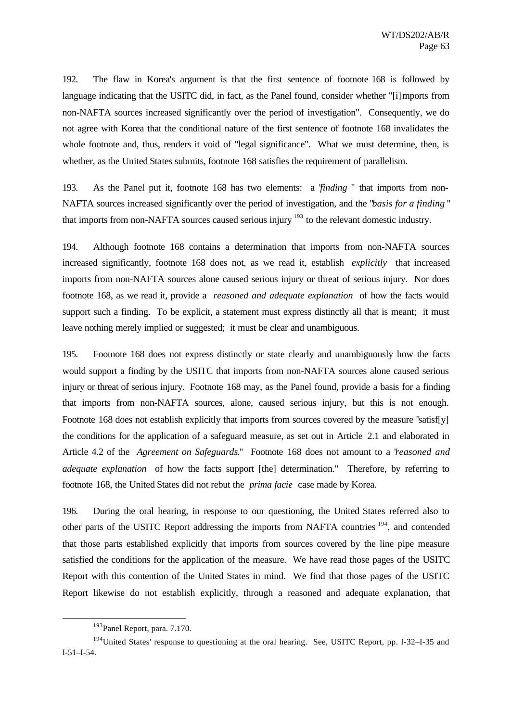192. The flaw in Korea's argument is that the first sentence of footnote 168 is followed by language indicating that the USITC did, in fact, as the Panel found, consider whether "[i]mports from non-NAFTA sources increased significantly over the period of investigation". Consequently, we do not agree with Korea that the conditional nature of the first sentence of footnote 168 invalidates the whole footnote and, thus, renders it void of "legal significance". What we must determine, then, is whether, as the United States submits, footnote 168 satisfies the requirement of parallelism.

193. As the Panel put it, footnote 168 has two elements: a "*finding* " that imports from non-NAFTA sources increased significantly over the period of investigation, and the "*basis for a finding* " that imports from non-NAFTA sources caused serious injury <sup>193</sup> to the relevant domestic industry.

194. Although footnote 168 contains a determination that imports from non-NAFTA sources increased significantly, footnote 168 does not, as we read it, establish *explicitly* that increased imports from non-NAFTA sources alone caused serious injury or threat of serious injury. Nor does footnote 168, as we read it, provide a *reasoned and adequate explanation* of how the facts would support such a finding. To be explicit, a statement must express distinctly all that is meant; it must leave nothing merely implied or suggested; it must be clear and unambiguous.

195. Footnote 168 does not express distinctly or state clearly and unambiguously how the facts would support a finding by the USITC that imports from non-NAFTA sources alone caused serious injury or threat of serious injury. Footnote 168 may, as the Panel found, provide a basis for a finding that imports from non-NAFTA sources, alone, caused serious injury, but this is not enough. Footnote 168 does not establish explicitly that imports from sources covered by the measure "satisf[y] the conditions for the application of a safeguard measure, as set out in Article 2.1 and elaborated in Article 4.2 of the *Agreement on Safeguards*." Footnote 168 does not amount to a "*reasoned and adequate explanation* of how the facts support [the] determination." Therefore, by referring to footnote 168, the United States did not rebut the *prima facie* case made by Korea.

196. During the oral hearing, in response to our questioning, the United States referred also to other parts of the USITC Report addressing the imports from NAFTA countries <sup>194</sup>, and contended that those parts established explicitly that imports from sources covered by the line pipe measure satisfied the conditions for the application of the measure. We have read those pages of the USITC Report with this contention of the United States in mind. We find that those pages of the USITC Report likewise do not establish explicitly, through a reasoned and adequate explanation, that

<sup>193</sup>Panel Report, para. 7.170.

<sup>&</sup>lt;sup>194</sup>United States' response to questioning at the oral hearing. See, USITC Report, pp. I-32–I-35 and I-51–I-54.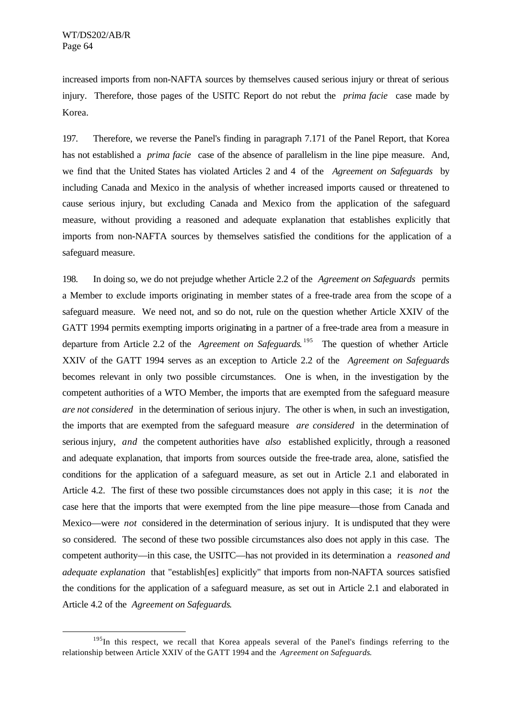l

increased imports from non-NAFTA sources by themselves caused serious injury or threat of serious injury. Therefore, those pages of the USITC Report do not rebut the *prima facie* case made by Korea.

197. Therefore, we reverse the Panel's finding in paragraph 7.171 of the Panel Report, that Korea has not established a *prima facie* case of the absence of parallelism in the line pipe measure. And, we find that the United States has violated Articles 2 and 4 of the *Agreement on Safeguards* by including Canada and Mexico in the analysis of whether increased imports caused or threatened to cause serious injury, but excluding Canada and Mexico from the application of the safeguard measure, without providing a reasoned and adequate explanation that establishes explicitly that imports from non-NAFTA sources by themselves satisfied the conditions for the application of a safeguard measure.

198. In doing so, we do not prejudge whether Article 2.2 of the *Agreement on Safeguards* permits a Member to exclude imports originating in member states of a free-trade area from the scope of a safeguard measure. We need not, and so do not, rule on the question whether Article XXIV of the GATT 1994 permits exempting imports originating in a partner of a free-trade area from a measure in departure from Article 2.2 of the *Agreement on Safeguards*. <sup>195</sup> The question of whether Article XXIV of the GATT 1994 serves as an exception to Article 2.2 of the *Agreement on Safeguards* becomes relevant in only two possible circumstances. One is when, in the investigation by the competent authorities of a WTO Member, the imports that are exempted from the safeguard measure *are not considered* in the determination of serious injury. The other is when, in such an investigation, the imports that are exempted from the safeguard measure *are considered* in the determination of serious injury, *and* the competent authorities have *also* established explicitly, through a reasoned and adequate explanation, that imports from sources outside the free-trade area, alone, satisfied the conditions for the application of a safeguard measure, as set out in Article 2.1 and elaborated in Article 4.2. The first of these two possible circumstances does not apply in this case; it is *not* the case here that the imports that were exempted from the line pipe measure—those from Canada and Mexico—were *not* considered in the determination of serious injury. It is undisputed that they were so considered. The second of these two possible circumstances also does not apply in this case. The competent authority—in this case, the USITC—has not provided in its determination a *reasoned and adequate explanation* that "establish[es] explicitly" that imports from non-NAFTA sources satisfied the conditions for the application of a safeguard measure, as set out in Article 2.1 and elaborated in Article 4.2 of the *Agreement on Safeguards*.

<sup>&</sup>lt;sup>195</sup>In this respect, we recall that Korea appeals several of the Panel's findings referring to the relationship between Article XXIV of the GATT 1994 and the *Agreement on Safeguards*.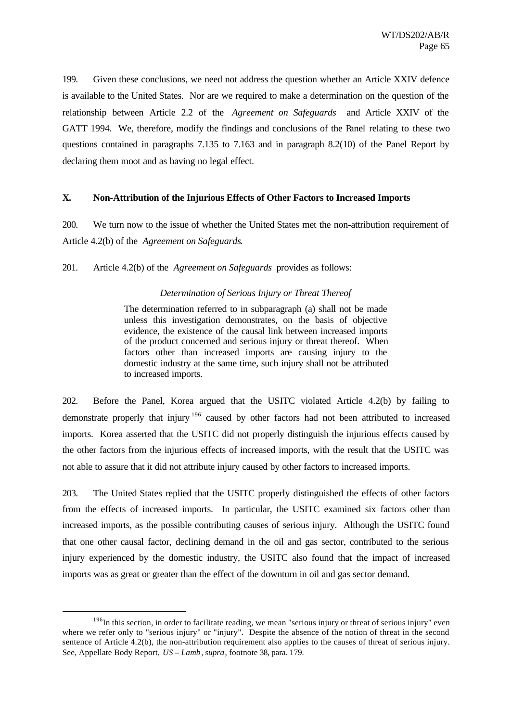199. Given these conclusions, we need not address the question whether an Article XXIV defence is available to the United States. Nor are we required to make a determination on the question of the relationship between Article 2.2 of the *Agreement on Safeguards* and Article XXIV of the GATT 1994. We, therefore, modify the findings and conclusions of the Panel relating to these two questions contained in paragraphs 7.135 to 7.163 and in paragraph 8.2(10) of the Panel Report by declaring them moot and as having no legal effect.

### **X. Non-Attribution of the Injurious Effects of Other Factors to Increased Imports**

200. We turn now to the issue of whether the United States met the non-attribution requirement of Article 4.2(b) of the *Agreement on Safeguards*.

201. Article 4.2(b) of the *Agreement on Safeguards* provides as follows:

# *Determination of Serious Injury or Threat Thereof*

The determination referred to in subparagraph (a) shall not be made unless this investigation demonstrates, on the basis of objective evidence, the existence of the causal link between increased imports of the product concerned and serious injury or threat thereof. When factors other than increased imports are causing injury to the domestic industry at the same time, such injury shall not be attributed to increased imports.

202. Before the Panel, Korea argued that the USITC violated Article 4.2(b) by failing to demonstrate properly that injury <sup>196</sup> caused by other factors had not been attributed to increased imports. Korea asserted that the USITC did not properly distinguish the injurious effects caused by the other factors from the injurious effects of increased imports, with the result that the USITC was not able to assure that it did not attribute injury caused by other factors to increased imports.

203. The United States replied that the USITC properly distinguished the effects of other factors from the effects of increased imports. In particular, the USITC examined six factors other than increased imports, as the possible contributing causes of serious injury. Although the USITC found that one other causal factor, declining demand in the oil and gas sector, contributed to the serious injury experienced by the domestic industry, the USITC also found that the impact of increased imports was as great or greater than the effect of the downturn in oil and gas sector demand.

<sup>&</sup>lt;sup>196</sup>In this section, in order to facilitate reading, we mean "serious injury or threat of serious injury" even where we refer only to "serious injury" or "injury". Despite the absence of the notion of threat in the second sentence of Article 4.2(b), the non-attribution requirement also applies to the causes of threat of serious injury. See, Appellate Body Report, *US – Lamb*, *supra*, footnote 38, para. 179.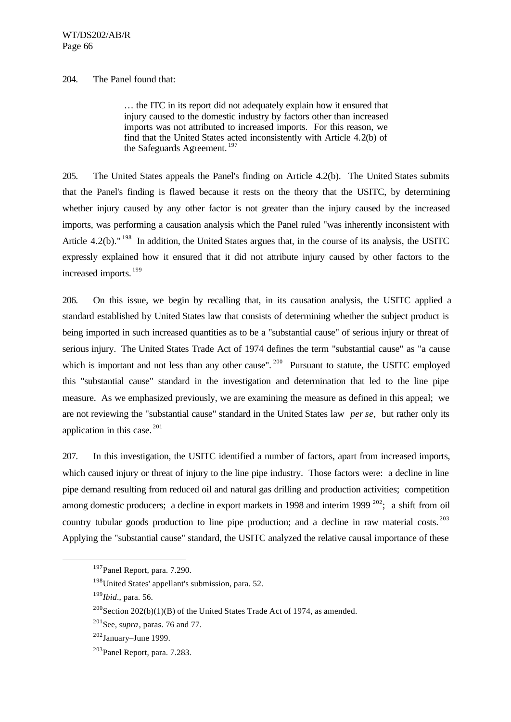### 204. The Panel found that:

… the ITC in its report did not adequately explain how it ensured that injury caused to the domestic industry by factors other than increased imports was not attributed to increased imports. For this reason, we find that the United States acted inconsistently with Article 4.2(b) of the Safeguards Agreement.<sup>197</sup>

205. The United States appeals the Panel's finding on Article 4.2(b). The United States submits that the Panel's finding is flawed because it rests on the theory that the USITC, by determining whether injury caused by any other factor is not greater than the injury caused by the increased imports, was performing a causation analysis which the Panel ruled "was inherently inconsistent with Article 4.2(b)."<sup>198</sup> In addition, the United States argues that, in the course of its analysis, the USITC expressly explained how it ensured that it did not attribute injury caused by other factors to the increased imports. <sup>199</sup>

206. On this issue, we begin by recalling that, in its causation analysis, the USITC applied a standard established by United States law that consists of determining whether the subject product is being imported in such increased quantities as to be a "substantial cause" of serious injury or threat of serious injury. The United States Trade Act of 1974 defines the term "substantial cause" as "a cause which is important and not less than any other cause". <sup>200</sup> Pursuant to statute, the USITC employed this "substantial cause" standard in the investigation and determination that led to the line pipe measure. As we emphasized previously, we are examining the measure as defined in this appeal; we are not reviewing the "substantial cause" standard in the United States law *per se*, but rather only its application in this case.  $201$ 

207. In this investigation, the USITC identified a number of factors, apart from increased imports, which caused injury or threat of injury to the line pipe industry. Those factors were: a decline in line pipe demand resulting from reduced oil and natural gas drilling and production activities; competition among domestic producers; a decline in export markets in 1998 and interim 1999<sup>202</sup>; a shift from oil country tubular goods production to line pipe production; and a decline in raw material costs.  $203$ Applying the "substantial cause" standard, the USITC analyzed the relative causal importance of these

<sup>197</sup>Panel Report, para. 7.290.

<sup>&</sup>lt;sup>198</sup>United States' appellant's submission, para. 52.

<sup>199</sup>*Ibid*., para. 56.

<sup>&</sup>lt;sup>200</sup>Section 202(b)(1)(B) of the United States Trade Act of 1974, as amended.

<sup>201</sup>See, *supra*, paras. 76 and 77.

 $202$ January–June 1999.

<sup>203</sup>Panel Report, para. 7.283.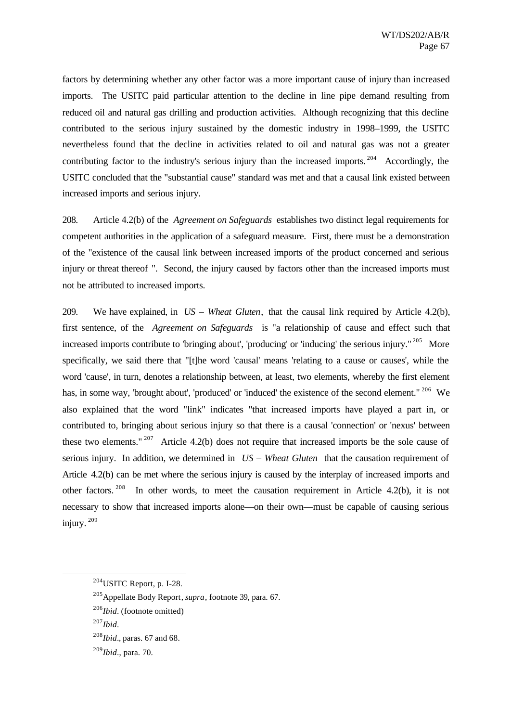factors by determining whether any other factor was a more important cause of injury than increased imports. The USITC paid particular attention to the decline in line pipe demand resulting from reduced oil and natural gas drilling and production activities. Although recognizing that this decline contributed to the serious injury sustained by the domestic industry in 1998–1999, the USITC nevertheless found that the decline in activities related to oil and natural gas was not a greater contributing factor to the industry's serious injury than the increased imports.  $204$  Accordingly, the USITC concluded that the "substantial cause" standard was met and that a causal link existed between increased imports and serious injury.

208. Article 4.2(b) of the *Agreement on Safeguards* establishes two distinct legal requirements for competent authorities in the application of a safeguard measure. First, there must be a demonstration of the "existence of the causal link between increased imports of the product concerned and serious injury or threat thereof ". Second, the injury caused by factors other than the increased imports must not be attributed to increased imports.

209. We have explained, in *US – Wheat Gluten*, that the causal link required by Article 4.2(b), first sentence, of the *Agreement on Safeguards* is "a relationship of cause and effect such that increased imports contribute to 'bringing about', 'producing' or 'inducing' the serious injury."<sup>205</sup> More specifically, we said there that "[t]he word 'causal' means 'relating to a cause or causes', while the word 'cause', in turn, denotes a relationship between, at least, two elements, whereby the first element has, in some way, 'brought about', 'produced' or 'induced' the existence of the second element." <sup>206</sup> We also explained that the word "link" indicates "that increased imports have played a part in, or contributed to, bringing about serious injury so that there is a causal 'connection' or 'nexus' between these two elements."  $207$  Article 4.2(b) does not require that increased imports be the sole cause of serious injury. In addition, we determined in *US – Wheat Gluten* that the causation requirement of Article 4.2(b) can be met where the serious injury is caused by the interplay of increased imports and other factors. <sup>208</sup> In other words, to meet the causation requirement in Article 4.2(b), it is not necessary to show that increased imports alone—on their own—must be capable of causing serious injury.<sup>209</sup>

<sup>204</sup>USITC Report, p. I-28.

<sup>205</sup>Appellate Body Report, *supra*, footnote 39, para. 67.

<sup>206</sup>*Ibid*. (footnote omitted)

<sup>207</sup>*Ibid*.

<sup>208</sup>*Ibid*., paras. 67 and 68.

<sup>209</sup>*Ibid*., para. 70.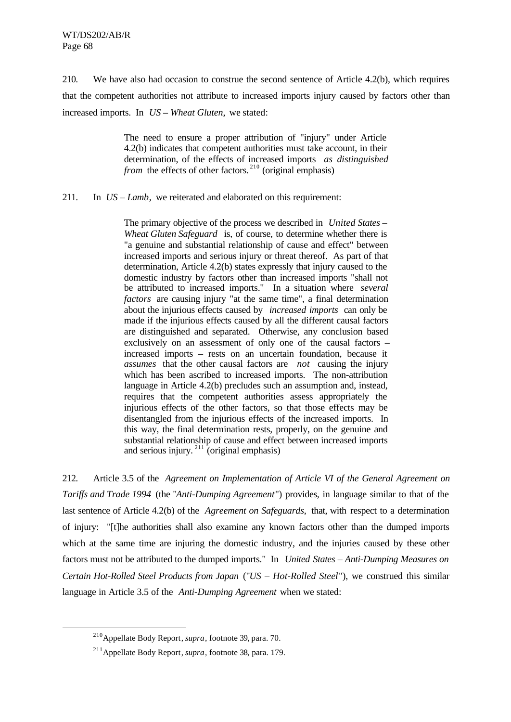210. We have also had occasion to construe the second sentence of Article 4.2(b), which requires that the competent authorities not attribute to increased imports injury caused by factors other than increased imports. In *US – Wheat Gluten*, we stated:

> The need to ensure a proper attribution of "injury" under Article 4.2(b) indicates that competent authorities must take account, in their determination, of the effects of increased imports *as distinguished from* the effects of other factors.<sup>210</sup> (original emphasis)

211. In *US – Lamb*, we reiterated and elaborated on this requirement:

The primary objective of the process we described in *United States – Wheat Gluten Safeguard* is, of course, to determine whether there is "a genuine and substantial relationship of cause and effect" between increased imports and serious injury or threat thereof. As part of that determination, Article 4.2(b) states expressly that injury caused to the domestic industry by factors other than increased imports "shall not be attributed to increased imports." In a situation where *several factors* are causing injury "at the same time", a final determination about the injurious effects caused by *increased imports* can only be made if the injurious effects caused by all the different causal factors are distinguished and separated. Otherwise, any conclusion based exclusively on an assessment of only one of the causal factors – increased imports – rests on an uncertain foundation, because it *assumes* that the other causal factors are *not* causing the injury which has been ascribed to increased imports. The non-attribution language in Article 4.2(b) precludes such an assumption and, instead, requires that the competent authorities assess appropriately the injurious effects of the other factors, so that those effects may be disentangled from the injurious effects of the increased imports. In this way, the final determination rests, properly, on the genuine and substantial relationship of cause and effect between increased imports and serious injury.  $2^{11}$  (original emphasis)

212. Article 3.5 of the *Agreement on Implementation of Article VI of the General Agreement on Tariffs and Trade 1994* (the "*Anti-Dumping Agreement*") provides, in language similar to that of the last sentence of Article 4.2(b) of the *Agreement on Safeguards*, that, with respect to a determination of injury: "[t]he authorities shall also examine any known factors other than the dumped imports which at the same time are injuring the domestic industry, and the injuries caused by these other factors must not be attributed to the dumped imports." In *United States – Anti-Dumping Measures on Certain Hot-Rolled Steel Products from Japan* ("*US – Hot-Rolled Steel*"), we construed this similar language in Article 3.5 of the *Anti-Dumping Agreement* when we stated:

<sup>210</sup>Appellate Body Report, *supra*, footnote 39, para. 70.

<sup>211</sup>Appellate Body Report, *supra*, footnote 38, para. 179.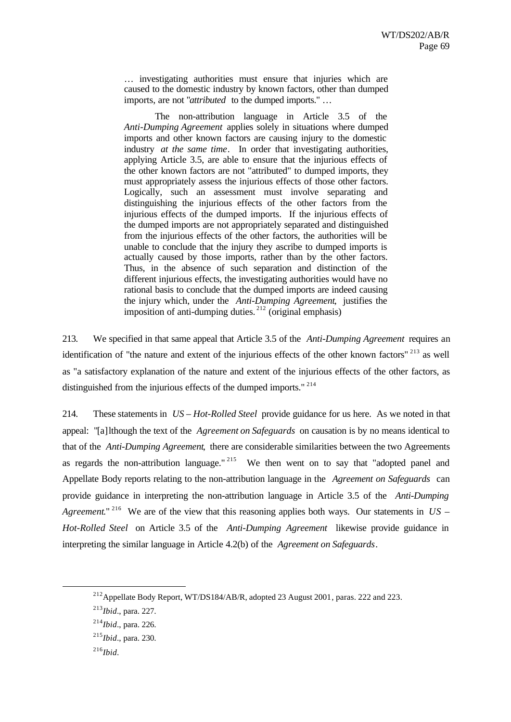… investigating authorities must ensure that injuries which are caused to the domestic industry by known factors, other than dumped imports, are not "*attributed* to the dumped imports." …

The non-attribution language in Article 3.5 of the *Anti-Dumping Agreement* applies solely in situations where dumped imports and other known factors are causing injury to the domestic industry *at the same time*. In order that investigating authorities, applying Article 3.5, are able to ensure that the injurious effects of the other known factors are not "attributed" to dumped imports, they must appropriately assess the injurious effects of those other factors. Logically, such an assessment must involve separating and distinguishing the injurious effects of the other factors from the injurious effects of the dumped imports. If the injurious effects of the dumped imports are not appropriately separated and distinguished from the injurious effects of the other factors, the authorities will be unable to conclude that the injury they ascribe to dumped imports is actually caused by those imports, rather than by the other factors. Thus, in the absence of such separation and distinction of the different injurious effects, the investigating authorities would have no rational basis to conclude that the dumped imports are indeed causing the injury which, under the *Anti-Dumping Agreement*, justifies the imposition of anti-dumping duties.<sup>212</sup> (original emphasis)

213. We specified in that same appeal that Article 3.5 of the *Anti-Dumping Agreement* requires an identification of "the nature and extent of the injurious effects of the other known factors" <sup>213</sup> as well as "a satisfactory explanation of the nature and extent of the injurious effects of the other factors, as distinguished from the injurious effects of the dumped imports."<sup>214</sup>

214. These statements in *US – Hot-Rolled Steel* provide guidance for us here. As we noted in that appeal: "[a]lthough the text of the *Agreement on Safeguards* on causation is by no means identical to that of the *Anti-Dumping Agreement*, there are considerable similarities between the two Agreements as regards the non-attribution language." <sup>215</sup> We then went on to say that "adopted panel and Appellate Body reports relating to the non-attribution language in the *Agreement on Safeguards* can provide guidance in interpreting the non-attribution language in Article 3.5 of the *Anti-Dumping Agreement*." <sup>216</sup> We are of the view that this reasoning applies both ways. Our statements in *US – Hot-Rolled Steel* on Article 3.5 of the *Anti-Dumping Agreement* likewise provide guidance in interpreting the similar language in Article 4.2(b) of the *Agreement on Safeguards*.

<sup>212</sup>Appellate Body Report, WT/DS184/AB/R, adopted 23 August 2001, paras. 222 and 223.

<sup>213</sup>*Ibid*., para. 227.

<sup>214</sup>*Ibid*., para. 226.

<sup>215</sup>*Ibid*., para. 230.

<sup>216</sup>*Ibid*.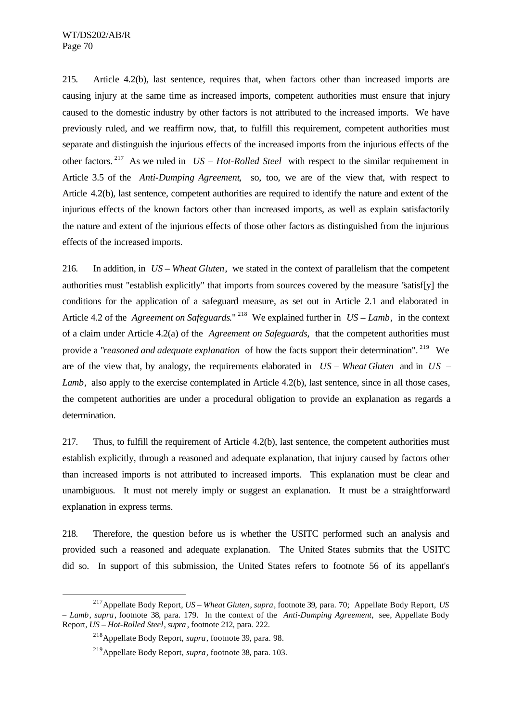215. Article 4.2(b), last sentence, requires that, when factors other than increased imports are causing injury at the same time as increased imports, competent authorities must ensure that injury caused to the domestic industry by other factors is not attributed to the increased imports. We have previously ruled, and we reaffirm now, that, to fulfill this requirement, competent authorities must separate and distinguish the injurious effects of the increased imports from the injurious effects of the other factors. <sup>217</sup> As we ruled in *US – Hot-Rolled Steel* with respect to the similar requirement in Article 3.5 of the *Anti-Dumping Agreement*, so, too, we are of the view that, with respect to Article 4.2(b), last sentence, competent authorities are required to identify the nature and extent of the injurious effects of the known factors other than increased imports, as well as explain satisfactorily the nature and extent of the injurious effects of those other factors as distinguished from the injurious effects of the increased imports.

216. In addition, in *US – Wheat Gluten*, we stated in the context of parallelism that the competent authorities must "establish explicitly" that imports from sources covered by the measure "satisf[y] the conditions for the application of a safeguard measure, as set out in Article 2.1 and elaborated in Article 4.2 of the *Agreement on Safeguards*." <sup>218</sup> We explained further in *US – Lamb*, in the context of a claim under Article 4.2(a) of the *Agreement on Safeguards*, that the competent authorities must provide a "*reasoned and adequate explanation* of how the facts support their determination". <sup>219</sup> We are of the view that, by analogy, the requirements elaborated in *US – Wheat Gluten* and in *US – Lamb*, also apply to the exercise contemplated in Article 4.2(b), last sentence, since in all those cases, the competent authorities are under a procedural obligation to provide an explanation as regards a determination.

217. Thus, to fulfill the requirement of Article 4.2(b), last sentence, the competent authorities must establish explicitly, through a reasoned and adequate explanation, that injury caused by factors other than increased imports is not attributed to increased imports. This explanation must be clear and unambiguous. It must not merely imply or suggest an explanation. It must be a straightforward explanation in express terms.

218. Therefore, the question before us is whether the USITC performed such an analysis and provided such a reasoned and adequate explanation. The United States submits that the USITC did so. In support of this submission, the United States refers to footnote 56 of its appellant's

<sup>217</sup>Appellate Body Report, *US – Wheat Gluten*, *supra*, footnote 39, para. 70; Appellate Body Report, *US – Lamb*, *supra*, footnote 38, para. 179. In the context of the *Anti-Dumping Agreement*, see, Appellate Body Report, *US – Hot-Rolled Steel*, *supra* , footnote 212, para. 222.

<sup>218</sup>Appellate Body Report, *supra*, footnote 39, para. 98.

<sup>219</sup>Appellate Body Report, *supra*, footnote 38, para. 103.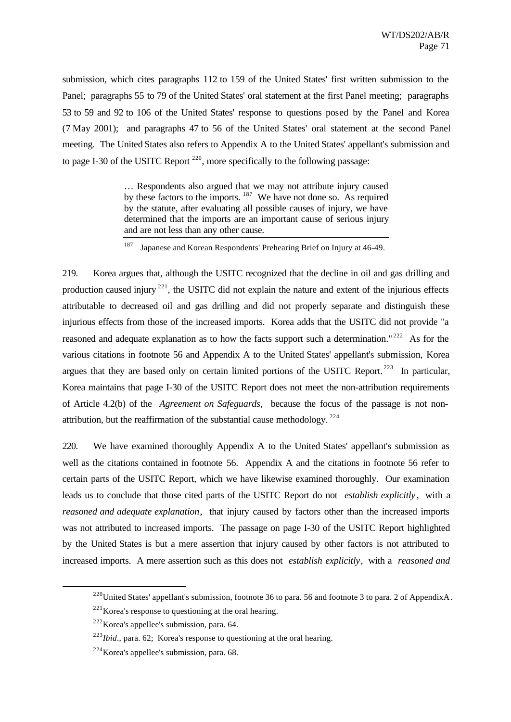submission, which cites paragraphs 112 to 159 of the United States' first written submission to the Panel; paragraphs 55 to 79 of the United States' oral statement at the first Panel meeting; paragraphs 53 to 59 and 92 to 106 of the United States' response to questions posed by the Panel and Korea (7 May 2001); and paragraphs 47 to 56 of the United States' oral statement at the second Panel meeting. The United States also refers to Appendix A to the United States' appellant's submission and to page I-30 of the USITC Report  $^{220}$ , more specifically to the following passage:

> … Respondents also argued that we may not attribute injury caused by these factors to the imports.  $187$  We have not done so. As required by the statute, after evaluating all possible causes of injury, we have determined that the imports are an important cause of serious injury and are not less than any other cause.

<sup>187</sup> Japanese and Korean Respondents' Prehearing Brief on Injury at 46-49.

219. Korea argues that, although the USITC recognized that the decline in oil and gas drilling and production caused injury  $^{221}$ , the USITC did not explain the nature and extent of the injurious effects attributable to decreased oil and gas drilling and did not properly separate and distinguish these injurious effects from those of the increased imports. Korea adds that the USITC did not provide "a reasoned and adequate explanation as to how the facts support such a determination."<sup>222</sup> As for the various citations in footnote 56 and Appendix A to the United States' appellant's submission, Korea argues that they are based only on certain limited portions of the USITC Report.<sup>223</sup> In particular. Korea maintains that page I-30 of the USITC Report does not meet the non-attribution requirements of Article 4.2(b) of the *Agreement on Safeguards*, because the focus of the passage is not nonattribution, but the reaffirmation of the substantial cause methodology.  $224$ 

220. We have examined thoroughly Appendix A to the United States' appellant's submission as well as the citations contained in footnote 56. Appendix A and the citations in footnote 56 refer to certain parts of the USITC Report, which we have likewise examined thoroughly. Our examination leads us to conclude that those cited parts of the USITC Report do not *establish explicitly* , with a *reasoned and adequate explanation*, that injury caused by factors other than the increased imports was not attributed to increased imports. The passage on page I-30 of the USITC Report highlighted by the United States is but a mere assertion that injury caused by other factors is not attributed to increased imports. A mere assertion such as this does not *establish explicitly*, with a *reasoned and*

<sup>&</sup>lt;sup>220</sup>United States' appellant's submission, footnote 36 to para. 56 and footnote 3 to para. 2 of AppendixA.

 $^{221}$ Korea's response to questioning at the oral hearing.

 $222$ Korea's appellee's submission, para. 64.

<sup>&</sup>lt;sup>223</sup>*Ibid.*, para. 62; Korea's response to questioning at the oral hearing.

 $224$ Korea's appellee's submission, para. 68.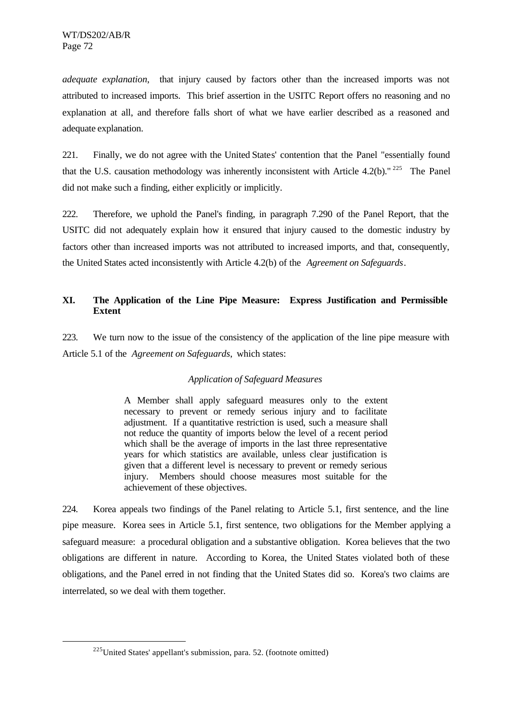*adequate explanation*, that injury caused by factors other than the increased imports was not attributed to increased imports. This brief assertion in the USITC Report offers no reasoning and no explanation at all, and therefore falls short of what we have earlier described as a reasoned and adequate explanation.

221. Finally, we do not agree with the United States' contention that the Panel "essentially found that the U.S. causation methodology was inherently inconsistent with Article 4.2(b)." <sup>225</sup> The Panel did not make such a finding, either explicitly or implicitly.

222. Therefore, we uphold the Panel's finding, in paragraph 7.290 of the Panel Report, that the USITC did not adequately explain how it ensured that injury caused to the domestic industry by factors other than increased imports was not attributed to increased imports, and that, consequently, the United States acted inconsistently with Article 4.2(b) of the *Agreement on Safeguards*.

# **XI. The Application of the Line Pipe Measure: Express Justification and Permissible Extent**

223. We turn now to the issue of the consistency of the application of the line pipe measure with Article 5.1 of the *Agreement on Safeguards*, which states:

## *Application of Safeguard Measures*

A Member shall apply safeguard measures only to the extent necessary to prevent or remedy serious injury and to facilitate adjustment. If a quantitative restriction is used, such a measure shall not reduce the quantity of imports below the level of a recent period which shall be the average of imports in the last three representative years for which statistics are available, unless clear justification is given that a different level is necessary to prevent or remedy serious injury. Members should choose measures most suitable for the achievement of these objectives.

224. Korea appeals two findings of the Panel relating to Article 5.1, first sentence, and the line pipe measure. Korea sees in Article 5.1, first sentence, two obligations for the Member applying a safeguard measure: a procedural obligation and a substantive obligation. Korea believes that the two obligations are different in nature. According to Korea, the United States violated both of these obligations, and the Panel erred in not finding that the United States did so. Korea's two claims are interrelated, so we deal with them together.

 $225$ United States' appellant's submission, para. 52. (footnote omitted)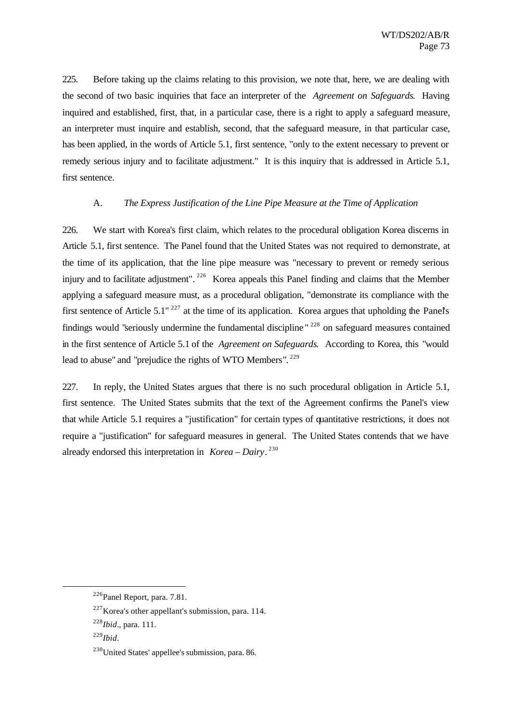225. Before taking up the claims relating to this provision, we note that, here, we are dealing with the second of two basic inquiries that face an interpreter of the *Agreement on Safeguards*. Having inquired and established, first, that, in a particular case, there is a right to apply a safeguard measure, an interpreter must inquire and establish, second, that the safeguard measure, in that particular case, has been applied, in the words of Article 5.1, first sentence, "only to the extent necessary to prevent or remedy serious injury and to facilitate adjustment." It is this inquiry that is addressed in Article 5.1, first sentence.

### A. *The Express Justification of the Line Pipe Measure at the Time of Application*

226. We start with Korea's first claim, which relates to the procedural obligation Korea discerns in Article 5.1, first sentence. The Panel found that the United States was not required to demonstrate, at the time of its application, that the line pipe measure was "necessary to prevent or remedy serious injury and to facilitate adjustment". <sup>226</sup> Korea appeals this Panel finding and claims that the Member applying a safeguard measure must, as a procedural obligation, "demonstrate its compliance with the first sentence of Article 5.1"  $^{227}$  at the time of its application. Korea argues that upholding the Panel's findings would "seriously undermine the fundamental discipline"<sup>228</sup> on safeguard measures contained in the first sentence of Article 5.1 of the *Agreement on Safeguards*. According to Korea, this "would lead to abuse" and "prejudice the rights of WTO Members". <sup>229</sup>

227. In reply, the United States argues that there is no such procedural obligation in Article 5.1, first sentence. The United States submits that the text of the Agreement confirms the Panel's view that while Article 5.1 requires a "justification" for certain types of quantitative restrictions, it does not require a "justification" for safeguard measures in general. The United States contends that we have already endorsed this interpretation in *Korea – Dairy*. 230

<sup>&</sup>lt;sup>226</sup>Panel Report, para. 7.81.

 $227$ Korea's other appellant's submission, para. 114.

<sup>228</sup>*Ibid*., para. 111.

<sup>229</sup>*Ibid*.

<sup>230</sup>United States' appellee's submission, para. 86.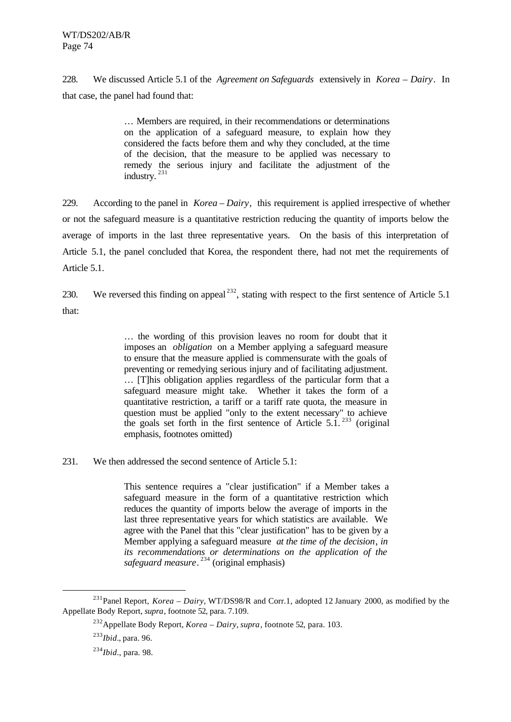228. We discussed Article 5.1 of the *Agreement on Safeguards* extensively in *Korea – Dairy*. In that case, the panel had found that:

> … Members are required, in their recommendations or determinations on the application of a safeguard measure, to explain how they considered the facts before them and why they concluded, at the time of the decision, that the measure to be applied was necessary to remedy the serious injury and facilitate the adjustment of the industry. <sup>231</sup>

229. According to the panel in *Korea – Dairy*, this requirement is applied irrespective of whether or not the safeguard measure is a quantitative restriction reducing the quantity of imports below the average of imports in the last three representative years. On the basis of this interpretation of Article 5.1, the panel concluded that Korea, the respondent there, had not met the requirements of Article 5.1.

230. We reversed this finding on appeal<sup>232</sup>, stating with respect to the first sentence of Article 5.1 that:

> … the wording of this provision leaves no room for doubt that it imposes an *obligation* on a Member applying a safeguard measure to ensure that the measure applied is commensurate with the goals of preventing or remedying serious injury and of facilitating adjustment. … [T]his obligation applies regardless of the particular form that a safeguard measure might take. Whether it takes the form of a quantitative restriction, a tariff or a tariff rate quota, the measure in question must be applied "only to the extent necessary" to achieve question must be applied only to the extent necessary to achieve<br>the goals set forth in the first sentence of Article 5.1.<sup>233</sup> (original emphasis, footnotes omitted)

231. We then addressed the second sentence of Article 5.1:

This sentence requires a "clear justification" if a Member takes a safeguard measure in the form of a quantitative restriction which reduces the quantity of imports below the average of imports in the last three representative years for which statistics are available. We agree with the Panel that this "clear justification" has to be given by a Member applying a safeguard measure *at the time of the decision*, *in its recommendations or determinations on the application of the safeguard measure*. <sup>234</sup> (original emphasis)

<sup>231</sup>Panel Report, *Korea – Dairy*, WT/DS98/R and Corr.1, adopted 12 January 2000, as modified by the Appellate Body Report, *supra*, footnote 52, para. 7.109.

<sup>232</sup>Appellate Body Report, *Korea – Dairy*, *supra*, footnote 52, para. 103.

<sup>233</sup>*Ibid*., para. 96.

<sup>234</sup>*Ibid*., para. 98.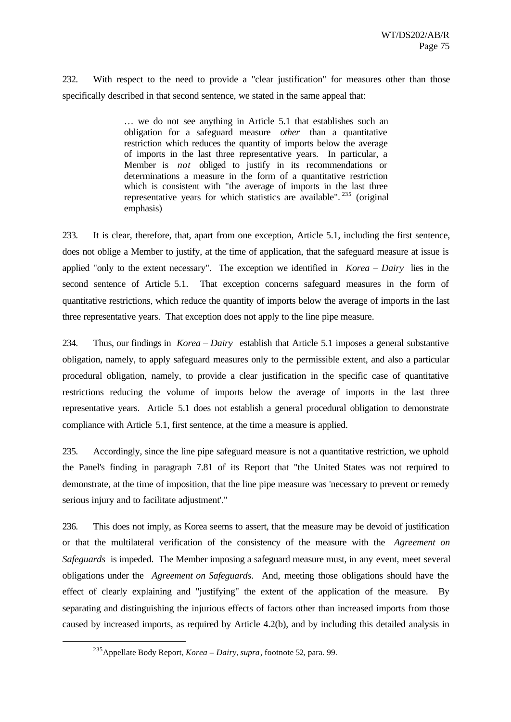232. With respect to the need to provide a "clear justification" for measures other than those specifically described in that second sentence, we stated in the same appeal that:

> … we do not see anything in Article 5.1 that establishes such an obligation for a safeguard measure *other* than a quantitative restriction which reduces the quantity of imports below the average of imports in the last three representative years. In particular, a Member is *not* obliged to justify in its recommendations or determinations a measure in the form of a quantitative restriction which is consistent with "the average of imports in the last three representative years for which statistics are available". <sup>235</sup> (original emphasis)

233. It is clear, therefore, that, apart from one exception, Article 5.1, including the first sentence, does not oblige a Member to justify, at the time of application, that the safeguard measure at issue is applied "only to the extent necessary". The exception we identified in *Korea – Dairy* lies in the second sentence of Article 5.1. That exception concerns safeguard measures in the form of quantitative restrictions, which reduce the quantity of imports below the average of imports in the last three representative years. That exception does not apply to the line pipe measure.

234. Thus, our findings in *Korea – Dairy* establish that Article 5.1 imposes a general substantive obligation, namely, to apply safeguard measures only to the permissible extent, and also a particular procedural obligation, namely, to provide a clear justification in the specific case of quantitative restrictions reducing the volume of imports below the average of imports in the last three representative years. Article 5.1 does not establish a general procedural obligation to demonstrate compliance with Article 5.1, first sentence, at the time a measure is applied.

235. Accordingly, since the line pipe safeguard measure is not a quantitative restriction, we uphold the Panel's finding in paragraph 7.81 of its Report that "the United States was not required to demonstrate, at the time of imposition, that the line pipe measure was 'necessary to prevent or remedy serious injury and to facilitate adjustment'."

236. This does not imply, as Korea seems to assert, that the measure may be devoid of justification or that the multilateral verification of the consistency of the measure with the *Agreement on Safeguards* is impeded. The Member imposing a safeguard measure must, in any event, meet several obligations under the *Agreement on Safeguards*. And, meeting those obligations should have the effect of clearly explaining and "justifying" the extent of the application of the measure. By separating and distinguishing the injurious effects of factors other than increased imports from those caused by increased imports, as required by Article 4.2(b), and by including this detailed analysis in

<sup>235</sup>Appellate Body Report, *Korea – Dairy*, *supra*, footnote 52, para. 99.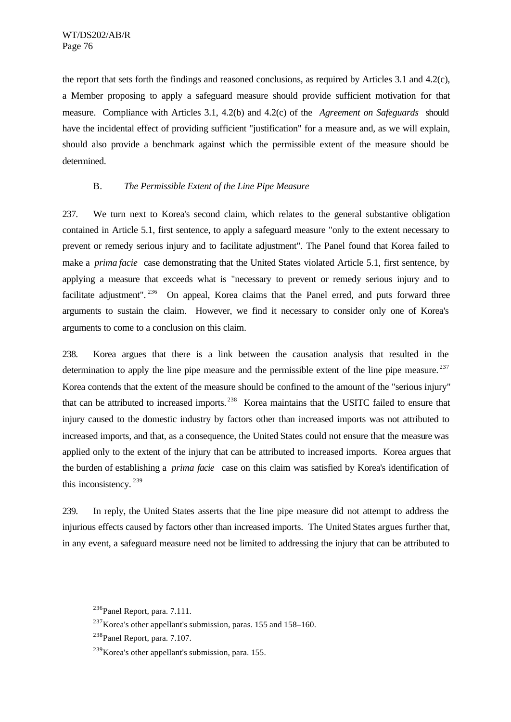the report that sets forth the findings and reasoned conclusions, as required by Articles 3.1 and 4.2(c), a Member proposing to apply a safeguard measure should provide sufficient motivation for that measure. Compliance with Articles 3.1, 4.2(b) and 4.2(c) of the *Agreement on Safeguards* should have the incidental effect of providing sufficient "justification" for a measure and, as we will explain, should also provide a benchmark against which the permissible extent of the measure should be determined.

### B. *The Permissible Extent of the Line Pipe Measure*

237. We turn next to Korea's second claim, which relates to the general substantive obligation contained in Article 5.1, first sentence, to apply a safeguard measure "only to the extent necessary to prevent or remedy serious injury and to facilitate adjustment". The Panel found that Korea failed to make a *prima facie* case demonstrating that the United States violated Article 5.1, first sentence, by applying a measure that exceeds what is "necessary to prevent or remedy serious injury and to facilitate adjustment".<sup>236</sup> On appeal, Korea claims that the Panel erred, and puts forward three arguments to sustain the claim. However, we find it necessary to consider only one of Korea's arguments to come to a conclusion on this claim.

238. Korea argues that there is a link between the causation analysis that resulted in the determination to apply the line pipe measure and the permissible extent of the line pipe measure.  $237$ Korea contends that the extent of the measure should be confined to the amount of the "serious injury" that can be attributed to increased imports.<sup>238</sup> Korea maintains that the USITC failed to ensure that injury caused to the domestic industry by factors other than increased imports was not attributed to increased imports, and that, as a consequence, the United States could not ensure that the measure was applied only to the extent of the injury that can be attributed to increased imports. Korea argues that the burden of establishing a *prima facie* case on this claim was satisfied by Korea's identification of this inconsistency.  $239$ 

239. In reply, the United States asserts that the line pipe measure did not attempt to address the injurious effects caused by factors other than increased imports. The United States argues further that, in any event, a safeguard measure need not be limited to addressing the injury that can be attributed to

<sup>236</sup>Panel Report, para. 7.111.

 $^{237}$ Korea's other appellant's submission, paras. 155 and 158–160.

<sup>238</sup>Panel Report, para. 7.107.

 $239$ Korea's other appellant's submission, para. 155.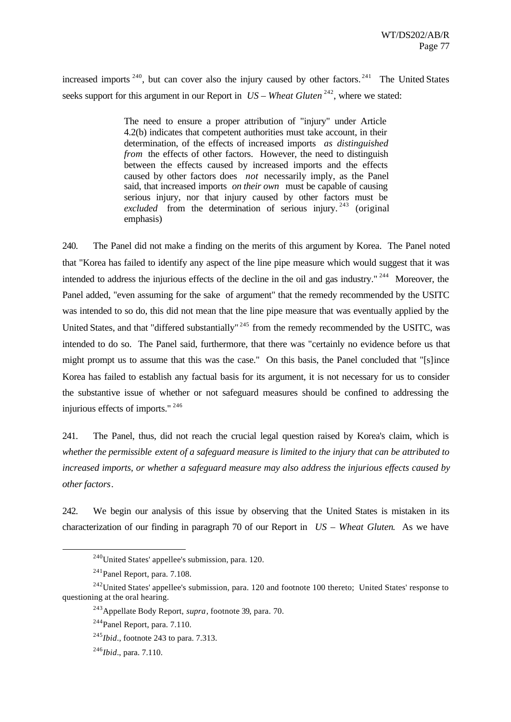increased imports  $240$ , but can cover also the injury caused by other factors.  $241$  The United States seeks support for this argument in our Report in  $US - Wheat Gluten^{242}$ , where we stated:

> The need to ensure a proper attribution of "injury" under Article 4.2(b) indicates that competent authorities must take account, in their determination, of the effects of increased imports *as distinguished from* the effects of other factors. However, the need to distinguish between the effects caused by increased imports and the effects caused by other factors does *not* necessarily imply, as the Panel said, that increased imports *on their own* must be capable of causing serious injury, nor that injury caused by other factors must be excluded from the determination of serious injury.<sup>243</sup> (original emphasis)

240. The Panel did not make a finding on the merits of this argument by Korea. The Panel noted that "Korea has failed to identify any aspect of the line pipe measure which would suggest that it was intended to address the injurious effects of the decline in the oil and gas industry." <sup>244</sup> Moreover, the Panel added, "even assuming for the sake of argument" that the remedy recommended by the USITC was intended to so do, this did not mean that the line pipe measure that was eventually applied by the United States, and that "differed substantially"<sup>245</sup> from the remedy recommended by the USITC, was intended to do so. The Panel said, furthermore, that there was "certainly no evidence before us that might prompt us to assume that this was the case." On this basis, the Panel concluded that "[s]ince Korea has failed to establish any factual basis for its argument, it is not necessary for us to consider the substantive issue of whether or not safeguard measures should be confined to addressing the injurious effects of imports."<sup>246</sup>

241. The Panel, thus, did not reach the crucial legal question raised by Korea's claim, which is *whether the permissible extent of a safeguard measure is limited to the injury that can be attributed to increased imports, or whether a safeguard measure may also address the injurious effects caused by other factors*.

242. We begin our analysis of this issue by observing that the United States is mistaken in its characterization of our finding in paragraph 70 of our Report in *US – Wheat Gluten*. As we have

<sup>240</sup>United States' appellee's submission, para. 120.

 $241$ Panel Report, para. 7.108.

 $^{242}$ United States' appellee's submission, para. 120 and footnote 100 thereto; United States' response to questioning at the oral hearing.

<sup>243</sup>Appellate Body Report, *supra*, footnote 39, para. 70.

 $244$ Panel Report, para. 7.110.

<sup>245</sup>*Ibid*., footnote 243 to para. 7.313.

<sup>246</sup>*Ibid*., para. 7.110.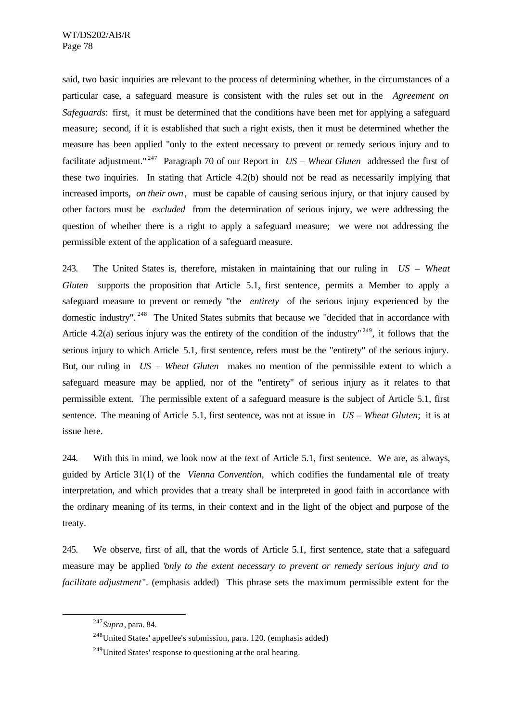said, two basic inquiries are relevant to the process of determining whether, in the circumstances of a particular case, a safeguard measure is consistent with the rules set out in the *Agreement on Safeguards*: first, it must be determined that the conditions have been met for applying a safeguard measure; second, if it is established that such a right exists, then it must be determined whether the measure has been applied "only to the extent necessary to prevent or remedy serious injury and to facilitate adjustment." <sup>247</sup> Paragraph 70 of our Report in *US – Wheat Gluten* addressed the first of these two inquiries. In stating that Article 4.2(b) should not be read as necessarily implying that increased imports, *on their own*, must be capable of causing serious injury, or that injury caused by other factors must be *excluded* from the determination of serious injury, we were addressing the question of whether there is a right to apply a safeguard measure; we were not addressing the permissible extent of the application of a safeguard measure.

243. The United States is, therefore, mistaken in maintaining that our ruling in *US – Wheat Gluten* supports the proposition that Article 5.1, first sentence, permits a Member to apply a safeguard measure to prevent or remedy "the *entirety* of the serious injury experienced by the domestic industry".<sup>248</sup> The United States submits that because we "decided that in accordance with Article 4.2(a) serious injury was the entirety of the condition of the industry"  $^{249}$ , it follows that the serious injury to which Article 5.1, first sentence, refers must be the "entirety" of the serious injury. But, our ruling in *US – Wheat Gluten* makes no mention of the permissible extent to which a safeguard measure may be applied, nor of the "entirety" of serious injury as it relates to that permissible extent. The permissible extent of a safeguard measure is the subject of Article 5.1, first sentence. The meaning of Article 5.1, first sentence, was not at issue in *US – Wheat Gluten*; it is at issue here.

244. With this in mind, we look now at the text of Article 5.1, first sentence. We are, as always, guided by Article 31(1) of the *Vienna Convention*, which codifies the fundamental rule of treaty interpretation, and which provides that a treaty shall be interpreted in good faith in accordance with the ordinary meaning of its terms, in their context and in the light of the object and purpose of the treaty.

245. We observe, first of all, that the words of Article 5.1, first sentence, state that a safeguard measure may be applied "*only to the extent necessary to prevent or remedy serious injury and to facilitate adjustment*". (emphasis added) This phrase sets the maximum permissible extent for the

<sup>247</sup>*Supra*, para. 84.

 $248$ United States' appellee's submission, para. 120. (emphasis added)

<sup>&</sup>lt;sup>249</sup>United States' response to questioning at the oral hearing.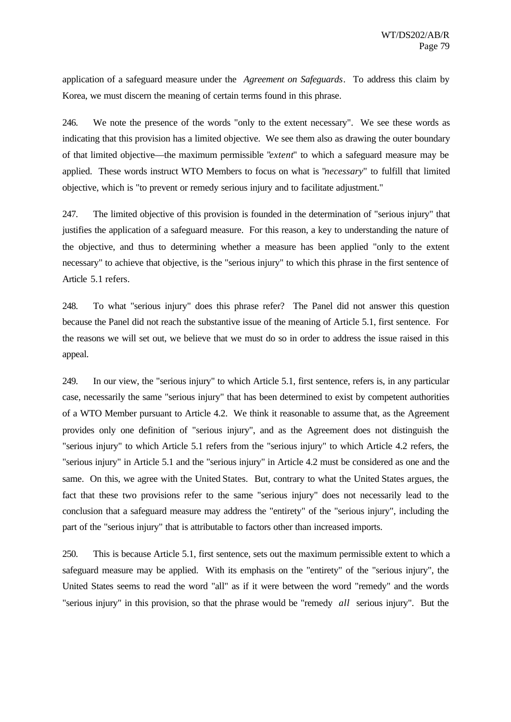application of a safeguard measure under the *Agreement on Safeguards*. To address this claim by Korea, we must discern the meaning of certain terms found in this phrase.

246. We note the presence of the words "only to the extent necessary". We see these words as indicating that this provision has a limited objective. We see them also as drawing the outer boundary of that limited objective—the maximum permissible "*extent*" to which a safeguard measure may be applied. These words instruct WTO Members to focus on what is "*necessary*" to fulfill that limited objective, which is "to prevent or remedy serious injury and to facilitate adjustment."

247. The limited objective of this provision is founded in the determination of "serious injury" that justifies the application of a safeguard measure. For this reason, a key to understanding the nature of the objective, and thus to determining whether a measure has been applied "only to the extent necessary" to achieve that objective, is the "serious injury" to which this phrase in the first sentence of Article 5.1 refers.

248. To what "serious injury" does this phrase refer? The Panel did not answer this question because the Panel did not reach the substantive issue of the meaning of Article 5.1, first sentence. For the reasons we will set out, we believe that we must do so in order to address the issue raised in this appeal.

249. In our view, the "serious injury" to which Article 5.1, first sentence, refers is, in any particular case, necessarily the same "serious injury" that has been determined to exist by competent authorities of a WTO Member pursuant to Article 4.2. We think it reasonable to assume that, as the Agreement provides only one definition of "serious injury", and as the Agreement does not distinguish the "serious injury" to which Article 5.1 refers from the "serious injury" to which Article 4.2 refers, the "serious injury" in Article 5.1 and the "serious injury" in Article 4.2 must be considered as one and the same. On this, we agree with the United States. But, contrary to what the United States argues, the fact that these two provisions refer to the same "serious injury" does not necessarily lead to the conclusion that a safeguard measure may address the "entirety" of the "serious injury", including the part of the "serious injury" that is attributable to factors other than increased imports.

250. This is because Article 5.1, first sentence, sets out the maximum permissible extent to which a safeguard measure may be applied. With its emphasis on the "entirety" of the "serious injury", the United States seems to read the word "all" as if it were between the word "remedy" and the words "serious injury" in this provision, so that the phrase would be "remedy *all* serious injury". But the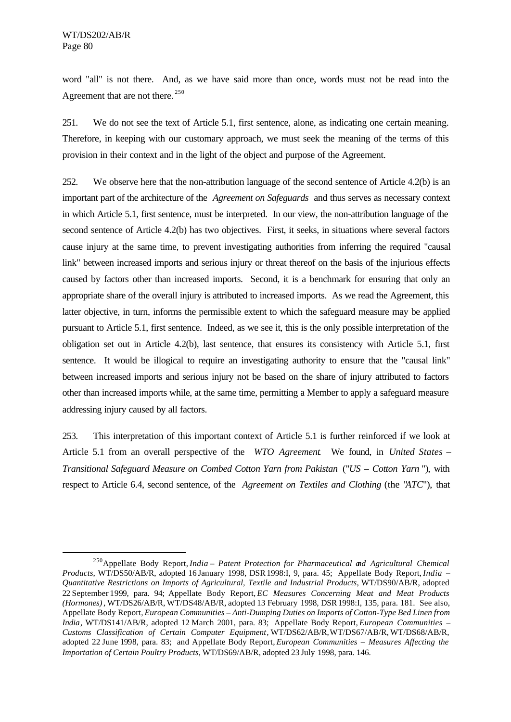l

word "all" is not there. And, as we have said more than once, words must not be read into the Agreement that are not there.<sup>250</sup>

251. We do not see the text of Article 5.1, first sentence, alone, as indicating one certain meaning. Therefore, in keeping with our customary approach, we must seek the meaning of the terms of this provision in their context and in the light of the object and purpose of the Agreement.

252. We observe here that the non-attribution language of the second sentence of Article 4.2(b) is an important part of the architecture of the *Agreement on Safeguards* and thus serves as necessary context in which Article 5.1, first sentence, must be interpreted. In our view, the non-attribution language of the second sentence of Article 4.2(b) has two objectives. First, it seeks, in situations where several factors cause injury at the same time, to prevent investigating authorities from inferring the required "causal link" between increased imports and serious injury or threat thereof on the basis of the injurious effects caused by factors other than increased imports. Second, it is a benchmark for ensuring that only an appropriate share of the overall injury is attributed to increased imports. As we read the Agreement, this latter objective, in turn, informs the permissible extent to which the safeguard measure may be applied pursuant to Article 5.1, first sentence. Indeed, as we see it, this is the only possible interpretation of the obligation set out in Article 4.2(b), last sentence, that ensures its consistency with Article 5.1, first sentence. It would be illogical to require an investigating authority to ensure that the "causal link" between increased imports and serious injury not be based on the share of injury attributed to factors other than increased imports while, at the same time, permitting a Member to apply a safeguard measure addressing injury caused by all factors.

253. This interpretation of this important context of Article 5.1 is further reinforced if we look at Article 5.1 from an overall perspective of the *WTO Agreement*. We found, in *United States – Transitional Safeguard Measure on Combed Cotton Yarn from Pakistan* ("*US – Cotton Yarn* "), with respect to Article 6.4, second sentence, of the *Agreement on Textiles and Clothing* (the "*ATC*"), that

<sup>250</sup>Appellate Body Report, *India – Patent Protection for Pharmaceutical and Agricultural Chemical Products*, WT/DS50/AB/R, adopted 16 January 1998, DSR 1998:I, 9, para. 45; Appellate Body Report, *India – Quantitative Restrictions on Imports of Agricultural, Textile and Industrial Products*, WT/DS90/AB/R, adopted 22 September 1999, para. 94; Appellate Body Report, *EC Measures Concerning Meat and Meat Products (Hormones)*, WT/DS26/AB/R, WT/DS48/AB/R, adopted 13 February 1998, DSR 1998:I, 135, para. 181. See also, Appellate Body Report, *European Communities – Anti-Dumping Duties on Imports of Cotton-Type Bed Linen from India*, WT/DS141/AB/R, adopted 12 March 2001, para. 83; Appellate Body Report, *European Communities – Customs Classification of Certain Computer Equipment*, WT/DS62/AB/R, WT/DS67/AB/R, WT/DS68/AB/R, adopted 22 June 1998, para. 83; and Appellate Body Report, *European Communities – Measures Affecting the Importation of Certain Poultry Products*, WT/DS69/AB/R, adopted 23 July 1998, para. 146.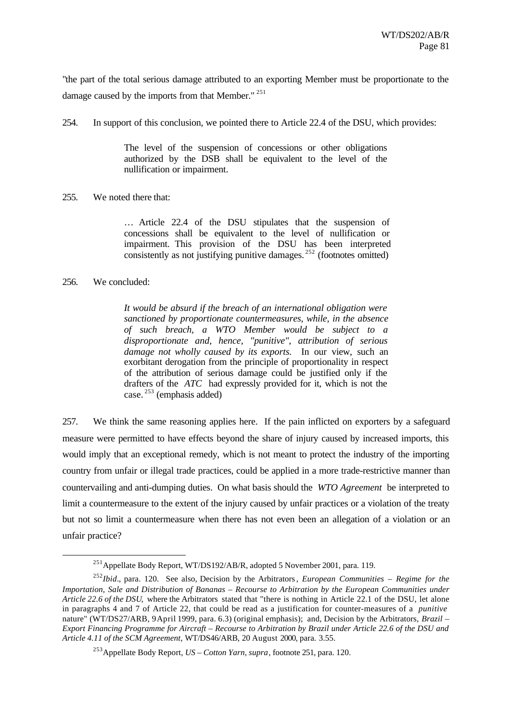"the part of the total serious damage attributed to an exporting Member must be proportionate to the damage caused by the imports from that Member."<sup>251</sup>

254. In support of this conclusion, we pointed there to Article 22.4 of the DSU, which provides:

The level of the suspension of concessions or other obligations authorized by the DSB shall be equivalent to the level of the nullification or impairment.

#### 255. We noted there that:

… Article 22.4 of the DSU stipulates that the suspension of concessions shall be equivalent to the level of nullification or impairment. This provision of the DSU has been interpreted consistently as not justifying punitive damages. <sup>252</sup> (footnotes omitted)

#### 256. We concluded:

l

*It would be absurd if the breach of an international obligation were sanctioned by proportionate countermeasures, while, in the absence of such breach, a WTO Member would be subject to a disproportionate and, hence, "punitive", attribution of serious damage not wholly caused by its exports.* In our view, such an exorbitant derogation from the principle of proportionality in respect of the attribution of serious damage could be justified only if the drafters of the *ATC* had expressly provided for it, which is not the case. <sup>253</sup> (emphasis added)

257. We think the same reasoning applies here. If the pain inflicted on exporters by a safeguard measure were permitted to have effects beyond the share of injury caused by increased imports, this would imply that an exceptional remedy, which is not meant to protect the industry of the importing country from unfair or illegal trade practices, could be applied in a more trade-restrictive manner than countervailing and anti-dumping duties. On what basis should the *WTO Agreement* be interpreted to limit a countermeasure to the extent of the injury caused by unfair practices or a violation of the treaty but not so limit a countermeasure when there has not even been an allegation of a violation or an unfair practice?

<sup>251</sup>Appellate Body Report, WT/DS192/AB/R, adopted 5 November 2001, para. 119.

<sup>252</sup>*Ibid*., para. 120. See also, Decision by the Arbitrators, *European Communities – Regime for the Importation, Sale and Distribution of Bananas – Recourse to Arbitration by the European Communities under Article 22.6 of the DSU*, where the Arbitrators stated that "there is nothing in Article 22.1 of the DSU, let alone in paragraphs 4 and 7 of Article 22, that could be read as a justification for counter-measures of a *punitive* nature" (WT/DS27/ARB, 9 April 1999, para. 6.3) (original emphasis); and, Decision by the Arbitrators, *Brazil – Export Financing Programme for Aircraft – Recourse to Arbitration by Brazil under Article 22.6 of the DSU and Article 4.11 of the SCM Agreement*, WT/DS46/ARB, 20 August 2000, para. 3.55.

<sup>253</sup>Appellate Body Report, *US – Cotton Yarn, supra*, footnote 251, para. 120.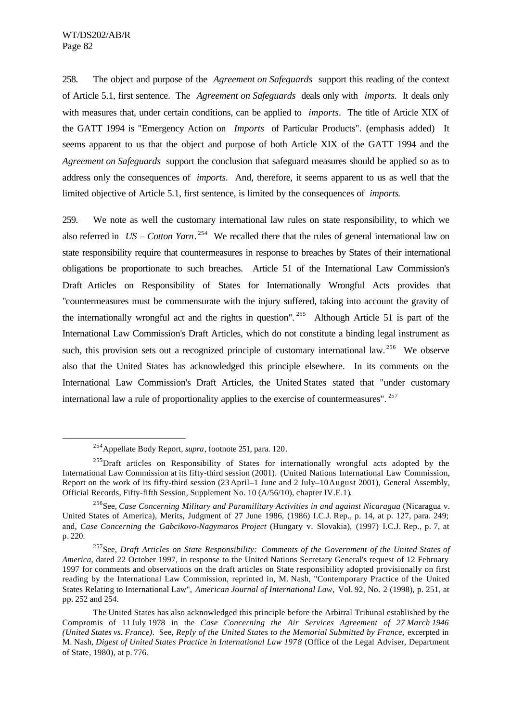l

258. The object and purpose of the *Agreement on Safeguards* support this reading of the context of Article 5.1, first sentence. The *Agreement on Safeguards* deals only with *imports*. It deals only with measures that, under certain conditions, can be applied to *imports*. The title of Article XIX of the GATT 1994 is "Emergency Action on *Imports* of Particular Products". (emphasis added) It seems apparent to us that the object and purpose of both Article XIX of the GATT 1994 and the *Agreement on Safeguards* support the conclusion that safeguard measures should be applied so as to address only the consequences of *imports*. And, therefore, it seems apparent to us as well that the limited objective of Article 5.1, first sentence, is limited by the consequences of *imports*.

259. We note as well the customary international law rules on state responsibility, to which we also referred in *US – Cotton Yarn*. <sup>254</sup> We recalled there that the rules of general international law on state responsibility require that countermeasures in response to breaches by States of their international obligations be proportionate to such breaches. Article 51 of the International Law Commission's Draft Articles on Responsibility of States for Internationally Wrongful Acts provides that "countermeasures must be commensurate with the injury suffered, taking into account the gravity of the internationally wrongful act and the rights in question". <sup>255</sup> Although Article 51 is part of the International Law Commission's Draft Articles, which do not constitute a binding legal instrument as such, this provision sets out a recognized principle of customary international law. <sup>256</sup> We observe also that the United States has acknowledged this principle elsewhere. In its comments on the International Law Commission's Draft Articles, the United States stated that "under customary international law a rule of proportionality applies to the exercise of countermeasures".  $257$ 

<sup>254</sup>Appellate Body Report, *supra*, footnote 251, para. 120.

 $^{255}$ Draft articles on Responsibility of States for internationally wrongful acts adopted by the International Law Commission at its fifty-third session (2001). (United Nations International Law Commission, Report on the work of its fifty-third session (23 April–1 June and 2 July–10 August 2001), General Assembly, Official Records, Fifty-fifth Session, Supplement No. 10 (A/56/10), chapter IV.E.1).

<sup>256</sup>See, *Case Concerning Military and Paramilitary Activities in and against Nicaragua* (Nicaragua v. United States of America), Merits, Judgment of 27 June 1986, (1986) I.C.J. Rep., p. 14, at p. 127, para. 249; and, *Case Concerning the Gabcikovo-Nagymaros Project* (Hungary v. Slovakia), (1997) I.C.J. Rep., p. 7, at p. 220.

<sup>257</sup>See, *Draft Articles on State Responsibility: Comments of the Government of the United States of America*, dated 22 October 1997, in response to the United Nations Secretary General's request of 12 February 1997 for comments and observations on the draft articles on State responsibility adopted provisionally on first reading by the International Law Commission, reprinted in, M. Nash, "Contemporary Practice of the United States Relating to International Law", *American Journal of International Law*, Vol. 92, No. 2 (1998), p. 251, at pp. 252 and 254.

The United States has also acknowledged this principle before the Arbitral Tribunal established by the Compromis of 11 July 1978 in the *Case Concerning the Air Services Agreement of 27 March 1946 (United States vs. France)*. See, *Reply of the United States to the Memorial Submitted by France,* excerpted in M. Nash, *Digest of United States Practice in International Law 1978* (Office of the Legal Adviser, Department of State, 1980), at p. 776.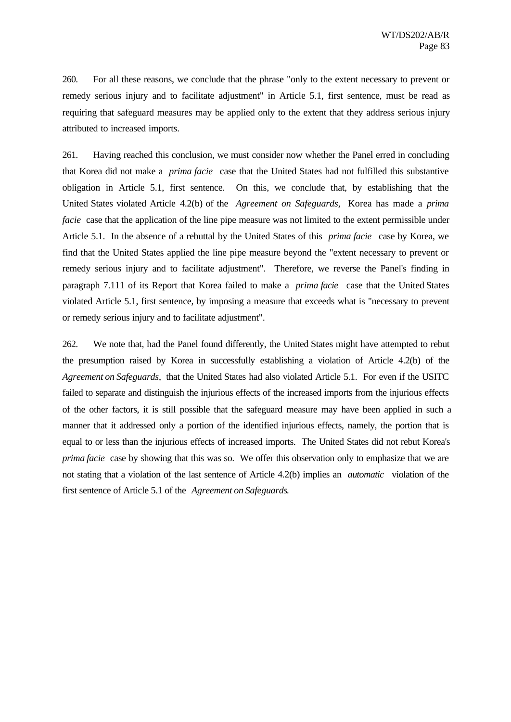260. For all these reasons, we conclude that the phrase "only to the extent necessary to prevent or remedy serious injury and to facilitate adjustment" in Article 5.1, first sentence, must be read as requiring that safeguard measures may be applied only to the extent that they address serious injury attributed to increased imports.

261. Having reached this conclusion, we must consider now whether the Panel erred in concluding that Korea did not make a *prima facie* case that the United States had not fulfilled this substantive obligation in Article 5.1, first sentence. On this, we conclude that, by establishing that the United States violated Article 4.2(b) of the *Agreement on Safeguards*, Korea has made a *prima facie* case that the application of the line pipe measure was not limited to the extent permissible under Article 5.1. In the absence of a rebuttal by the United States of this *prima facie* case by Korea, we find that the United States applied the line pipe measure beyond the "extent necessary to prevent or remedy serious injury and to facilitate adjustment". Therefore, we reverse the Panel's finding in paragraph 7.111 of its Report that Korea failed to make a *prima facie* case that the United States violated Article 5.1, first sentence, by imposing a measure that exceeds what is "necessary to prevent or remedy serious injury and to facilitate adjustment".

262. We note that, had the Panel found differently, the United States might have attempted to rebut the presumption raised by Korea in successfully establishing a violation of Article 4.2(b) of the *Agreement on Safeguards*, that the United States had also violated Article 5.1. For even if the USITC failed to separate and distinguish the injurious effects of the increased imports from the injurious effects of the other factors, it is still possible that the safeguard measure may have been applied in such a manner that it addressed only a portion of the identified injurious effects, namely, the portion that is equal to or less than the injurious effects of increased imports. The United States did not rebut Korea's *prima facie* case by showing that this was so. We offer this observation only to emphasize that we are not stating that a violation of the last sentence of Article 4.2(b) implies an *automatic* violation of the first sentence of Article 5.1 of the *Agreement on Safeguards*.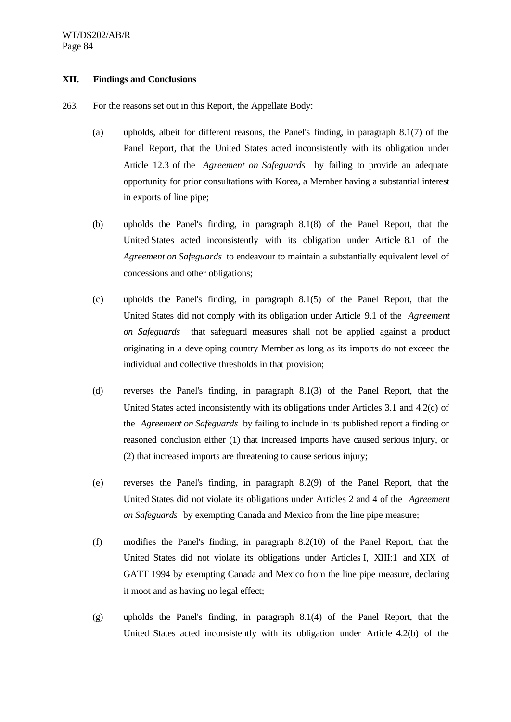#### **XII. Findings and Conclusions**

263. For the reasons set out in this Report, the Appellate Body:

- (a) upholds, albeit for different reasons, the Panel's finding, in paragraph 8.1(7) of the Panel Report, that the United States acted inconsistently with its obligation under Article 12.3 of the *Agreement on Safeguards* by failing to provide an adequate opportunity for prior consultations with Korea, a Member having a substantial interest in exports of line pipe;
- (b) upholds the Panel's finding, in paragraph 8.1(8) of the Panel Report, that the United States acted inconsistently with its obligation under Article 8.1 of the *Agreement on Safeguards* to endeavour to maintain a substantially equivalent level of concessions and other obligations;
- (c) upholds the Panel's finding, in paragraph 8.1(5) of the Panel Report, that the United States did not comply with its obligation under Article 9.1 of the *Agreement on Safeguards* that safeguard measures shall not be applied against a product originating in a developing country Member as long as its imports do not exceed the individual and collective thresholds in that provision;
- (d) reverses the Panel's finding, in paragraph 8.1(3) of the Panel Report, that the United States acted inconsistently with its obligations under Articles 3.1 and 4.2(c) of the *Agreement on Safeguards* by failing to include in its published report a finding or reasoned conclusion either (1) that increased imports have caused serious injury, or (2) that increased imports are threatening to cause serious injury;
- (e) reverses the Panel's finding, in paragraph 8.2(9) of the Panel Report, that the United States did not violate its obligations under Articles 2 and 4 of the *Agreement on Safeguards* by exempting Canada and Mexico from the line pipe measure;
- (f) modifies the Panel's finding, in paragraph 8.2(10) of the Panel Report, that the United States did not violate its obligations under Articles I, XIII:1 and XIX of GATT 1994 by exempting Canada and Mexico from the line pipe measure, declaring it moot and as having no legal effect;
- (g) upholds the Panel's finding, in paragraph 8.1(4) of the Panel Report, that the United States acted inconsistently with its obligation under Article 4.2(b) of the